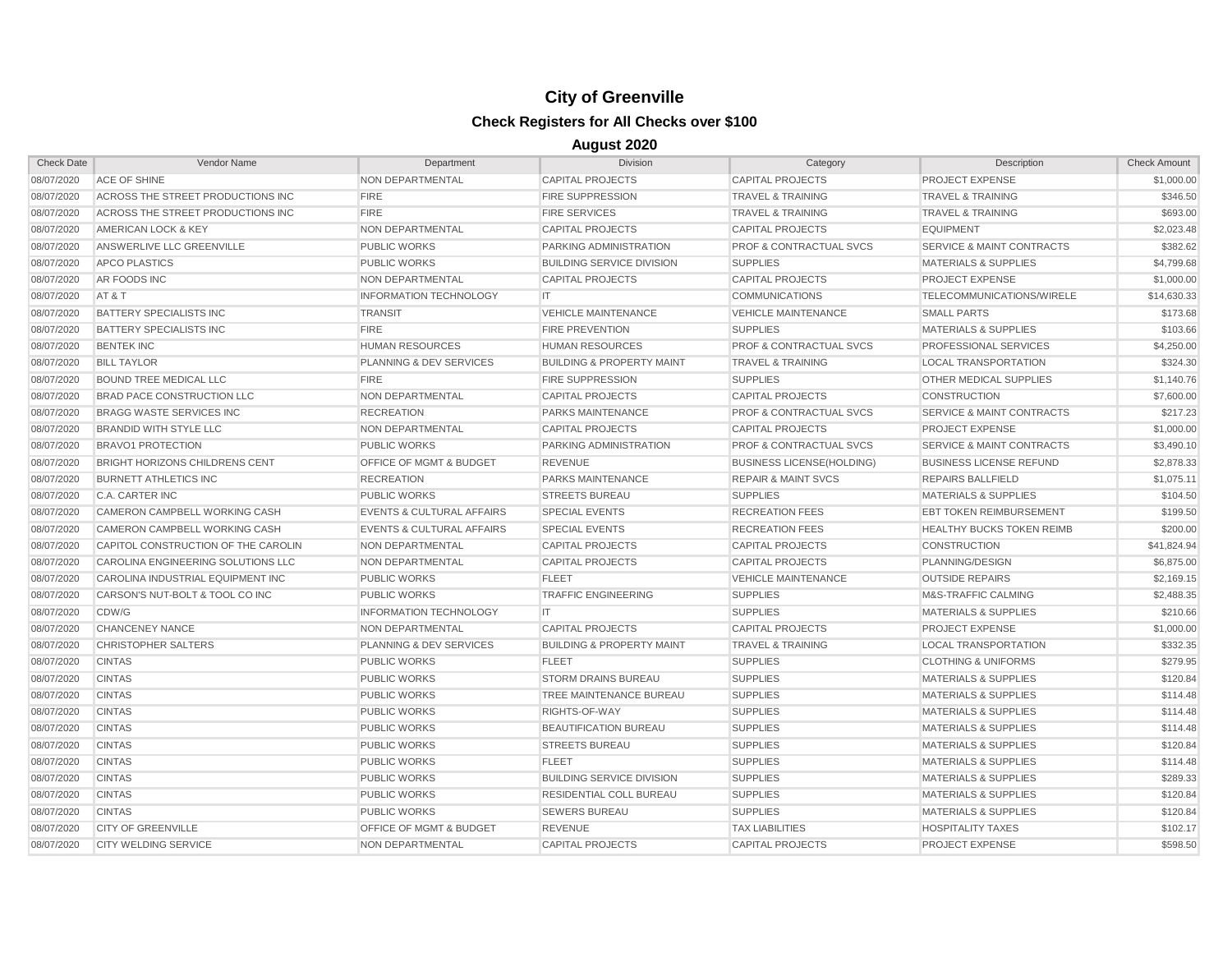| <b>Check Date</b> | Vendor Name                           | Department                           | <b>Division</b>                      | Category                           | Description                          | <b>Check Amount</b> |
|-------------------|---------------------------------------|--------------------------------------|--------------------------------------|------------------------------------|--------------------------------------|---------------------|
| 08/07/2020        | <b>ACE OF SHINE</b>                   | <b>NON DEPARTMENTAL</b>              | <b>CAPITAL PROJECTS</b>              | <b>CAPITAL PROJECTS</b>            | PROJECT EXPENSE                      | \$1,000.00          |
| 08/07/2020        | ACROSS THE STREET PRODUCTIONS INC     | <b>FIRE</b>                          | <b>FIRE SUPPRESSION</b>              | <b>TRAVEL &amp; TRAINING</b>       | <b>TRAVEL &amp; TRAINING</b>         | \$346.50            |
| 08/07/2020        | ACROSS THE STREET PRODUCTIONS INC     | <b>FIRE</b>                          | <b>FIRE SERVICES</b>                 | TRAVEL & TRAINING                  | <b>TRAVEL &amp; TRAINING</b>         | \$693.00            |
| 08/07/2020        | AMERICAN LOCK & KEY                   | NON DEPARTMENTAL                     | <b>CAPITAL PROJECTS</b>              | <b>CAPITAL PROJECTS</b>            | <b>EQUIPMENT</b>                     | \$2,023.48          |
| 08/07/2020        | ANSWERLIVE LLC GREENVILLE             | <b>PUBLIC WORKS</b>                  | PARKING ADMINISTRATION               | <b>PROF &amp; CONTRACTUAL SVCS</b> | <b>SERVICE &amp; MAINT CONTRACTS</b> | \$382.62            |
| 08/07/2020        | APCO PLASTICS                         | <b>PUBLIC WORKS</b>                  | <b>BUILDING SERVICE DIVISION</b>     | <b>SUPPLIES</b>                    | <b>MATERIALS &amp; SUPPLIES</b>      | \$4,799.68          |
| 08/07/2020        | AR FOODS INC                          | NON DEPARTMENTAL                     | <b>CAPITAL PROJECTS</b>              | <b>CAPITAL PROJECTS</b>            | <b>PROJECT EXPENSE</b>               | \$1,000.00          |
| 08/07/2020        | AT&T                                  | <b>INFORMATION TECHNOLOGY</b>        | IT.                                  | <b>COMMUNICATIONS</b>              | TELECOMMUNICATIONS/WIRELE            | \$14,630.33         |
| 08/07/2020        | <b>BATTERY SPECIALISTS INC</b>        | <b>TRANSIT</b>                       | <b>VEHICLE MAINTENANCE</b>           | <b>VEHICLE MAINTENANCE</b>         | <b>SMALL PARTS</b>                   | \$173.68            |
| 08/07/2020        | <b>BATTERY SPECIALISTS INC</b>        | <b>FIRE</b>                          | <b>FIRE PREVENTION</b>               | <b>SUPPLIES</b>                    | <b>MATERIALS &amp; SUPPLIES</b>      | \$103.66            |
| 08/07/2020        | <b>BENTEK INC</b>                     | <b>HUMAN RESOURCES</b>               | <b>HUMAN RESOURCES</b>               | <b>PROF &amp; CONTRACTUAL SVCS</b> | PROFESSIONAL SERVICES                | \$4,250.00          |
| 08/07/2020        | <b>BILL TAYLOR</b>                    | PLANNING & DEV SERVICES              | <b>BUILDING &amp; PROPERTY MAINT</b> | <b>TRAVEL &amp; TRAINING</b>       | <b>LOCAL TRANSPORTATION</b>          | \$324.30            |
| 08/07/2020        | <b>BOUND TREE MEDICAL LLC</b>         | <b>FIRE</b>                          | <b>FIRE SUPPRESSION</b>              | <b>SUPPLIES</b>                    | OTHER MEDICAL SUPPLIES               | \$1,140.76          |
| 08/07/2020        | <b>BRAD PACE CONSTRUCTION LLC</b>     | NON DEPARTMENTAL                     | <b>CAPITAL PROJECTS</b>              | <b>CAPITAL PROJECTS</b>            | <b>CONSTRUCTION</b>                  | \$7,600.00          |
| 08/07/2020        | <b>BRAGG WASTE SERVICES INC</b>       | <b>RECREATION</b>                    | PARKS MAINTENANCE                    | <b>PROF &amp; CONTRACTUAL SVCS</b> | <b>SERVICE &amp; MAINT CONTRACTS</b> | \$217.23            |
| 08/07/2020        | <b>BRANDID WITH STYLE LLC</b>         | NON DEPARTMENTAL                     | <b>CAPITAL PROJECTS</b>              | <b>CAPITAL PROJECTS</b>            | PROJECT EXPENSE                      | \$1,000.00          |
| 08/07/2020        | <b>BRAVO1 PROTECTION</b>              | <b>PUBLIC WORKS</b>                  | PARKING ADMINISTRATION               | <b>PROF &amp; CONTRACTUAL SVCS</b> | <b>SERVICE &amp; MAINT CONTRACTS</b> | \$3,490.10          |
| 08/07/2020        | <b>BRIGHT HORIZONS CHILDRENS CENT</b> | <b>OFFICE OF MGMT &amp; BUDGET</b>   | <b>REVENUE</b>                       | <b>BUSINESS LICENSE(HOLDING)</b>   | <b>BUSINESS LICENSE REFUND</b>       | \$2,878.33          |
| 08/07/2020        | <b>BURNETT ATHLETICS INC.</b>         | <b>RECREATION</b>                    | PARKS MAINTENANCE                    | <b>REPAIR &amp; MAINT SVCS</b>     | <b>REPAIRS BALLFIELD</b>             | \$1,075.11          |
| 08/07/2020        | C.A. CARTER INC                       | <b>PUBLIC WORKS</b>                  | <b>STREETS BUREAU</b>                | <b>SUPPLIES</b>                    | <b>MATERIALS &amp; SUPPLIES</b>      | \$104.50            |
| 08/07/2020        | <b>CAMERON CAMPBELL WORKING CASH</b>  | <b>EVENTS &amp; CULTURAL AFFAIRS</b> | <b>SPECIAL EVENTS</b>                | <b>RECREATION FEES</b>             | <b>EBT TOKEN REIMBURSEMENT</b>       | \$199.50            |
| 08/07/2020        | CAMERON CAMPBELL WORKING CASH         | <b>EVENTS &amp; CULTURAL AFFAIRS</b> | <b>SPECIAL EVENTS</b>                | <b>RECREATION FEES</b>             | <b>HEALTHY BUCKS TOKEN REIMB</b>     | \$200.00            |
| 08/07/2020        | CAPITOL CONSTRUCTION OF THE CAROLIN   | NON DEPARTMENTAL                     | <b>CAPITAL PROJECTS</b>              | <b>CAPITAL PROJECTS</b>            | <b>CONSTRUCTION</b>                  | \$41,824.94         |
| 08/07/2020        | CAROLINA ENGINEERING SOLUTIONS LLC    | NON DEPARTMENTAL                     | <b>CAPITAL PROJECTS</b>              | <b>CAPITAL PROJECTS</b>            | PLANNING/DESIGN                      | \$6,875.00          |
| 08/07/2020        | CAROLINA INDUSTRIAL EQUIPMENT INC     | <b>PUBLIC WORKS</b>                  | <b>FLEET</b>                         | <b>VEHICLE MAINTENANCE</b>         | <b>OUTSIDE REPAIRS</b>               | \$2,169.15          |
| 08/07/2020        | CARSON'S NUT-BOLT & TOOL CO INC       | <b>PUBLIC WORKS</b>                  | <b>TRAFFIC ENGINEERING</b>           | <b>SUPPLIES</b>                    | M&S-TRAFFIC CALMING                  | \$2,488.35          |
| 08/07/2020        | CDW/G                                 | <b>INFORMATION TECHNOLOGY</b>        | IT.                                  | <b>SUPPLIES</b>                    | <b>MATERIALS &amp; SUPPLIES</b>      | \$210.66            |
| 08/07/2020        | <b>CHANCENEY NANCE</b>                | NON DEPARTMENTAL                     | <b>CAPITAL PROJECTS</b>              | <b>CAPITAL PROJECTS</b>            | <b>PROJECT EXPENSE</b>               | \$1,000.00          |
| 08/07/2020        | <b>CHRISTOPHER SALTERS</b>            | PLANNING & DEV SERVICES              | <b>BUILDING &amp; PROPERTY MAINT</b> | <b>TRAVEL &amp; TRAINING</b>       | <b>LOCAL TRANSPORTATION</b>          | \$332.35            |
| 08/07/2020        | <b>CINTAS</b>                         | <b>PUBLIC WORKS</b>                  | <b>FLEET</b>                         | <b>SUPPLIES</b>                    | <b>CLOTHING &amp; UNIFORMS</b>       | \$279.95            |
| 08/07/2020        | <b>CINTAS</b>                         | <b>PUBLIC WORKS</b>                  | <b>STORM DRAINS BUREAU</b>           | <b>SUPPLIES</b>                    | <b>MATERIALS &amp; SUPPLIES</b>      | \$120.84            |
| 08/07/2020        | <b>CINTAS</b>                         | <b>PUBLIC WORKS</b>                  | TREE MAINTENANCE BUREAU              | <b>SUPPLIES</b>                    | <b>MATERIALS &amp; SUPPLIES</b>      | \$114.48            |
| 08/07/2020        | <b>CINTAS</b>                         | <b>PUBLIC WORKS</b>                  | RIGHTS-OF-WAY                        | <b>SUPPLIES</b>                    | <b>MATERIALS &amp; SUPPLIES</b>      | \$114.48            |
| 08/07/2020        | <b>CINTAS</b>                         | <b>PUBLIC WORKS</b>                  | <b>BEAUTIFICATION BUREAU</b>         | <b>SUPPLIES</b>                    | <b>MATERIALS &amp; SUPPLIES</b>      | \$114.48            |
| 08/07/2020        | <b>CINTAS</b>                         | <b>PUBLIC WORKS</b>                  | <b>STREETS BUREAU</b>                | <b>SUPPLIES</b>                    | <b>MATERIALS &amp; SUPPLIES</b>      | \$120.84            |
| 08/07/2020        | <b>CINTAS</b>                         | <b>PUBLIC WORKS</b>                  | <b>FLEET</b>                         | <b>SUPPLIES</b>                    | <b>MATERIALS &amp; SUPPLIES</b>      | \$114.48            |
| 08/07/2020        | <b>CINTAS</b>                         | <b>PUBLIC WORKS</b>                  | <b>BUILDING SERVICE DIVISION</b>     | <b>SUPPLIES</b>                    | <b>MATERIALS &amp; SUPPLIES</b>      | \$289.33            |
| 08/07/2020        | <b>CINTAS</b>                         | <b>PUBLIC WORKS</b>                  | RESIDENTIAL COLL BUREAU              | <b>SUPPLIES</b>                    | <b>MATERIALS &amp; SUPPLIES</b>      | \$120.84            |
| 08/07/2020        | <b>CINTAS</b>                         | <b>PUBLIC WORKS</b>                  | <b>SEWERS BUREAU</b>                 | <b>SUPPLIES</b>                    | <b>MATERIALS &amp; SUPPLIES</b>      | \$120.84            |
| 08/07/2020        | <b>CITY OF GREENVILLE</b>             | <b>OFFICE OF MGMT &amp; BUDGET</b>   | <b>REVENUE</b>                       | <b>TAX LIABILITIES</b>             | <b>HOSPITALITY TAXES</b>             | \$102.17            |
| 08/07/2020        | <b>CITY WELDING SERVICE</b>           | NON DEPARTMENTAL                     | <b>CAPITAL PROJECTS</b>              | <b>CAPITAL PROJECTS</b>            | <b>PROJECT EXPENSE</b>               | \$598.50            |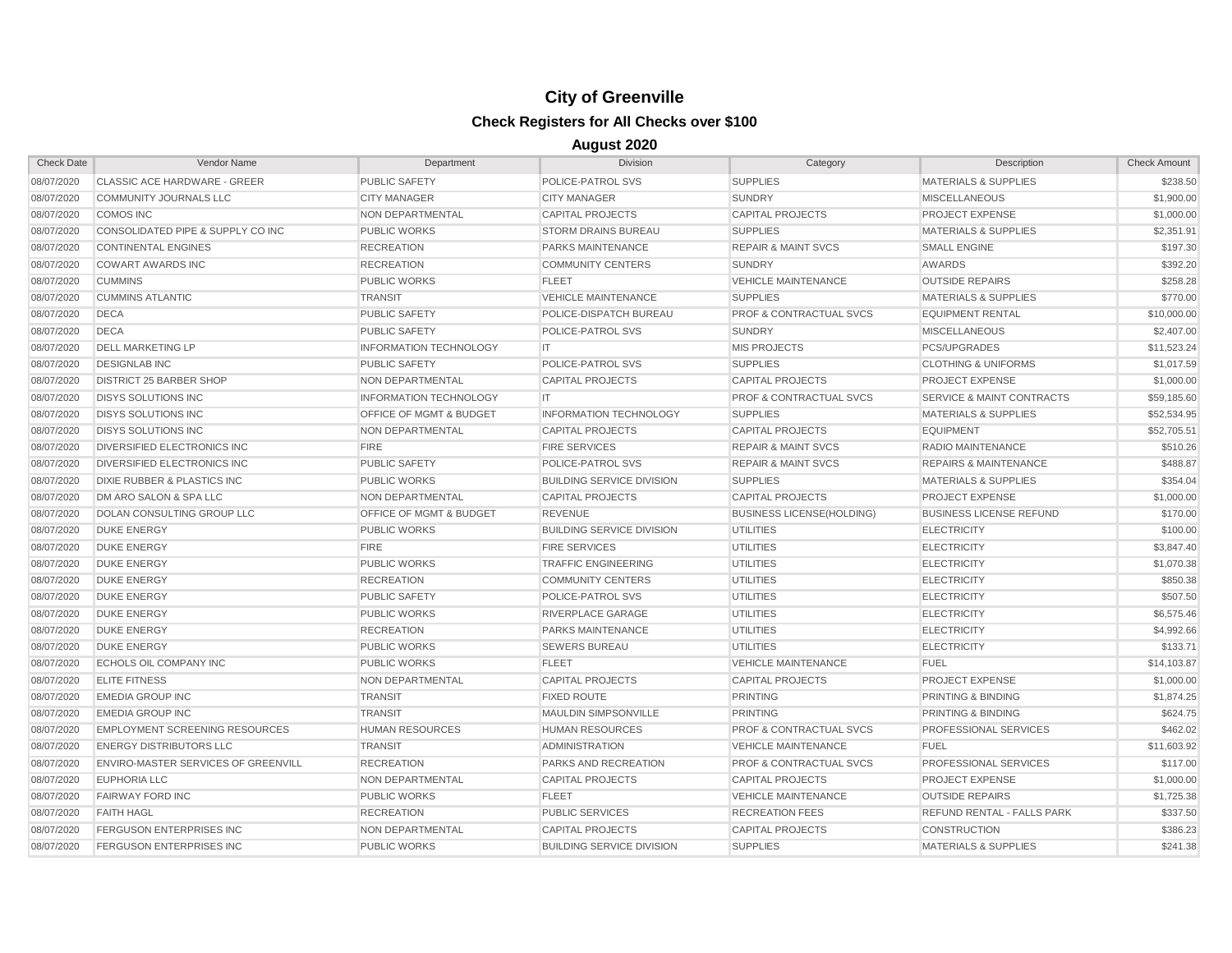| <b>Check Date</b> | Vendor Name                            | Department                         | <b>Division</b>                  | Category                           | Description                          | <b>Check Amount</b> |
|-------------------|----------------------------------------|------------------------------------|----------------------------------|------------------------------------|--------------------------------------|---------------------|
| 08/07/2020        | CLASSIC ACE HARDWARE - GREER           | <b>PUBLIC SAFETY</b>               | POLICE-PATROL SVS                | <b>SUPPLIES</b>                    | <b>MATERIALS &amp; SUPPLIES</b>      | \$238.50            |
| 08/07/2020        | <b>COMMUNITY JOURNALS LLC</b>          | <b>CITY MANAGER</b>                | <b>CITY MANAGER</b>              | <b>SUNDRY</b>                      | <b>MISCELLANEOUS</b>                 | \$1,900.00          |
| 08/07/2020        | <b>COMOS INC</b>                       | NON DEPARTMENTAL                   | <b>CAPITAL PROJECTS</b>          | <b>CAPITAL PROJECTS</b>            | PROJECT EXPENSE                      | \$1,000.00          |
| 08/07/2020        | CONSOLIDATED PIPE & SUPPLY CO INC      | <b>PUBLIC WORKS</b>                | <b>STORM DRAINS BUREAU</b>       | <b>SUPPLIES</b>                    | <b>MATERIALS &amp; SUPPLIES</b>      | \$2,351.91          |
| 08/07/2020        | <b>CONTINENTAL ENGINES</b>             | <b>RECREATION</b>                  | PARKS MAINTENANCE                | <b>REPAIR &amp; MAINT SVCS</b>     | <b>SMALL ENGINE</b>                  | \$197.30            |
| 08/07/2020        | <b>COWART AWARDS INC</b>               | <b>RECREATION</b>                  | <b>COMMUNITY CENTERS</b>         | <b>SUNDRY</b>                      | AWARDS                               | \$392.20            |
| 08/07/2020        | <b>CUMMINS</b>                         | <b>PUBLIC WORKS</b>                | <b>FLEET</b>                     | <b>VEHICLE MAINTENANCE</b>         | <b>OUTSIDE REPAIRS</b>               | \$258.28            |
| 08/07/2020        | <b>CUMMINS ATLANTIC</b>                | <b>TRANSIT</b>                     | <b>VEHICLE MAINTENANCE</b>       | <b>SUPPLIES</b>                    | <b>MATERIALS &amp; SUPPLIES</b>      | \$770.00            |
| 08/07/2020        | <b>DECA</b>                            | <b>PUBLIC SAFETY</b>               | POLICE-DISPATCH BUREAU           | <b>PROF &amp; CONTRACTUAL SVCS</b> | <b>EQUIPMENT RENTAL</b>              | \$10,000.00         |
| 08/07/2020        | <b>DECA</b>                            | PUBLIC SAFETY                      | POLICE-PATROL SVS                | <b>SUNDRY</b>                      | <b>MISCELLANEOUS</b>                 | \$2,407.00          |
| 08/07/2020        | <b>DELL MARKETING LP</b>               | <b>INFORMATION TECHNOLOGY</b>      | <b>IT</b>                        | <b>MIS PROJECTS</b>                | PCS/UPGRADES                         | \$11.523.24         |
| 08/07/2020        | <b>DESIGNLAB INC</b>                   | <b>PUBLIC SAFETY</b>               | POLICE-PATROL SVS                | <b>SUPPLIES</b>                    | <b>CLOTHING &amp; UNIFORMS</b>       | \$1,017.59          |
| 08/07/2020        | <b>DISTRICT 25 BARBER SHOP</b>         | <b>NON DEPARTMENTAL</b>            | <b>CAPITAL PROJECTS</b>          | <b>CAPITAL PROJECTS</b>            | <b>PROJECT EXPENSE</b>               | \$1,000.00          |
| 08/07/2020        | <b>DISYS SOLUTIONS INC</b>             | <b>INFORMATION TECHNOLOGY</b>      | IT                               | <b>PROF &amp; CONTRACTUAL SVCS</b> | <b>SERVICE &amp; MAINT CONTRACTS</b> | \$59,185.60         |
| 08/07/2020        | <b>DISYS SOLUTIONS INC</b>             | OFFICE OF MGMT & BUDGET            | <b>INFORMATION TECHNOLOGY</b>    | <b>SUPPLIES</b>                    | <b>MATERIALS &amp; SUPPLIES</b>      | \$52,534.95         |
| 08/07/2020        | <b>DISYS SOLUTIONS INC</b>             | NON DEPARTMENTAL                   | <b>CAPITAL PROJECTS</b>          | <b>CAPITAL PROJECTS</b>            | <b>EQUIPMENT</b>                     | \$52,705.51         |
| 08/07/2020        | <b>DIVERSIFIED ELECTRONICS INC</b>     | <b>FIRE</b>                        | <b>FIRE SERVICES</b>             | <b>REPAIR &amp; MAINT SVCS</b>     | RADIO MAINTENANCE                    | \$510.26            |
| 08/07/2020        | DIVERSIFIED ELECTRONICS INC            | <b>PUBLIC SAFETY</b>               | POLICE-PATROL SVS                | <b>REPAIR &amp; MAINT SVCS</b>     | <b>REPAIRS &amp; MAINTENANCE</b>     | \$488.87            |
| 08/07/2020        | <b>DIXIE RUBBER &amp; PLASTICS INC</b> | <b>PUBLIC WORKS</b>                | <b>BUILDING SERVICE DIVISION</b> | <b>SUPPLIES</b>                    | <b>MATERIALS &amp; SUPPLIES</b>      | \$354.04            |
| 08/07/2020        | DM ARO SALON & SPA LLC                 | NON DEPARTMENTAL                   | <b>CAPITAL PROJECTS</b>          | <b>CAPITAL PROJECTS</b>            | <b>PROJECT EXPENSE</b>               | \$1,000.00          |
| 08/07/2020        | DOLAN CONSULTING GROUP LLC             | <b>OFFICE OF MGMT &amp; BUDGET</b> | <b>REVENUE</b>                   | <b>BUSINESS LICENSE(HOLDING)</b>   | <b>BUSINESS LICENSE REFUND</b>       | \$170.00            |
| 08/07/2020        | <b>DUKE ENERGY</b>                     | <b>PUBLIC WORKS</b>                | <b>BUILDING SERVICE DIVISION</b> | <b>UTILITIES</b>                   | <b>ELECTRICITY</b>                   | \$100.00            |
| 08/07/2020        | <b>DUKE ENERGY</b>                     | <b>FIRE</b>                        | <b>FIRE SERVICES</b>             | <b>UTILITIES</b>                   | <b>ELECTRICITY</b>                   | \$3,847.40          |
| 08/07/2020        | <b>DUKE ENERGY</b>                     | <b>PUBLIC WORKS</b>                | <b>TRAFFIC ENGINEERING</b>       | <b>UTILITIES</b>                   | <b>ELECTRICITY</b>                   | \$1,070.38          |
| 08/07/2020        | <b>DUKE ENERGY</b>                     | <b>RECREATION</b>                  | <b>COMMUNITY CENTERS</b>         | <b>UTILITIES</b>                   | <b>ELECTRICITY</b>                   | \$850.38            |
| 08/07/2020        | <b>DUKE ENERGY</b>                     | <b>PUBLIC SAFETY</b>               | POLICE-PATROL SVS                | <b>UTILITIES</b>                   | <b>ELECTRICITY</b>                   | \$507.50            |
| 08/07/2020        | <b>DUKE ENERGY</b>                     | <b>PUBLIC WORKS</b>                | RIVERPLACE GARAGE                | <b>UTILITIES</b>                   | <b>ELECTRICITY</b>                   | \$6,575.46          |
| 08/07/2020        | <b>DUKE ENERGY</b>                     | <b>RECREATION</b>                  | PARKS MAINTENANCE                | UTILITIES                          | <b>ELECTRICITY</b>                   | \$4,992.66          |
| 08/07/2020        | <b>DUKE ENERGY</b>                     | <b>PUBLIC WORKS</b>                | <b>SEWERS BUREAU</b>             | <b>UTILITIES</b>                   | <b>ELECTRICITY</b>                   | \$133.71            |
| 08/07/2020        | ECHOLS OIL COMPANY INC                 | <b>PUBLIC WORKS</b>                | <b>FLEET</b>                     | <b>VEHICLE MAINTENANCE</b>         | <b>FUEL</b>                          | \$14,103.87         |
| 08/07/2020        | <b>ELITE FITNESS</b>                   | NON DEPARTMENTAL                   | <b>CAPITAL PROJECTS</b>          | <b>CAPITAL PROJECTS</b>            | PROJECT EXPENSE                      | \$1,000.00          |
| 08/07/2020        | <b>EMEDIA GROUP INC</b>                | <b>TRANSIT</b>                     | <b>FIXED ROUTE</b>               | <b>PRINTING</b>                    | PRINTING & BINDING                   | \$1,874.25          |
| 08/07/2020        | <b>EMEDIA GROUP INC</b>                | <b>TRANSIT</b>                     | <b>MAULDIN SIMPSONVILLE</b>      | <b>PRINTING</b>                    | PRINTING & BINDING                   | \$624.75            |
| 08/07/2020        | <b>EMPLOYMENT SCREENING RESOURCES</b>  | <b>HUMAN RESOURCES</b>             | <b>HUMAN RESOURCES</b>           | <b>PROF &amp; CONTRACTUAL SVCS</b> | <b>PROFESSIONAL SERVICES</b>         | \$462.02            |
| 08/07/2020        | <b>ENERGY DISTRIBUTORS LLC</b>         | <b>TRANSIT</b>                     | <b>ADMINISTRATION</b>            | <b>VEHICLE MAINTENANCE</b>         | <b>FUEL</b>                          | \$11,603.92         |
| 08/07/2020        | ENVIRO-MASTER SERVICES OF GREENVILL    | <b>RECREATION</b>                  | PARKS AND RECREATION             | <b>PROF &amp; CONTRACTUAL SVCS</b> | <b>PROFESSIONAL SERVICES</b>         | \$117.00            |
| 08/07/2020        | <b>EUPHORIA LLC</b>                    | NON DEPARTMENTAL                   | <b>CAPITAL PROJECTS</b>          | <b>CAPITAL PROJECTS</b>            | PROJECT EXPENSE                      | \$1,000.00          |
| 08/07/2020        | <b>FAIRWAY FORD INC</b>                | <b>PUBLIC WORKS</b>                | <b>FLEET</b>                     | <b>VEHICLE MAINTENANCE</b>         | <b>OUTSIDE REPAIRS</b>               | \$1,725.38          |
| 08/07/2020        | <b>FAITH HAGL</b>                      | <b>RECREATION</b>                  | <b>PUBLIC SERVICES</b>           | <b>RECREATION FEES</b>             | <b>REFUND RENTAL - FALLS PARK</b>    | \$337.50            |
| 08/07/2020        | <b>FERGUSON ENTERPRISES INC</b>        | <b>NON DEPARTMENTAL</b>            | <b>CAPITAL PROJECTS</b>          | <b>CAPITAL PROJECTS</b>            | <b>CONSTRUCTION</b>                  | \$386.23            |
| 08/07/2020        | <b>FERGUSON ENTERPRISES INC</b>        | <b>PUBLIC WORKS</b>                | <b>BUILDING SERVICE DIVISION</b> | <b>SUPPLIES</b>                    | <b>MATERIALS &amp; SUPPLIES</b>      | \$241.38            |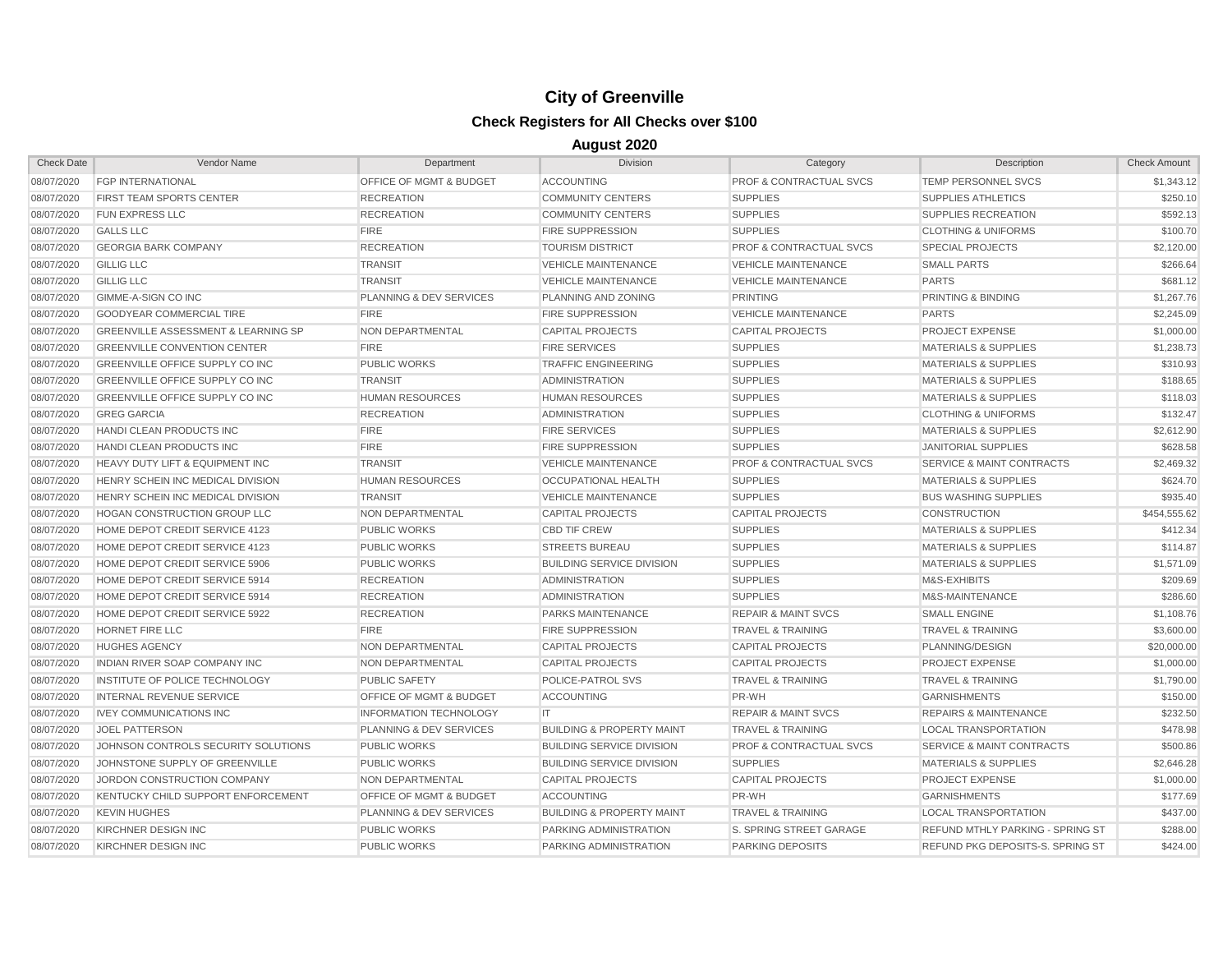| <b>Check Date</b> | Vendor Name                                    | Department                         | <b>Division</b>                      | Category                           | Description                             | <b>Check Amount</b> |
|-------------------|------------------------------------------------|------------------------------------|--------------------------------------|------------------------------------|-----------------------------------------|---------------------|
| 08/07/2020        | <b>FGP INTERNATIONAL</b>                       | OFFICE OF MGMT & BUDGET            | <b>ACCOUNTING</b>                    | PROF & CONTRACTUAL SVCS            | TEMP PERSONNEL SVCS                     | \$1,343.12          |
| 08/07/2020        | <b>FIRST TEAM SPORTS CENTER</b>                | <b>RECREATION</b>                  | <b>COMMUNITY CENTERS</b>             | <b>SUPPLIES</b>                    | <b>SUPPLIES ATHLETICS</b>               | \$250.10            |
| 08/07/2020        | <b>FUN EXPRESS LLC</b>                         | <b>RECREATION</b>                  | <b>COMMUNITY CENTERS</b>             | <b>SUPPLIES</b>                    | SUPPLIES RECREATION                     | \$592.13            |
| 08/07/2020        | <b>GALLS LLC</b>                               | <b>FIRE</b>                        | <b>FIRE SUPPRESSION</b>              | <b>SUPPLIES</b>                    | <b>CLOTHING &amp; UNIFORMS</b>          | \$100.70            |
| 08/07/2020        | <b>GEORGIA BARK COMPANY</b>                    | <b>RECREATION</b>                  | <b>TOURISM DISTRICT</b>              | <b>PROF &amp; CONTRACTUAL SVCS</b> | <b>SPECIAL PROJECTS</b>                 | \$2,120.00          |
| 08/07/2020        | <b>GILLIG LLC</b>                              | <b>TRANSIT</b>                     | <b>VEHICLE MAINTENANCE</b>           | <b>VEHICLE MAINTENANCE</b>         | <b>SMALL PARTS</b>                      | \$266.64            |
| 08/07/2020        | <b>GILLIG LLC</b>                              | <b>TRANSIT</b>                     | <b>VEHICLE MAINTENANCE</b>           | <b>VEHICLE MAINTENANCE</b>         | <b>PARTS</b>                            | \$681.12            |
| 08/07/2020        | <b>GIMME-A-SIGN CO INC</b>                     | PLANNING & DEV SERVICES            | PLANNING AND ZONING                  | <b>PRINTING</b>                    | PRINTING & BINDING                      | \$1,267.76          |
| 08/07/2020        | <b>GOODYEAR COMMERCIAL TIRE</b>                | <b>FIRE</b>                        | <b>FIRE SUPPRESSION</b>              | <b>VEHICLE MAINTENANCE</b>         | <b>PARTS</b>                            | \$2,245.09          |
| 08/07/2020        | <b>GREENVILLE ASSESSMENT &amp; LEARNING SP</b> | NON DEPARTMENTAL                   | <b>CAPITAL PROJECTS</b>              | <b>CAPITAL PROJECTS</b>            | <b>PROJECT EXPENSE</b>                  | \$1,000.00          |
| 08/07/2020        | <b>GREENVILLE CONVENTION CENTER</b>            | <b>FIRE</b>                        | <b>FIRE SERVICES</b>                 | <b>SUPPLIES</b>                    | <b>MATERIALS &amp; SUPPLIES</b>         | \$1,238.73          |
| 08/07/2020        | GREENVILLE OFFICE SUPPLY CO INC                | <b>PUBLIC WORKS</b>                | <b>TRAFFIC ENGINEERING</b>           | <b>SUPPLIES</b>                    | <b>MATERIALS &amp; SUPPLIES</b>         | \$310.93            |
| 08/07/2020        | <b>GREENVILLE OFFICE SUPPLY CO INC</b>         | <b>TRANSIT</b>                     | <b>ADMINISTRATION</b>                | <b>SUPPLIES</b>                    | <b>MATERIALS &amp; SUPPLIES</b>         | \$188.65            |
| 08/07/2020        | <b>GREENVILLE OFFICE SUPPLY CO INC</b>         | <b>HUMAN RESOURCES</b>             | <b>HUMAN RESOURCES</b>               | <b>SUPPLIES</b>                    | <b>MATERIALS &amp; SUPPLIES</b>         | \$118.03            |
| 08/07/2020        | <b>GREG GARCIA</b>                             | <b>RECREATION</b>                  | <b>ADMINISTRATION</b>                | <b>SUPPLIES</b>                    | <b>CLOTHING &amp; UNIFORMS</b>          | \$132.47            |
| 08/07/2020        | HANDI CLEAN PRODUCTS INC                       | <b>FIRE</b>                        | <b>FIRE SERVICES</b>                 | <b>SUPPLIES</b>                    | <b>MATERIALS &amp; SUPPLIES</b>         | \$2,612.90          |
| 08/07/2020        | HANDI CLEAN PRODUCTS INC                       | <b>FIRE</b>                        | <b>FIRE SUPPRESSION</b>              | <b>SUPPLIES</b>                    | <b>JANITORIAL SUPPLIES</b>              | \$628.58            |
| 08/07/2020        | HEAVY DUTY LIFT & EQUIPMENT INC                | <b>TRANSIT</b>                     | <b>VEHICLE MAINTENANCE</b>           | <b>PROF &amp; CONTRACTUAL SVCS</b> | SERVICE & MAINT CONTRACTS               | \$2,469.32          |
| 08/07/2020        | HENRY SCHEIN INC MEDICAL DIVISION              | <b>HUMAN RESOURCES</b>             | <b>OCCUPATIONAL HEALTH</b>           | <b>SUPPLIES</b>                    | <b>MATERIALS &amp; SUPPLIES</b>         | \$624.70            |
| 08/07/2020        | HENRY SCHEIN INC MEDICAL DIVISION              | <b>TRANSIT</b>                     | <b>VEHICLE MAINTENANCE</b>           | <b>SUPPLIES</b>                    | <b>BUS WASHING SUPPLIES</b>             | \$935.40            |
| 08/07/2020        | <b>HOGAN CONSTRUCTION GROUP LLC</b>            | <b>NON DEPARTMENTAL</b>            | <b>CAPITAL PROJECTS</b>              | <b>CAPITAL PROJECTS</b>            | <b>CONSTRUCTION</b>                     | \$454,555.62        |
| 08/07/2020        | HOME DEPOT CREDIT SERVICE 4123                 | <b>PUBLIC WORKS</b>                | <b>CBD TIF CREW</b>                  | <b>SUPPLIES</b>                    | <b>MATERIALS &amp; SUPPLIES</b>         | \$412.34            |
| 08/07/2020        | HOME DEPOT CREDIT SERVICE 4123                 | <b>PUBLIC WORKS</b>                | <b>STREETS BUREAU</b>                | <b>SUPPLIES</b>                    | <b>MATERIALS &amp; SUPPLIES</b>         | \$114.87            |
| 08/07/2020        | HOME DEPOT CREDIT SERVICE 5906                 | <b>PUBLIC WORKS</b>                | <b>BUILDING SERVICE DIVISION</b>     | <b>SUPPLIES</b>                    | <b>MATERIALS &amp; SUPPLIES</b>         | \$1,571.09          |
| 08/07/2020        | HOME DEPOT CREDIT SERVICE 5914                 | <b>RECREATION</b>                  | <b>ADMINISTRATION</b>                | <b>SUPPLIES</b>                    | M&S-EXHIBITS                            | \$209.69            |
| 08/07/2020        | HOME DEPOT CREDIT SERVICE 5914                 | <b>RECREATION</b>                  | <b>ADMINISTRATION</b>                | <b>SUPPLIES</b>                    | M&S-MAINTENANCE                         | \$286.60            |
| 08/07/2020        | HOME DEPOT CREDIT SERVICE 5922                 | <b>RECREATION</b>                  | PARKS MAINTENANCE                    | <b>REPAIR &amp; MAINT SVCS</b>     | <b>SMALL ENGINE</b>                     | \$1,108.76          |
| 08/07/2020        | <b>HORNET FIRE LLC</b>                         | <b>FIRE</b>                        | <b>FIRE SUPPRESSION</b>              | <b>TRAVEL &amp; TRAINING</b>       | <b>TRAVEL &amp; TRAINING</b>            | \$3,600.00          |
| 08/07/2020        | <b>HUGHES AGENCY</b>                           | NON DEPARTMENTAL                   | <b>CAPITAL PROJECTS</b>              | <b>CAPITAL PROJECTS</b>            | PLANNING/DESIGN                         | \$20,000.00         |
| 08/07/2020        | <b>INDIAN RIVER SOAP COMPANY INC</b>           | <b>NON DEPARTMENTAL</b>            | <b>CAPITAL PROJECTS</b>              | <b>CAPITAL PROJECTS</b>            | <b>PROJECT EXPENSE</b>                  | \$1,000.00          |
| 08/07/2020        | INSTITUTE OF POLICE TECHNOLOGY                 | PUBLIC SAFETY                      | POLICE-PATROL SVS                    | <b>TRAVEL &amp; TRAINING</b>       | <b>TRAVEL &amp; TRAINING</b>            | \$1,790.00          |
| 08/07/2020        | <b>INTERNAL REVENUE SERVICE</b>                | <b>OFFICE OF MGMT &amp; BUDGET</b> | <b>ACCOUNTING</b>                    | PR-WH                              | <b>GARNISHMENTS</b>                     | \$150.00            |
| 08/07/2020        | <b>IVEY COMMUNICATIONS INC</b>                 | <b>INFORMATION TECHNOLOGY</b>      | IT                                   | <b>REPAIR &amp; MAINT SVCS</b>     | <b>REPAIRS &amp; MAINTENANCE</b>        | \$232.50            |
| 08/07/2020        | <b>JOEL PATTERSON</b>                          | PLANNING & DEV SERVICES            | <b>BUILDING &amp; PROPERTY MAINT</b> | <b>TRAVEL &amp; TRAINING</b>       | <b>LOCAL TRANSPORTATION</b>             | \$478.98            |
| 08/07/2020        | JOHNSON CONTROLS SECURITY SOLUTIONS            | <b>PUBLIC WORKS</b>                | <b>BUILDING SERVICE DIVISION</b>     | <b>PROF &amp; CONTRACTUAL SVCS</b> | <b>SERVICE &amp; MAINT CONTRACTS</b>    | \$500.86            |
| 08/07/2020        | JOHNSTONE SUPPLY OF GREENVILLE                 | <b>PUBLIC WORKS</b>                | <b>BUILDING SERVICE DIVISION</b>     | <b>SUPPLIES</b>                    | <b>MATERIALS &amp; SUPPLIES</b>         | \$2,646.28          |
| 08/07/2020        | JORDON CONSTRUCTION COMPANY                    | <b>NON DEPARTMENTAL</b>            | <b>CAPITAL PROJECTS</b>              | <b>CAPITAL PROJECTS</b>            | <b>PROJECT EXPENSE</b>                  | \$1,000.00          |
| 08/07/2020        | KENTUCKY CHILD SUPPORT ENFORCEMENT             | <b>OFFICE OF MGMT &amp; BUDGET</b> | <b>ACCOUNTING</b>                    | PR-WH                              | <b>GARNISHMENTS</b>                     | \$177.69            |
| 08/07/2020        | <b>KEVIN HUGHES</b>                            | PLANNING & DEV SERVICES            | <b>BUILDING &amp; PROPERTY MAINT</b> | <b>TRAVEL &amp; TRAINING</b>       | <b>LOCAL TRANSPORTATION</b>             | \$437.00            |
| 08/07/2020        | <b>KIRCHNER DESIGN INC</b>                     | <b>PUBLIC WORKS</b>                | PARKING ADMINISTRATION               | S. SPRING STREET GARAGE            | <b>REFUND MTHLY PARKING - SPRING ST</b> | \$288.00            |
| 08/07/2020        | KIRCHNER DESIGN INC                            | <b>PUBLIC WORKS</b>                | PARKING ADMINISTRATION               | <b>PARKING DEPOSITS</b>            | REFUND PKG DEPOSITS-S. SPRING ST        | \$424.00            |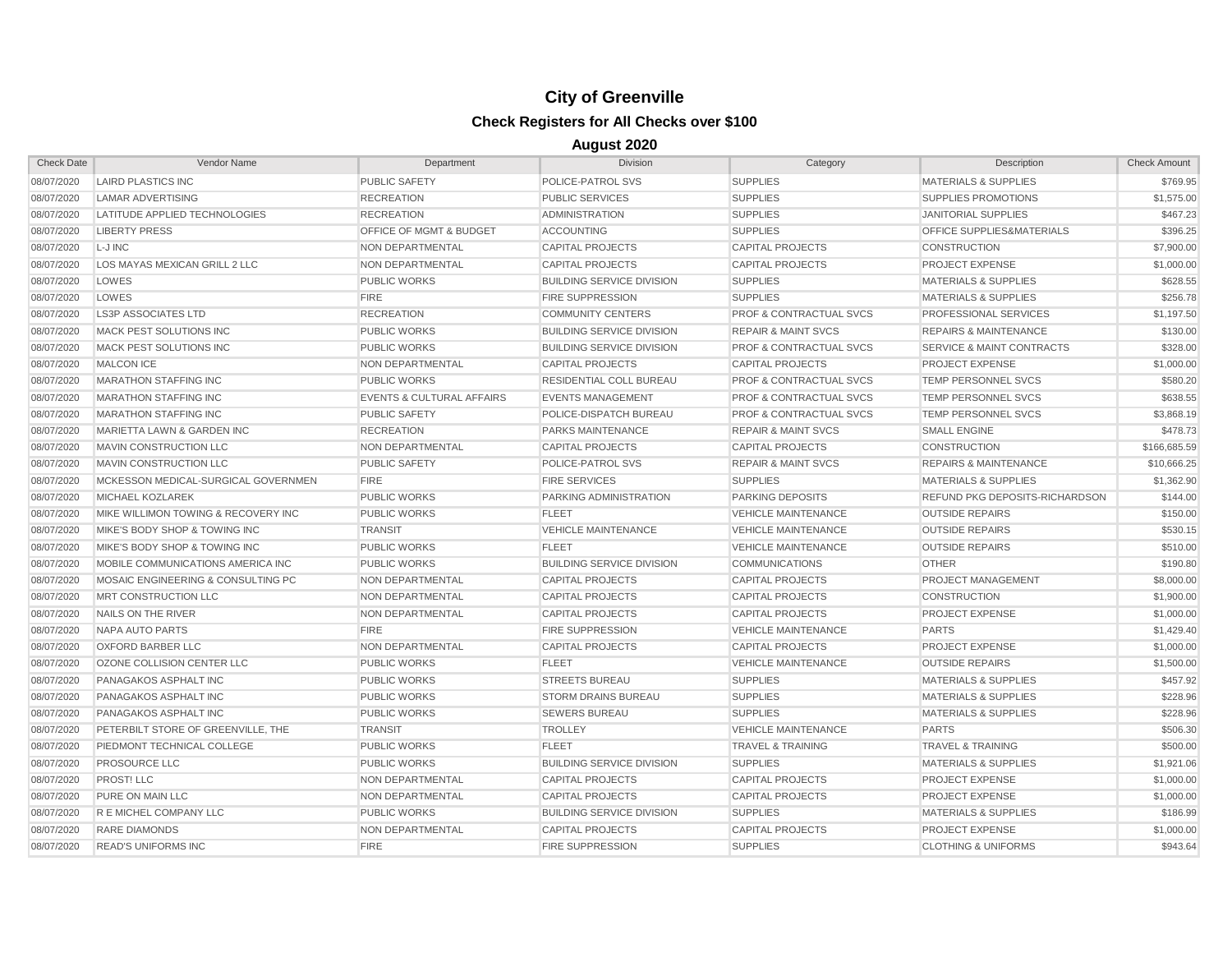| <b>Check Date</b> | Vendor Name                         | Department                           | <b>Division</b>                  | Category                           | Description                           | <b>Check Amount</b> |
|-------------------|-------------------------------------|--------------------------------------|----------------------------------|------------------------------------|---------------------------------------|---------------------|
| 08/07/2020        | <b>LAIRD PLASTICS INC</b>           | PUBLIC SAFETY                        | POLICE-PATROL SVS                | <b>SUPPLIES</b>                    | <b>MATERIALS &amp; SUPPLIES</b>       | \$769.95            |
| 08/07/2020        | <b>LAMAR ADVERTISING</b>            | <b>RECREATION</b>                    | <b>PUBLIC SERVICES</b>           | <b>SUPPLIES</b>                    | <b>SUPPLIES PROMOTIONS</b>            | \$1,575.00          |
| 08/07/2020        | LATITUDE APPLIED TECHNOLOGIES       | <b>RECREATION</b>                    | <b>ADMINISTRATION</b>            | <b>SUPPLIES</b>                    | <b>JANITORIAL SUPPLIES</b>            | \$467.23            |
| 08/07/2020        | <b>LIBERTY PRESS</b>                | OFFICE OF MGMT & BUDGET              | <b>ACCOUNTING</b>                | <b>SUPPLIES</b>                    | OFFICE SUPPLIES&MATERIALS             | \$396.25            |
| 08/07/2020        | L-J INC                             | NON DEPARTMENTAL                     | <b>CAPITAL PROJECTS</b>          | <b>CAPITAL PROJECTS</b>            | <b>CONSTRUCTION</b>                   | \$7,900.00          |
| 08/07/2020        | LOS MAYAS MEXICAN GRILL 2 LLC       | NON DEPARTMENTAL                     | <b>CAPITAL PROJECTS</b>          | <b>CAPITAL PROJECTS</b>            | <b>PROJECT EXPENSE</b>                | \$1,000.00          |
| 08/07/2020        | LOWES                               | <b>PUBLIC WORKS</b>                  | <b>BUILDING SERVICE DIVISION</b> | <b>SUPPLIES</b>                    | <b>MATERIALS &amp; SUPPLIES</b>       | \$628.55            |
| 08/07/2020        | LOWES                               | <b>FIRE</b>                          | <b>FIRE SUPPRESSION</b>          | <b>SUPPLIES</b>                    | <b>MATERIALS &amp; SUPPLIES</b>       | \$256.78            |
| 08/07/2020        | <b>LS3P ASSOCIATES LTD</b>          | <b>RECREATION</b>                    | <b>COMMUNITY CENTERS</b>         | <b>PROF &amp; CONTRACTUAL SVCS</b> | PROFESSIONAL SERVICES                 | \$1,197.50          |
| 08/07/2020        | <b>MACK PEST SOLUTIONS INC</b>      | <b>PUBLIC WORKS</b>                  | <b>BUILDING SERVICE DIVISION</b> | <b>REPAIR &amp; MAINT SVCS</b>     | <b>REPAIRS &amp; MAINTENANCE</b>      | \$130.00            |
| 08/07/2020        | <b>MACK PEST SOLUTIONS INC</b>      | <b>PUBLIC WORKS</b>                  | <b>BUILDING SERVICE DIVISION</b> | <b>PROF &amp; CONTRACTUAL SVCS</b> | <b>SERVICE &amp; MAINT CONTRACTS</b>  | \$328.00            |
| 08/07/2020        | <b>MALCON ICE</b>                   | NON DEPARTMENTAL                     | <b>CAPITAL PROJECTS</b>          | <b>CAPITAL PROJECTS</b>            | <b>PROJECT EXPENSE</b>                | \$1,000.00          |
| 08/07/2020        | <b>MARATHON STAFFING INC</b>        | <b>PUBLIC WORKS</b>                  | <b>RESIDENTIAL COLL BUREAU</b>   | <b>PROF &amp; CONTRACTUAL SVCS</b> | TEMP PERSONNEL SVCS                   | \$580.20            |
| 08/07/2020        | <b>MARATHON STAFFING INC</b>        | <b>EVENTS &amp; CULTURAL AFFAIRS</b> | <b>EVENTS MANAGEMENT</b>         | <b>PROF &amp; CONTRACTUAL SVCS</b> | TEMP PERSONNEL SVCS                   | \$638.55            |
| 08/07/2020        | <b>MARATHON STAFFING INC</b>        | <b>PUBLIC SAFETY</b>                 | POLICE-DISPATCH BUREAU           | <b>PROF &amp; CONTRACTUAL SVCS</b> | <b>TEMP PERSONNEL SVCS</b>            | \$3,868.19          |
| 08/07/2020        | MARIETTA LAWN & GARDEN INC          | <b>RECREATION</b>                    | <b>PARKS MAINTENANCE</b>         | <b>REPAIR &amp; MAINT SVCS</b>     | <b>SMALL ENGINE</b>                   | \$478.73            |
| 08/07/2020        | MAVIN CONSTRUCTION LLC              | NON DEPARTMENTAL                     | <b>CAPITAL PROJECTS</b>          | <b>CAPITAL PROJECTS</b>            | <b>CONSTRUCTION</b>                   | \$166,685.59        |
| 08/07/2020        | MAVIN CONSTRUCTION LLC              | <b>PUBLIC SAFETY</b>                 | POLICE-PATROL SVS                | <b>REPAIR &amp; MAINT SVCS</b>     | <b>REPAIRS &amp; MAINTENANCE</b>      | \$10,666.25         |
| 08/07/2020        | MCKESSON MEDICAL-SURGICAL GOVERNMEN | <b>FIRE</b>                          | <b>FIRE SERVICES</b>             | <b>SUPPLIES</b>                    | <b>MATERIALS &amp; SUPPLIES</b>       | \$1,362.90          |
| 08/07/2020        | MICHAEL KOZLAREK                    | <b>PUBLIC WORKS</b>                  | PARKING ADMINISTRATION           | <b>PARKING DEPOSITS</b>            | <b>REFUND PKG DEPOSITS-RICHARDSON</b> | \$144.00            |
| 08/07/2020        | MIKE WILLIMON TOWING & RECOVERY INC | <b>PUBLIC WORKS</b>                  | <b>FLEET</b>                     | <b>VEHICLE MAINTENANCE</b>         | <b>OUTSIDE REPAIRS</b>                | \$150.00            |
| 08/07/2020        | MIKE'S BODY SHOP & TOWING INC       | <b>TRANSIT</b>                       | <b>VEHICLE MAINTENANCE</b>       | <b>VEHICLE MAINTENANCE</b>         | <b>OUTSIDE REPAIRS</b>                | \$530.15            |
| 08/07/2020        | MIKE'S BODY SHOP & TOWING INC       | <b>PUBLIC WORKS</b>                  | <b>FLEET</b>                     | <b>VEHICLE MAINTENANCE</b>         | <b>OUTSIDE REPAIRS</b>                | \$510.00            |
| 08/07/2020        | MOBILE COMMUNICATIONS AMERICA INC   | <b>PUBLIC WORKS</b>                  | <b>BUILDING SERVICE DIVISION</b> | <b>COMMUNICATIONS</b>              | <b>OTHER</b>                          | \$190.80            |
| 08/07/2020        | MOSAIC ENGINEERING & CONSULTING PC  | NON DEPARTMENTAL                     | <b>CAPITAL PROJECTS</b>          | <b>CAPITAL PROJECTS</b>            | <b>PROJECT MANAGEMENT</b>             | \$8,000.00          |
| 08/07/2020        | MRT CONSTRUCTION LLC                | NON DEPARTMENTAL                     | <b>CAPITAL PROJECTS</b>          | <b>CAPITAL PROJECTS</b>            | <b>CONSTRUCTION</b>                   | \$1,900.00          |
| 08/07/2020        | NAILS ON THE RIVER                  | NON DEPARTMENTAL                     | <b>CAPITAL PROJECTS</b>          | <b>CAPITAL PROJECTS</b>            | <b>PROJECT EXPENSE</b>                | \$1,000.00          |
| 08/07/2020        | NAPA AUTO PARTS                     | <b>FIRE</b>                          | <b>FIRE SUPPRESSION</b>          | <b>VEHICLE MAINTENANCE</b>         | <b>PARTS</b>                          | \$1,429.40          |
| 08/07/2020        | OXFORD BARBER LLC                   | NON DEPARTMENTAL                     | <b>CAPITAL PROJECTS</b>          | <b>CAPITAL PROJECTS</b>            | <b>PROJECT EXPENSE</b>                | \$1,000.00          |
| 08/07/2020        | OZONE COLLISION CENTER LLC          | <b>PUBLIC WORKS</b>                  | <b>FLEET</b>                     | <b>VEHICLE MAINTENANCE</b>         | <b>OUTSIDE REPAIRS</b>                | \$1,500.00          |
| 08/07/2020        | PANAGAKOS ASPHALT INC               | <b>PUBLIC WORKS</b>                  | <b>STREETS BUREAU</b>            | <b>SUPPLIES</b>                    | <b>MATERIALS &amp; SUPPLIES</b>       | \$457.92            |
| 08/07/2020        | PANAGAKOS ASPHALT INC               | <b>PUBLIC WORKS</b>                  | <b>STORM DRAINS BUREAU</b>       | <b>SUPPLIES</b>                    | <b>MATERIALS &amp; SUPPLIES</b>       | \$228.96            |
| 08/07/2020        | PANAGAKOS ASPHALT INC               | <b>PUBLIC WORKS</b>                  | <b>SEWERS BUREAU</b>             | <b>SUPPLIES</b>                    | <b>MATERIALS &amp; SUPPLIES</b>       | \$228.96            |
| 08/07/2020        | PETERBILT STORE OF GREENVILLE. THE  | <b>TRANSIT</b>                       | <b>TROLLEY</b>                   | <b>VEHICLE MAINTENANCE</b>         | <b>PARTS</b>                          | \$506.30            |
| 08/07/2020        | <b>PIEDMONT TECHNICAL COLLEGE</b>   | <b>PUBLIC WORKS</b>                  | <b>FLEET</b>                     | <b>TRAVEL &amp; TRAINING</b>       | <b>TRAVEL &amp; TRAINING</b>          | \$500.00            |
| 08/07/2020        | <b>PROSOURCE LLC</b>                | <b>PUBLIC WORKS</b>                  | <b>BUILDING SERVICE DIVISION</b> | <b>SUPPLIES</b>                    | <b>MATERIALS &amp; SUPPLIES</b>       | \$1,921.06          |
| 08/07/2020        | <b>PROST! LLC</b>                   | NON DEPARTMENTAL                     | <b>CAPITAL PROJECTS</b>          | <b>CAPITAL PROJECTS</b>            | <b>PROJECT EXPENSE</b>                | \$1,000.00          |
| 08/07/2020        | PURE ON MAIN LLC                    | NON DEPARTMENTAL                     | <b>CAPITAL PROJECTS</b>          | <b>CAPITAL PROJECTS</b>            | <b>PROJECT EXPENSE</b>                | \$1,000.00          |
| 08/07/2020        | R E MICHEL COMPANY LLC              | <b>PUBLIC WORKS</b>                  | <b>BUILDING SERVICE DIVISION</b> | <b>SUPPLIES</b>                    | <b>MATERIALS &amp; SUPPLIES</b>       | \$186.99            |
| 08/07/2020        | <b>RARE DIAMONDS</b>                | NON DEPARTMENTAL                     | <b>CAPITAL PROJECTS</b>          | <b>CAPITAL PROJECTS</b>            | <b>PROJECT EXPENSE</b>                | \$1,000.00          |
| 08/07/2020        | <b>READ'S UNIFORMS INC</b>          | <b>FIRE</b>                          | <b>FIRE SUPPRESSION</b>          | <b>SUPPLIES</b>                    | <b>CLOTHING &amp; UNIFORMS</b>        | \$943.64            |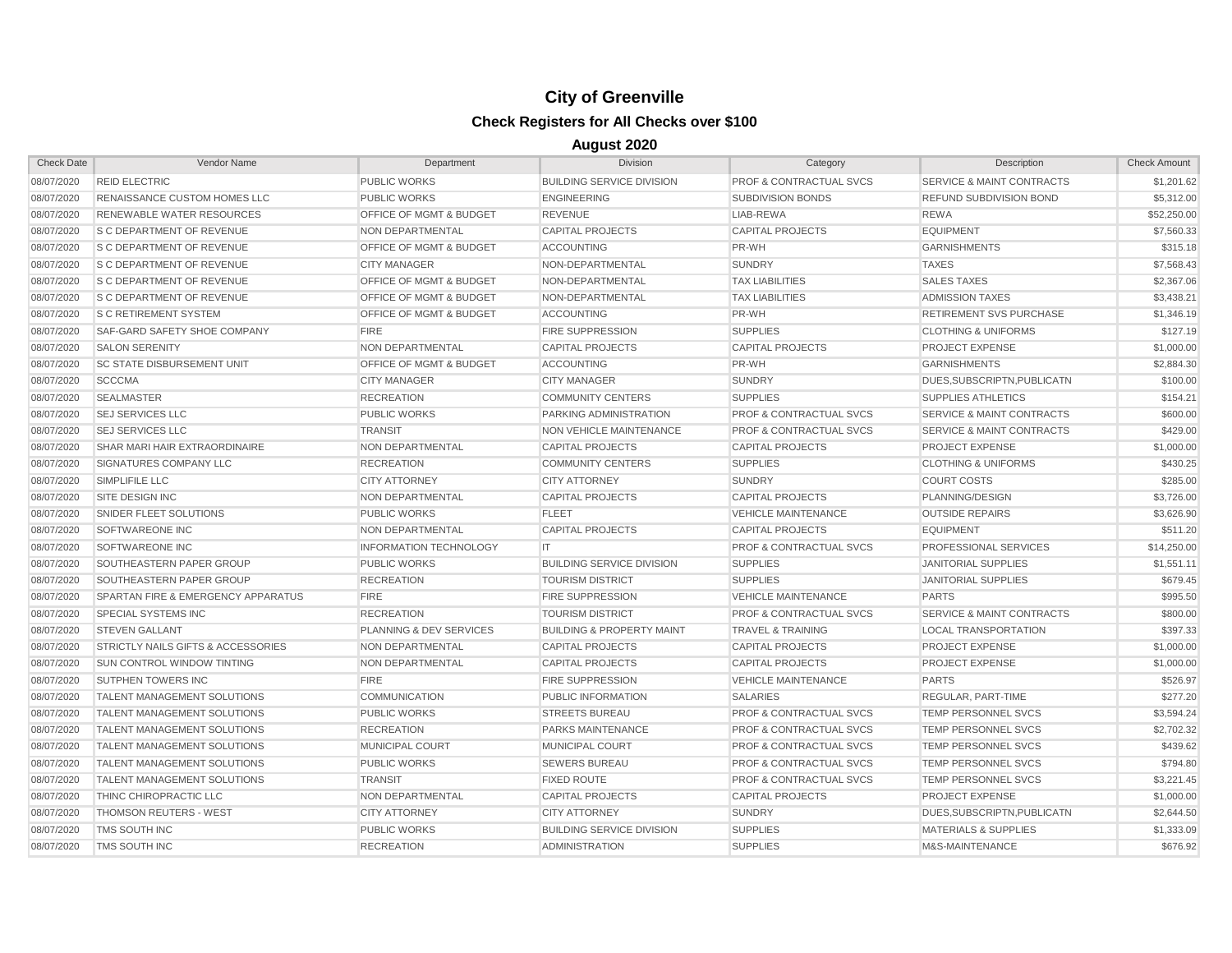| <b>Check Date</b> | Vendor Name                        | Department                         | <b>Division</b>                      | Category                           | Description                          | <b>Check Amount</b> |
|-------------------|------------------------------------|------------------------------------|--------------------------------------|------------------------------------|--------------------------------------|---------------------|
| 08/07/2020        | <b>REID ELECTRIC</b>               | <b>PUBLIC WORKS</b>                | <b>BUILDING SERVICE DIVISION</b>     | <b>PROF &amp; CONTRACTUAL SVCS</b> | <b>SERVICE &amp; MAINT CONTRACTS</b> | \$1,201.62          |
| 08/07/2020        | RENAISSANCE CUSTOM HOMES LLC       | <b>PUBLIC WORKS</b>                | <b>ENGINEERING</b>                   | <b>SUBDIVISION BONDS</b>           | <b>REFUND SUBDIVISION BOND</b>       | \$5,312.00          |
| 08/07/2020        | RENEWABLE WATER RESOURCES          | OFFICE OF MGMT & BUDGET            | <b>REVENUE</b>                       | LIAB-REWA                          | <b>REWA</b>                          | \$52,250.00         |
| 08/07/2020        | <b>S C DEPARTMENT OF REVENUE</b>   | NON DEPARTMENTAL                   | <b>CAPITAL PROJECTS</b>              | <b>CAPITAL PROJECTS</b>            | <b>EQUIPMENT</b>                     | \$7,560.33          |
| 08/07/2020        | <b>S C DEPARTMENT OF REVENUE</b>   | <b>OFFICE OF MGMT &amp; BUDGET</b> | <b>ACCOUNTING</b>                    | PR-WH                              | <b>GARNISHMENTS</b>                  | \$315.18            |
| 08/07/2020        | <b>S C DEPARTMENT OF REVENUE</b>   | <b>CITY MANAGER</b>                | NON-DEPARTMENTAL                     | <b>SUNDRY</b>                      | <b>TAXES</b>                         | \$7,568.43          |
| 08/07/2020        | <b>S C DEPARTMENT OF REVENUE</b>   | OFFICE OF MGMT & BUDGET            | NON-DEPARTMENTAL                     | <b>TAX LIABILITIES</b>             | <b>SALES TAXES</b>                   | \$2,367.06          |
| 08/07/2020        | <b>S C DEPARTMENT OF REVENUE</b>   | OFFICE OF MGMT & BUDGET            | NON-DEPARTMENTAL                     | <b>TAX LIABILITIES</b>             | <b>ADMISSION TAXES</b>               | \$3,438.21          |
| 08/07/2020        | <b>S C RETIREMENT SYSTEM</b>       | OFFICE OF MGMT & BUDGET            | <b>ACCOUNTING</b>                    | PR-WH                              | <b>RETIREMENT SVS PURCHASE</b>       | \$1,346.19          |
| 08/07/2020        | SAF-GARD SAFETY SHOE COMPANY       | <b>FIRE</b>                        | <b>FIRE SUPPRESSION</b>              | <b>SUPPLIES</b>                    | <b>CLOTHING &amp; UNIFORMS</b>       | \$127.19            |
| 08/07/2020        | <b>SALON SERENITY</b>              | NON DEPARTMENTAL                   | <b>CAPITAL PROJECTS</b>              | <b>CAPITAL PROJECTS</b>            | <b>PROJECT EXPENSE</b>               | \$1,000.00          |
| 08/07/2020        | <b>SC STATE DISBURSEMENT UNIT</b>  | <b>OFFICE OF MGMT &amp; BUDGET</b> | <b>ACCOUNTING</b>                    | PR-WH                              | <b>GARNISHMENTS</b>                  | \$2,884.30          |
| 08/07/2020        | <b>SCCCMA</b>                      | <b>CITY MANAGER</b>                | <b>CITY MANAGER</b>                  | <b>SUNDRY</b>                      | DUES.SUBSCRIPTN.PUBLICATN            | \$100.00            |
| 08/07/2020        | <b>SEALMASTER</b>                  | <b>RECREATION</b>                  | <b>COMMUNITY CENTERS</b>             | <b>SUPPLIES</b>                    | <b>SUPPLIES ATHLETICS</b>            | \$154.21            |
| 08/07/2020        | <b>SEJ SERVICES LLC</b>            | <b>PUBLIC WORKS</b>                | PARKING ADMINISTRATION               | <b>PROF &amp; CONTRACTUAL SVCS</b> | <b>SERVICE &amp; MAINT CONTRACTS</b> | \$600.00            |
| 08/07/2020        | <b>SEJ SERVICES LLC</b>            | <b>TRANSIT</b>                     | NON VEHICLE MAINTENANCE              | <b>PROF &amp; CONTRACTUAL SVCS</b> | <b>SERVICE &amp; MAINT CONTRACTS</b> | \$429.00            |
| 08/07/2020        | SHAR MARI HAIR EXTRAORDINAIRE      | NON DEPARTMENTAL                   | <b>CAPITAL PROJECTS</b>              | <b>CAPITAL PROJECTS</b>            | PROJECT EXPENSE                      | \$1,000.00          |
| 08/07/2020        | SIGNATURES COMPANY LLC             | <b>RECREATION</b>                  | <b>COMMUNITY CENTERS</b>             | <b>SUPPLIES</b>                    | <b>CLOTHING &amp; UNIFORMS</b>       | \$430.25            |
| 08/07/2020        | SIMPLIFILE LLC                     | <b>CITY ATTORNEY</b>               | <b>CITY ATTORNEY</b>                 | <b>SUNDRY</b>                      | <b>COURT COSTS</b>                   | \$285.00            |
| 08/07/2020        | <b>SITE DESIGN INC</b>             | NON DEPARTMENTAL                   | <b>CAPITAL PROJECTS</b>              | <b>CAPITAL PROJECTS</b>            | PLANNING/DESIGN                      | \$3,726.00          |
| 08/07/2020        | SNIDER FLEET SOLUTIONS             | <b>PUBLIC WORKS</b>                | <b>FLEET</b>                         | <b>VEHICLE MAINTENANCE</b>         | <b>OUTSIDE REPAIRS</b>               | \$3,626.90          |
| 08/07/2020        | <b>SOFTWAREONE INC</b>             | NON DEPARTMENTAL                   | <b>CAPITAL PROJECTS</b>              | <b>CAPITAL PROJECTS</b>            | <b>EQUIPMENT</b>                     | \$511.20            |
| 08/07/2020        | <b>SOFTWAREONE INC</b>             | <b>INFORMATION TECHNOLOGY</b>      | IT.                                  | <b>PROF &amp; CONTRACTUAL SVCS</b> | PROFESSIONAL SERVICES                | \$14,250.00         |
| 08/07/2020        | SOUTHEASTERN PAPER GROUP           | <b>PUBLIC WORKS</b>                | <b>BUILDING SERVICE DIVISION</b>     | <b>SUPPLIES</b>                    | <b>JANITORIAL SUPPLIES</b>           | \$1,551.11          |
| 08/07/2020        | SOUTHEASTERN PAPER GROUP           | <b>RECREATION</b>                  | <b>TOURISM DISTRICT</b>              | <b>SUPPLIES</b>                    | <b>JANITORIAL SUPPLIES</b>           | \$679.45            |
| 08/07/2020        | SPARTAN FIRE & EMERGENCY APPARATUS | <b>FIRE</b>                        | <b>FIRE SUPPRESSION</b>              | <b>VEHICLE MAINTENANCE</b>         | <b>PARTS</b>                         | \$995.50            |
| 08/07/2020        | SPECIAL SYSTEMS INC                | <b>RECREATION</b>                  | <b>TOURISM DISTRICT</b>              | <b>PROF &amp; CONTRACTUAL SVCS</b> | <b>SERVICE &amp; MAINT CONTRACTS</b> | \$800.00            |
| 08/07/2020        | <b>STEVEN GALLANT</b>              | PLANNING & DEV SERVICES            | <b>BUILDING &amp; PROPERTY MAINT</b> | <b>TRAVEL &amp; TRAINING</b>       | <b>LOCAL TRANSPORTATION</b>          | \$397.33            |
| 08/07/2020        | STRICTLY NAILS GIFTS & ACCESSORIES | NON DEPARTMENTAL                   | <b>CAPITAL PROJECTS</b>              | <b>CAPITAL PROJECTS</b>            | PROJECT EXPENSE                      | \$1,000.00          |
| 08/07/2020        | <b>SUN CONTROL WINDOW TINTING</b>  | NON DEPARTMENTAL                   | <b>CAPITAL PROJECTS</b>              | <b>CAPITAL PROJECTS</b>            | <b>PROJECT EXPENSE</b>               | \$1,000.00          |
| 08/07/2020        | SUTPHEN TOWERS INC                 | <b>FIRE</b>                        | <b>FIRE SUPPRESSION</b>              | <b>VEHICLE MAINTENANCE</b>         | <b>PARTS</b>                         | \$526.97            |
| 08/07/2020        | <b>TALENT MANAGEMENT SOLUTIONS</b> | <b>COMMUNICATION</b>               | PUBLIC INFORMATION                   | <b>SALARIES</b>                    | REGULAR, PART-TIME                   | \$277.20            |
| 08/07/2020        | <b>TALENT MANAGEMENT SOLUTIONS</b> | <b>PUBLIC WORKS</b>                | <b>STREETS BUREAU</b>                | <b>PROF &amp; CONTRACTUAL SVCS</b> | TEMP PERSONNEL SVCS                  | \$3,594.24          |
| 08/07/2020        | <b>TALENT MANAGEMENT SOLUTIONS</b> | <b>RECREATION</b>                  | <b>PARKS MAINTENANCE</b>             | <b>PROF &amp; CONTRACTUAL SVCS</b> | TEMP PERSONNEL SVCS                  | \$2,702.32          |
| 08/07/2020        | <b>TALENT MANAGEMENT SOLUTIONS</b> | <b>MUNICIPAL COURT</b>             | <b>MUNICIPAL COURT</b>               | <b>PROF &amp; CONTRACTUAL SVCS</b> | <b>TEMP PERSONNEL SVCS</b>           | \$439.62            |
| 08/07/2020        | <b>TALENT MANAGEMENT SOLUTIONS</b> | <b>PUBLIC WORKS</b>                | <b>SEWERS BUREAU</b>                 | <b>PROF &amp; CONTRACTUAL SVCS</b> | <b>TEMP PERSONNEL SVCS</b>           | \$794.80            |
| 08/07/2020        | <b>TALENT MANAGEMENT SOLUTIONS</b> | <b>TRANSIT</b>                     | <b>FIXED ROUTE</b>                   | <b>PROF &amp; CONTRACTUAL SVCS</b> | TEMP PERSONNEL SVCS                  | \$3,221.45          |
| 08/07/2020        | THINC CHIROPRACTIC LLC             | NON DEPARTMENTAL                   | <b>CAPITAL PROJECTS</b>              | <b>CAPITAL PROJECTS</b>            | <b>PROJECT EXPENSE</b>               | \$1,000.00          |
| 08/07/2020        | <b>THOMSON REUTERS - WEST</b>      | <b>CITY ATTORNEY</b>               | <b>CITY ATTORNEY</b>                 | <b>SUNDRY</b>                      | DUES, SUBSCRIPTN, PUBLICATN          | \$2,644.50          |
| 08/07/2020        | <b>TMS SOUTH INC</b>               | <b>PUBLIC WORKS</b>                | <b>BUILDING SERVICE DIVISION</b>     | <b>SUPPLIES</b>                    | <b>MATERIALS &amp; SUPPLIES</b>      | \$1,333.09          |
| 08/07/2020        | <b>TMS SOUTH INC</b>               | <b>RECREATION</b>                  | <b>ADMINISTRATION</b>                | <b>SUPPLIES</b>                    | M&S-MAINTENANCE                      | \$676.92            |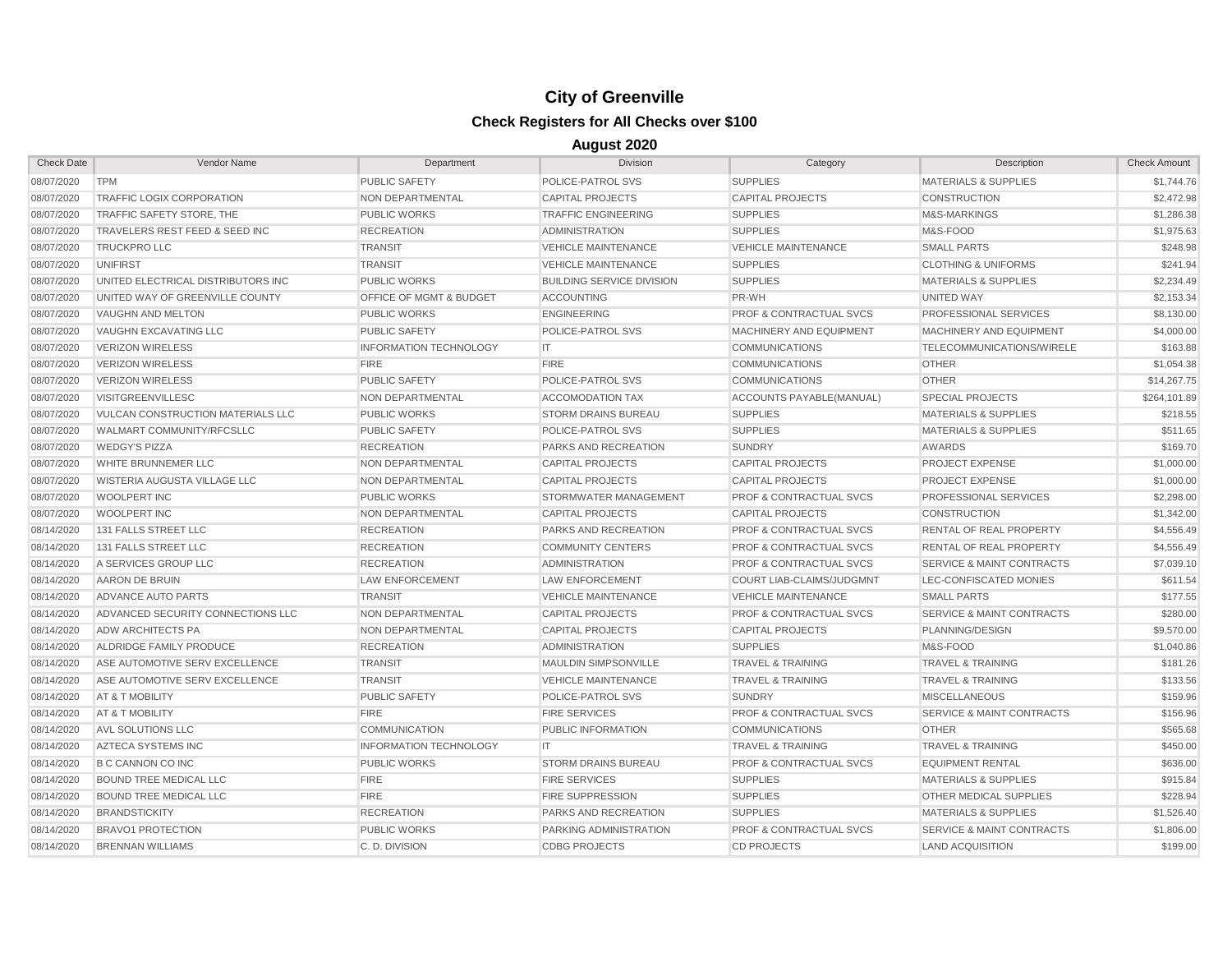| <b>Check Date</b> | Vendor Name                        | Department                    | <b>Division</b>                  | Category                           | Description                          | <b>Check Amount</b> |
|-------------------|------------------------------------|-------------------------------|----------------------------------|------------------------------------|--------------------------------------|---------------------|
| 08/07/2020        | <b>TPM</b>                         | PUBLIC SAFETY                 | POLICE-PATROL SVS                | <b>SUPPLIES</b>                    | <b>MATERIALS &amp; SUPPLIES</b>      | \$1,744.76          |
| 08/07/2020        | TRAFFIC LOGIX CORPORATION          | NON DEPARTMENTAL              | <b>CAPITAL PROJECTS</b>          | <b>CAPITAL PROJECTS</b>            | <b>CONSTRUCTION</b>                  | \$2,472.98          |
| 08/07/2020        | TRAFFIC SAFETY STORE, THE          | <b>PUBLIC WORKS</b>           | <b>TRAFFIC ENGINEERING</b>       | <b>SUPPLIES</b>                    | <b>M&amp;S-MARKINGS</b>              | \$1,286.38          |
| 08/07/2020        | TRAVELERS REST FEED & SEED INC     | <b>RECREATION</b>             | <b>ADMINISTRATION</b>            | <b>SUPPLIES</b>                    | M&S-FOOD                             | \$1,975.63          |
| 08/07/2020        | TRUCKPRO LLC                       | <b>TRANSIT</b>                | <b>VEHICLE MAINTENANCE</b>       | <b>VEHICLE MAINTENANCE</b>         | <b>SMALL PARTS</b>                   | \$248.98            |
| 08/07/2020        | <b>UNIFIRST</b>                    | <b>TRANSIT</b>                | <b>VEHICLE MAINTENANCE</b>       | <b>SUPPLIES</b>                    | <b>CLOTHING &amp; UNIFORMS</b>       | \$241.94            |
| 08/07/2020        | UNITED ELECTRICAL DISTRIBUTORS INC | <b>PUBLIC WORKS</b>           | <b>BUILDING SERVICE DIVISION</b> | <b>SUPPLIES</b>                    | <b>MATERIALS &amp; SUPPLIES</b>      | \$2,234.49          |
| 08/07/2020        | UNITED WAY OF GREENVILLE COUNTY    | OFFICE OF MGMT & BUDGET       | <b>ACCOUNTING</b>                | PR-WH                              | UNITED WAY                           | \$2,153.34          |
| 08/07/2020        | VAUGHN AND MELTON                  | <b>PUBLIC WORKS</b>           | <b>ENGINEERING</b>               | <b>PROF &amp; CONTRACTUAL SVCS</b> | PROFESSIONAL SERVICES                | \$8,130.00          |
| 08/07/2020        | VAUGHN EXCAVATING LLC              | PUBLIC SAFETY                 | POLICE-PATROL SVS                | MACHINERY AND EQUIPMENT            | MACHINERY AND EQUIPMENT              | \$4,000.00          |
| 08/07/2020        | <b>VERIZON WIRELESS</b>            | <b>INFORMATION TECHNOLOGY</b> | IT.                              | <b>COMMUNICATIONS</b>              | TELECOMMUNICATIONS/WIRELE            | \$163.88            |
| 08/07/2020        | <b>VERIZON WIRELESS</b>            | <b>FIRE</b>                   | <b>FIRE</b>                      | <b>COMMUNICATIONS</b>              | <b>OTHER</b>                         | \$1.054.38          |
| 08/07/2020        | <b>VERIZON WIRELESS</b>            | <b>PUBLIC SAFETY</b>          | POLICE-PATROL SVS                | <b>COMMUNICATIONS</b>              | <b>OTHER</b>                         | \$14,267.75         |
| 08/07/2020        | <b>VISITGREENVILLESC</b>           | <b>NON DEPARTMENTAL</b>       | <b>ACCOMODATION TAX</b>          | ACCOUNTS PAYABLE(MANUAL)           | <b>SPECIAL PROJECTS</b>              | \$264,101.89        |
| 08/07/2020        | VULCAN CONSTRUCTION MATERIALS LLC  | <b>PUBLIC WORKS</b>           | <b>STORM DRAINS BUREAU</b>       | <b>SUPPLIES</b>                    | <b>MATERIALS &amp; SUPPLIES</b>      | \$218.55            |
| 08/07/2020        | WALMART COMMUNITY/RFCSLLC          | <b>PUBLIC SAFETY</b>          | POLICE-PATROL SVS                | <b>SUPPLIES</b>                    | <b>MATERIALS &amp; SUPPLIES</b>      | \$511.65            |
| 08/07/2020        | <b>WEDGY'S PIZZA</b>               | <b>RECREATION</b>             | PARKS AND RECREATION             | <b>SUNDRY</b>                      | AWARDS                               | \$169.70            |
| 08/07/2020        | WHITE BRUNNEMER LLC                | NON DEPARTMENTAL              | <b>CAPITAL PROJECTS</b>          | <b>CAPITAL PROJECTS</b>            | <b>PROJECT EXPENSE</b>               | \$1,000.00          |
| 08/07/2020        | WISTERIA AUGUSTA VILLAGE LLC       | NON DEPARTMENTAL              | <b>CAPITAL PROJECTS</b>          | <b>CAPITAL PROJECTS</b>            | <b>PROJECT EXPENSE</b>               | \$1,000.00          |
| 08/07/2020        | WOOLPERT INC                       | <b>PUBLIC WORKS</b>           | STORMWATER MANAGEMENT            | <b>PROF &amp; CONTRACTUAL SVCS</b> | PROFESSIONAL SERVICES                | \$2,298.00          |
| 08/07/2020        | <b>WOOLPERT INC</b>                | NON DEPARTMENTAL              | <b>CAPITAL PROJECTS</b>          | <b>CAPITAL PROJECTS</b>            | <b>CONSTRUCTION</b>                  | \$1,342.00          |
| 08/14/2020        | 131 FALLS STREET LLC               | <b>RECREATION</b>             | <b>PARKS AND RECREATION</b>      | <b>PROF &amp; CONTRACTUAL SVCS</b> | <b>RENTAL OF REAL PROPERTY</b>       | \$4,556.49          |
| 08/14/2020        | 131 FALLS STREET LLC               | <b>RECREATION</b>             | <b>COMMUNITY CENTERS</b>         | <b>PROF &amp; CONTRACTUAL SVCS</b> | RENTAL OF REAL PROPERTY              | \$4,556.49          |
| 08/14/2020        | A SERVICES GROUP LLC               | <b>RECREATION</b>             | <b>ADMINISTRATION</b>            | <b>PROF &amp; CONTRACTUAL SVCS</b> | <b>SERVICE &amp; MAINT CONTRACTS</b> | \$7,039.10          |
| 08/14/2020        | AARON DE BRUIN                     | <b>LAW ENFORCEMENT</b>        | <b>LAW ENFORCEMENT</b>           | <b>COURT LIAB-CLAIMS/JUDGMNT</b>   | LEC-CONFISCATED MONIES               | \$611.54            |
| 08/14/2020        | ADVANCE AUTO PARTS                 | <b>TRANSIT</b>                | <b>VEHICLE MAINTENANCE</b>       | <b>VEHICLE MAINTENANCE</b>         | <b>SMALL PARTS</b>                   | \$177.55            |
| 08/14/2020        | ADVANCED SECURITY CONNECTIONS LLC  | NON DEPARTMENTAL              | <b>CAPITAL PROJECTS</b>          | <b>PROF &amp; CONTRACTUAL SVCS</b> | <b>SERVICE &amp; MAINT CONTRACTS</b> | \$280.00            |
| 08/14/2020        | <b>ADW ARCHITECTS PA</b>           | NON DEPARTMENTAL              | <b>CAPITAL PROJECTS</b>          | <b>CAPITAL PROJECTS</b>            | PLANNING/DESIGN                      | \$9,570.00          |
| 08/14/2020        | ALDRIDGE FAMILY PRODUCE            | <b>RECREATION</b>             | <b>ADMINISTRATION</b>            | <b>SUPPLIES</b>                    | M&S-FOOD                             | \$1,040.86          |
| 08/14/2020        | ASE AUTOMOTIVE SERV EXCELLENCE     | <b>TRANSIT</b>                | <b>MAULDIN SIMPSONVILLE</b>      | <b>TRAVEL &amp; TRAINING</b>       | <b>TRAVEL &amp; TRAINING</b>         | \$181.26            |
| 08/14/2020        | ASE AUTOMOTIVE SERV EXCELLENCE     | <b>TRANSIT</b>                | <b>VEHICLE MAINTENANCE</b>       | <b>TRAVEL &amp; TRAINING</b>       | <b>TRAVEL &amp; TRAINING</b>         | \$133.56            |
| 08/14/2020        | AT & T MOBILITY                    | <b>PUBLIC SAFETY</b>          | POLICE-PATROL SVS                | <b>SUNDRY</b>                      | <b>MISCELLANEOUS</b>                 | \$159.96            |
| 08/14/2020        | AT & T MOBILITY                    | <b>FIRE</b>                   | <b>FIRE SERVICES</b>             | <b>PROF &amp; CONTRACTUAL SVCS</b> | <b>SERVICE &amp; MAINT CONTRACTS</b> | \$156.96            |
| 08/14/2020        | AVL SOLUTIONS LLC                  | <b>COMMUNICATION</b>          | PUBLIC INFORMATION               | <b>COMMUNICATIONS</b>              | <b>OTHER</b>                         | \$565.68            |
| 08/14/2020        | AZTECA SYSTEMS INC                 | <b>INFORMATION TECHNOLOGY</b> | IT                               | <b>TRAVEL &amp; TRAINING</b>       | <b>TRAVEL &amp; TRAINING</b>         | \$450.00            |
| 08/14/2020        | <b>B C CANNON CO INC</b>           | <b>PUBLIC WORKS</b>           | <b>STORM DRAINS BUREAU</b>       | <b>PROF &amp; CONTRACTUAL SVCS</b> | <b>EQUIPMENT RENTAL</b>              | \$636.00            |
| 08/14/2020        | <b>BOUND TREE MEDICAL LLC</b>      | <b>FIRE</b>                   | <b>FIRE SERVICES</b>             | <b>SUPPLIES</b>                    | <b>MATERIALS &amp; SUPPLIES</b>      | \$915.84            |
| 08/14/2020        | <b>BOUND TREE MEDICAL LLC</b>      | <b>FIRE</b>                   | <b>FIRE SUPPRESSION</b>          | <b>SUPPLIES</b>                    | OTHER MEDICAL SUPPLIES               | \$228.94            |
| 08/14/2020        | <b>BRANDSTICKITY</b>               | <b>RECREATION</b>             | PARKS AND RECREATION             | <b>SUPPLIES</b>                    | <b>MATERIALS &amp; SUPPLIES</b>      | \$1,526.40          |
| 08/14/2020        | <b>BRAVO1 PROTECTION</b>           | <b>PUBLIC WORKS</b>           | PARKING ADMINISTRATION           | <b>PROF &amp; CONTRACTUAL SVCS</b> | <b>SERVICE &amp; MAINT CONTRACTS</b> | \$1,806.00          |
| 08/14/2020        | <b>BRENNAN WILLIAMS</b>            | C.D. DIVISION                 | <b>CDBG PROJECTS</b>             | <b>CD PROJECTS</b>                 | <b>LAND ACQUISITION</b>              | \$199.00            |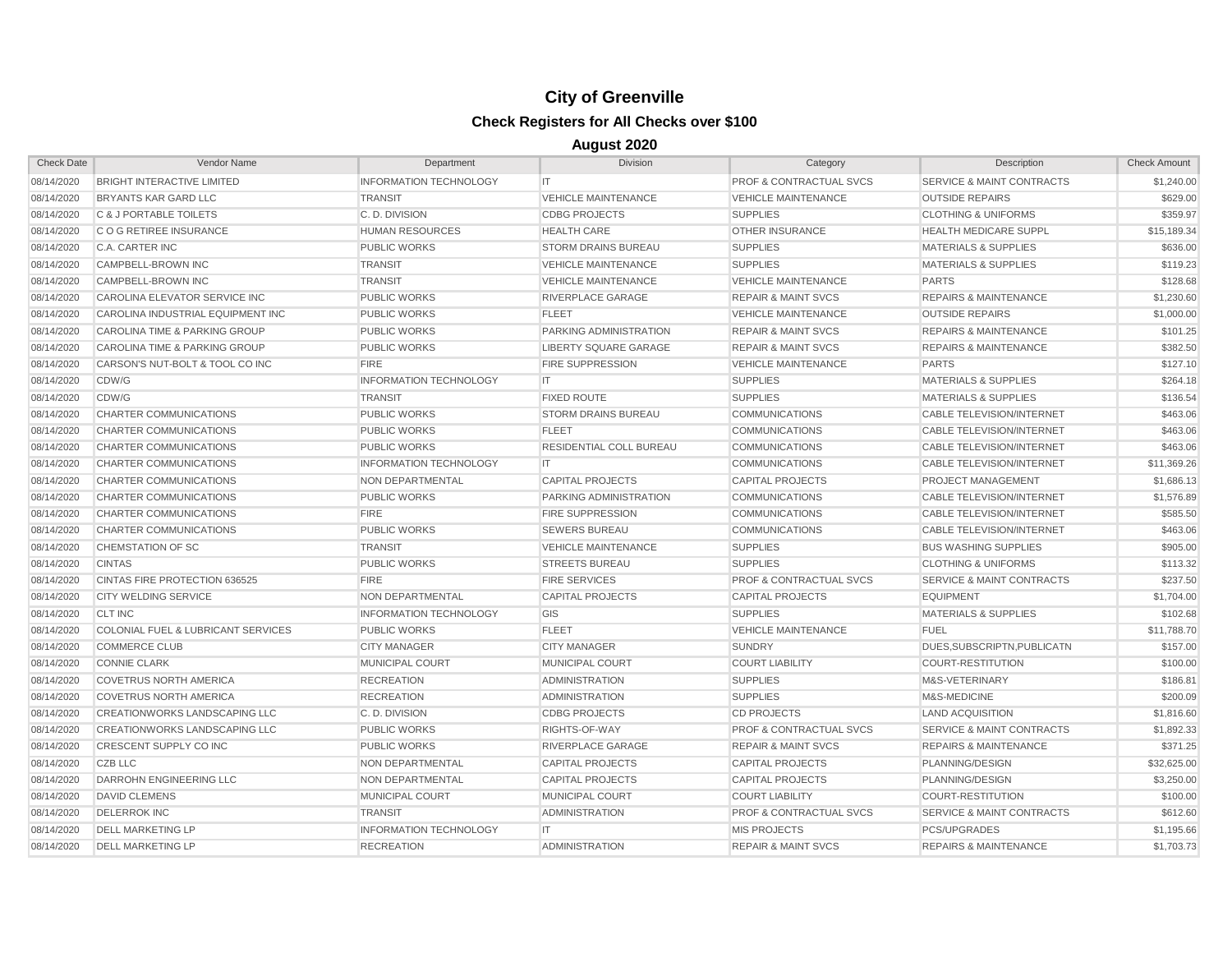| <b>Check Date</b> | Vendor Name                              | Department                    | <b>Division</b>               | Category                           | Description                          | <b>Check Amount</b> |
|-------------------|------------------------------------------|-------------------------------|-------------------------------|------------------------------------|--------------------------------------|---------------------|
| 08/14/2020        | <b>BRIGHT INTERACTIVE LIMITED</b>        | <b>INFORMATION TECHNOLOGY</b> | IT.                           | <b>PROF &amp; CONTRACTUAL SVCS</b> | SERVICE & MAINT CONTRACTS            | \$1,240.00          |
| 08/14/2020        | <b>BRYANTS KAR GARD LLC</b>              | <b>TRANSIT</b>                | <b>VEHICLE MAINTENANCE</b>    | <b>VEHICLE MAINTENANCE</b>         | <b>OUTSIDE REPAIRS</b>               | \$629.00            |
| 08/14/2020        | C & J PORTABLE TOILETS                   | C.D. DIVISION                 | <b>CDBG PROJECTS</b>          | <b>SUPPLIES</b>                    | <b>CLOTHING &amp; UNIFORMS</b>       | \$359.97            |
| 08/14/2020        | C O G RETIREE INSURANCE                  | <b>HUMAN RESOURCES</b>        | <b>HEALTH CARE</b>            | <b>OTHER INSURANCE</b>             | <b>HEALTH MEDICARE SUPPL</b>         | \$15,189.34         |
| 08/14/2020        | C.A. CARTER INC                          | <b>PUBLIC WORKS</b>           | <b>STORM DRAINS BUREAU</b>    | <b>SUPPLIES</b>                    | <b>MATERIALS &amp; SUPPLIES</b>      | \$636.00            |
| 08/14/2020        | CAMPBELL-BROWN INC                       | <b>TRANSIT</b>                | <b>VEHICLE MAINTENANCE</b>    | <b>SUPPLIES</b>                    | <b>MATERIALS &amp; SUPPLIES</b>      | \$119.23            |
| 08/14/2020        | CAMPBELL-BROWN INC                       | <b>TRANSIT</b>                | <b>VEHICLE MAINTENANCE</b>    | <b>VEHICLE MAINTENANCE</b>         | <b>PARTS</b>                         | \$128.68            |
| 08/14/2020        | CAROLINA ELEVATOR SERVICE INC            | <b>PUBLIC WORKS</b>           | RIVERPLACE GARAGE             | <b>REPAIR &amp; MAINT SVCS</b>     | <b>REPAIRS &amp; MAINTENANCE</b>     | \$1,230.60          |
| 08/14/2020        | CAROLINA INDUSTRIAL EQUIPMENT INC        | <b>PUBLIC WORKS</b>           | <b>FLEET</b>                  | <b>VEHICLE MAINTENANCE</b>         | <b>OUTSIDE REPAIRS</b>               | \$1,000.00          |
| 08/14/2020        | <b>CAROLINA TIME &amp; PARKING GROUP</b> | <b>PUBLIC WORKS</b>           | <b>PARKING ADMINISTRATION</b> | <b>REPAIR &amp; MAINT SVCS</b>     | <b>REPAIRS &amp; MAINTENANCE</b>     | \$101.25            |
| 08/14/2020        | CAROLINA TIME & PARKING GROUP            | <b>PUBLIC WORKS</b>           | <b>LIBERTY SOUARE GARAGE</b>  | <b>REPAIR &amp; MAINT SVCS</b>     | <b>REPAIRS &amp; MAINTENANCE</b>     | \$382.50            |
| 08/14/2020        | CARSON'S NUT-BOLT & TOOL CO INC          | <b>FIRE</b>                   | <b>FIRE SUPPRESSION</b>       | <b>VEHICLE MAINTENANCE</b>         | <b>PARTS</b>                         | \$127.10            |
| 08/14/2020        | CDW/G                                    | INFORMATION TECHNOLOGY        | <b>IT</b>                     | <b>SUPPLIES</b>                    | <b>MATERIALS &amp; SUPPLIES</b>      | \$264.18            |
| 08/14/2020        | CDW/G                                    | <b>TRANSIT</b>                | <b>FIXED ROUTE</b>            | <b>SUPPLIES</b>                    | <b>MATERIALS &amp; SUPPLIES</b>      | \$136.54            |
| 08/14/2020        | CHARTER COMMUNICATIONS                   | <b>PUBLIC WORKS</b>           | <b>STORM DRAINS BUREAU</b>    | <b>COMMUNICATIONS</b>              | <b>CABLE TELEVISION/INTERNET</b>     | \$463.06            |
| 08/14/2020        | CHARTER COMMUNICATIONS                   | <b>PUBLIC WORKS</b>           | <b>FLEET</b>                  | <b>COMMUNICATIONS</b>              | CABLE TELEVISION/INTERNET            | \$463.06            |
| 08/14/2020        | CHARTER COMMUNICATIONS                   | <b>PUBLIC WORKS</b>           | RESIDENTIAL COLL BUREAU       | <b>COMMUNICATIONS</b>              | <b>CABLE TELEVISION/INTERNET</b>     | \$463.06            |
| 08/14/2020        | CHARTER COMMUNICATIONS                   | <b>INFORMATION TECHNOLOGY</b> | IT                            | <b>COMMUNICATIONS</b>              | CABLE TELEVISION/INTERNET            | \$11,369.26         |
| 08/14/2020        | CHARTER COMMUNICATIONS                   | NON DEPARTMENTAL              | <b>CAPITAL PROJECTS</b>       | <b>CAPITAL PROJECTS</b>            | <b>PROJECT MANAGEMENT</b>            | \$1,686.13          |
| 08/14/2020        | CHARTER COMMUNICATIONS                   | <b>PUBLIC WORKS</b>           | <b>PARKING ADMINISTRATION</b> | <b>COMMUNICATIONS</b>              | <b>CABLE TELEVISION/INTERNET</b>     | \$1,576.89          |
| 08/14/2020        | CHARTER COMMUNICATIONS                   | <b>FIRE</b>                   | <b>FIRE SUPPRESSION</b>       | <b>COMMUNICATIONS</b>              | <b>CABLE TELEVISION/INTERNET</b>     | \$585.50            |
| 08/14/2020        | CHARTER COMMUNICATIONS                   | <b>PUBLIC WORKS</b>           | <b>SEWERS BUREAU</b>          | <b>COMMUNICATIONS</b>              | <b>CABLE TELEVISION/INTERNET</b>     | \$463.06            |
| 08/14/2020        | CHEMSTATION OF SC                        | <b>TRANSIT</b>                | <b>VEHICLE MAINTENANCE</b>    | <b>SUPPLIES</b>                    | <b>BUS WASHING SUPPLIES</b>          | \$905.00            |
| 08/14/2020        | <b>CINTAS</b>                            | <b>PUBLIC WORKS</b>           | <b>STREETS BUREAU</b>         | <b>SUPPLIES</b>                    | <b>CLOTHING &amp; UNIFORMS</b>       | \$113.32            |
| 08/14/2020        | CINTAS FIRE PROTECTION 636525            | <b>FIRE</b>                   | <b>FIRE SERVICES</b>          | <b>PROF &amp; CONTRACTUAL SVCS</b> | <b>SERVICE &amp; MAINT CONTRACTS</b> | \$237.50            |
| 08/14/2020        | <b>CITY WELDING SERVICE</b>              | <b>NON DEPARTMENTAL</b>       | <b>CAPITAL PROJECTS</b>       | <b>CAPITAL PROJECTS</b>            | <b>EQUIPMENT</b>                     | \$1,704.00          |
| 08/14/2020        | <b>CLT INC</b>                           | <b>INFORMATION TECHNOLOGY</b> | <b>GIS</b>                    | <b>SUPPLIES</b>                    | <b>MATERIALS &amp; SUPPLIES</b>      | \$102.68            |
| 08/14/2020        | COLONIAL FUEL & LUBRICANT SERVICES       | <b>PUBLIC WORKS</b>           | <b>FLEET</b>                  | <b>VEHICLE MAINTENANCE</b>         | <b>FUEL</b>                          | \$11,788.70         |
| 08/14/2020        | <b>COMMERCE CLUB</b>                     | <b>CITY MANAGER</b>           | <b>CITY MANAGER</b>           | <b>SUNDRY</b>                      | DUES, SUBSCRIPTN, PUBLICATN          | \$157.00            |
| 08/14/2020        | <b>CONNIE CLARK</b>                      | <b>MUNICIPAL COURT</b>        | MUNICIPAL COURT               | <b>COURT LIABILITY</b>             | <b>COURT-RESTITUTION</b>             | \$100.00            |
| 08/14/2020        | <b>COVETRUS NORTH AMERICA</b>            | <b>RECREATION</b>             | <b>ADMINISTRATION</b>         | <b>SUPPLIES</b>                    | M&S-VETERINARY                       | \$186.81            |
| 08/14/2020        | <b>COVETRUS NORTH AMERICA</b>            | <b>RECREATION</b>             | <b>ADMINISTRATION</b>         | <b>SUPPLIES</b>                    | M&S-MEDICINE                         | \$200.09            |
| 08/14/2020        | <b>CREATIONWORKS LANDSCAPING LLC</b>     | C.D. DIVISION                 | <b>CDBG PROJECTS</b>          | <b>CD PROJECTS</b>                 | <b>LAND ACQUISITION</b>              | \$1,816.60          |
| 08/14/2020        | CREATIONWORKS LANDSCAPING LLC            | <b>PUBLIC WORKS</b>           | RIGHTS-OF-WAY                 | <b>PROF &amp; CONTRACTUAL SVCS</b> | <b>SERVICE &amp; MAINT CONTRACTS</b> | \$1,892.33          |
| 08/14/2020        | CRESCENT SUPPLY CO INC                   | <b>PUBLIC WORKS</b>           | RIVERPLACE GARAGE             | <b>REPAIR &amp; MAINT SVCS</b>     | <b>REPAIRS &amp; MAINTENANCE</b>     | \$371.25            |
| 08/14/2020        | CZB LLC                                  | NON DEPARTMENTAL              | <b>CAPITAL PROJECTS</b>       | <b>CAPITAL PROJECTS</b>            | PLANNING/DESIGN                      | \$32,625.00         |
| 08/14/2020        | DARROHN ENGINEERING LLC                  | NON DEPARTMENTAL              | <b>CAPITAL PROJECTS</b>       | <b>CAPITAL PROJECTS</b>            | PLANNING/DESIGN                      | \$3,250.00          |
| 08/14/2020        | <b>DAVID CLEMENS</b>                     | <b>MUNICIPAL COURT</b>        | <b>MUNICIPAL COURT</b>        | <b>COURT LIABILITY</b>             | <b>COURT-RESTITUTION</b>             | \$100.00            |
| 08/14/2020        | <b>DELERROK INC</b>                      | <b>TRANSIT</b>                | <b>ADMINISTRATION</b>         | <b>PROF &amp; CONTRACTUAL SVCS</b> | <b>SERVICE &amp; MAINT CONTRACTS</b> | \$612.60            |
| 08/14/2020        | <b>DELL MARKETING LP</b>                 | INFORMATION TECHNOLOGY        | IT.                           | <b>MIS PROJECTS</b>                | <b>PCS/UPGRADES</b>                  | \$1,195.66          |
| 08/14/2020        | <b>DELL MARKETING LP</b>                 | <b>RECREATION</b>             | <b>ADMINISTRATION</b>         | <b>REPAIR &amp; MAINT SVCS</b>     | <b>REPAIRS &amp; MAINTENANCE</b>     | \$1,703.73          |
|                   |                                          |                               |                               |                                    |                                      |                     |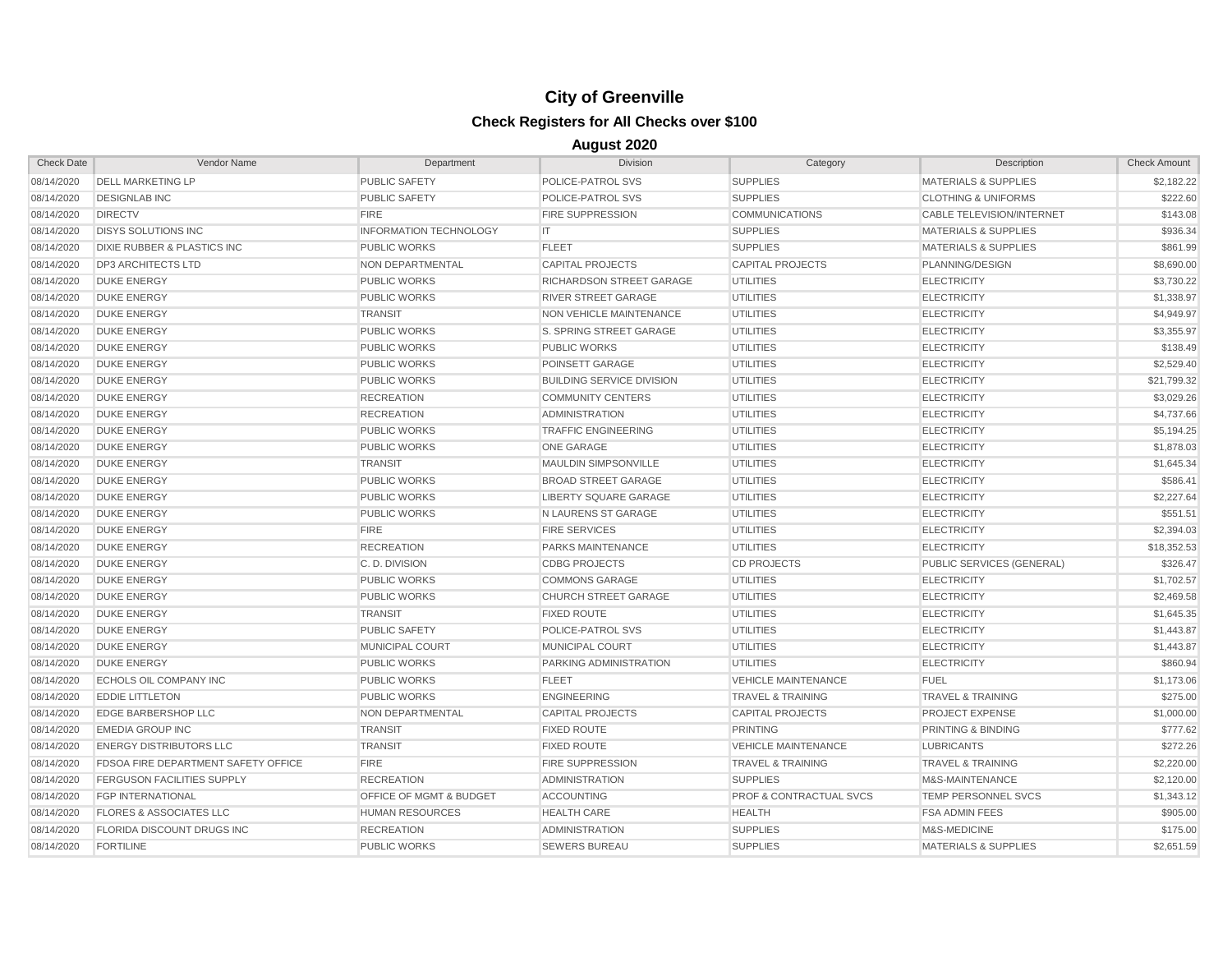| <b>Check Date</b> | Vendor Name                                | Department                         | <b>Division</b>                  | Category                           | Description                      | <b>Check Amount</b> |
|-------------------|--------------------------------------------|------------------------------------|----------------------------------|------------------------------------|----------------------------------|---------------------|
| 08/14/2020        | <b>DELL MARKETING LP</b>                   | <b>PUBLIC SAFETY</b>               | POLICE-PATROL SVS                | <b>SUPPLIES</b>                    | <b>MATERIALS &amp; SUPPLIES</b>  | \$2,182.22          |
| 08/14/2020        | <b>DESIGNLAB INC</b>                       | <b>PUBLIC SAFETY</b>               | POLICE-PATROL SVS                | <b>SUPPLIES</b>                    | <b>CLOTHING &amp; UNIFORMS</b>   | \$222.60            |
| 08/14/2020        | <b>DIRECTV</b>                             | <b>FIRE</b>                        | <b>FIRE SUPPRESSION</b>          | <b>COMMUNICATIONS</b>              | <b>CABLE TELEVISION/INTERNET</b> | \$143.08            |
| 08/14/2020        | <b>DISYS SOLUTIONS INC</b>                 | <b>INFORMATION TECHNOLOGY</b>      | IT                               | <b>SUPPLIES</b>                    | <b>MATERIALS &amp; SUPPLIES</b>  | \$936.34            |
| 08/14/2020        | <b>DIXIE RUBBER &amp; PLASTICS INC</b>     | <b>PUBLIC WORKS</b>                | <b>FLEET</b>                     | <b>SUPPLIES</b>                    | <b>MATERIALS &amp; SUPPLIES</b>  | \$861.99            |
| 08/14/2020        | <b>DP3 ARCHITECTS LTD</b>                  | NON DEPARTMENTAL                   | <b>CAPITAL PROJECTS</b>          | <b>CAPITAL PROJECTS</b>            | PLANNING/DESIGN                  | \$8,690.00          |
| 08/14/2020        | <b>DUKE ENERGY</b>                         | <b>PUBLIC WORKS</b>                | RICHARDSON STREET GARAGE         | <b>UTILITIES</b>                   | <b>ELECTRICITY</b>               | \$3,730.22          |
| 08/14/2020        | <b>DUKE ENERGY</b>                         | <b>PUBLIC WORKS</b>                | <b>RIVER STREET GARAGE</b>       | <b>UTILITIES</b>                   | <b>ELECTRICITY</b>               | \$1,338.97          |
| 08/14/2020        | <b>DUKE ENERGY</b>                         | <b>TRANSIT</b>                     | NON VEHICLE MAINTENANCE          | <b>UTILITIES</b>                   | <b>ELECTRICITY</b>               | \$4,949.97          |
| 08/14/2020        | <b>DUKE ENERGY</b>                         | <b>PUBLIC WORKS</b>                | S. SPRING STREET GARAGE          | <b>UTILITIES</b>                   | <b>ELECTRICITY</b>               | \$3,355.97          |
| 08/14/2020        | <b>DUKE ENERGY</b>                         | <b>PUBLIC WORKS</b>                | <b>PUBLIC WORKS</b>              | <b>UTILITIES</b>                   | <b>ELECTRICITY</b>               | \$138.49            |
| 08/14/2020        | <b>DUKE ENERGY</b>                         | <b>PUBLIC WORKS</b>                | <b>POINSETT GARAGE</b>           | <b>UTILITIES</b>                   | <b>ELECTRICITY</b>               | \$2,529.40          |
| 08/14/2020        | <b>DUKE ENERGY</b>                         | <b>PUBLIC WORKS</b>                | <b>BUILDING SERVICE DIVISION</b> | <b>UTILITIES</b>                   | <b>ELECTRICITY</b>               | \$21.799.32         |
| 08/14/2020        | <b>DUKE ENERGY</b>                         | <b>RECREATION</b>                  | <b>COMMUNITY CENTERS</b>         | <b>UTILITIES</b>                   | <b>ELECTRICITY</b>               | \$3,029.26          |
| 08/14/2020        | <b>DUKE ENERGY</b>                         | <b>RECREATION</b>                  | <b>ADMINISTRATION</b>            | <b>UTILITIES</b>                   | <b>ELECTRICITY</b>               | \$4,737.66          |
| 08/14/2020        | <b>DUKE ENERGY</b>                         | <b>PUBLIC WORKS</b>                | <b>TRAFFIC ENGINEERING</b>       | <b>UTILITIES</b>                   | <b>ELECTRICITY</b>               | \$5,194.25          |
| 08/14/2020        | <b>DUKE ENERGY</b>                         | <b>PUBLIC WORKS</b>                | ONE GARAGE                       | <b>UTILITIES</b>                   | <b>ELECTRICITY</b>               | \$1,878.03          |
| 08/14/2020        | <b>DUKE ENERGY</b>                         | <b>TRANSIT</b>                     | <b>MAULDIN SIMPSONVILLE</b>      | <b>UTILITIES</b>                   | <b>ELECTRICITY</b>               | \$1,645.34          |
| 08/14/2020        | <b>DUKE ENERGY</b>                         | <b>PUBLIC WORKS</b>                | <b>BROAD STREET GARAGE</b>       | <b>UTILITIES</b>                   | <b>ELECTRICITY</b>               | \$586.41            |
| 08/14/2020        | <b>DUKE ENERGY</b>                         | <b>PUBLIC WORKS</b>                | LIBERTY SQUARE GARAGE            | <b>UTILITIES</b>                   | <b>ELECTRICITY</b>               | \$2,227.64          |
| 08/14/2020        | <b>DUKE ENERGY</b>                         | <b>PUBLIC WORKS</b>                | N LAURENS ST GARAGE              | <b>UTILITIES</b>                   | <b>ELECTRICITY</b>               | \$551.51            |
| 08/14/2020        | <b>DUKE ENERGY</b>                         | <b>FIRE</b>                        | <b>FIRE SERVICES</b>             | <b>UTILITIES</b>                   | <b>ELECTRICITY</b>               | \$2,394.03          |
| 08/14/2020        | <b>DUKE ENERGY</b>                         | <b>RECREATION</b>                  | <b>PARKS MAINTENANCE</b>         | <b>UTILITIES</b>                   | <b>ELECTRICITY</b>               | \$18,352.53         |
| 08/14/2020        | <b>DUKE ENERGY</b>                         | C.D. DIVISION                      | <b>CDBG PROJECTS</b>             | <b>CD PROJECTS</b>                 | PUBLIC SERVICES (GENERAL)        | \$326.47            |
| 08/14/2020        | <b>DUKE ENERGY</b>                         | <b>PUBLIC WORKS</b>                | <b>COMMONS GARAGE</b>            | <b>UTILITIES</b>                   | <b>ELECTRICITY</b>               | \$1,702.57          |
| 08/14/2020        | <b>DUKE ENERGY</b>                         | <b>PUBLIC WORKS</b>                | <b>CHURCH STREET GARAGE</b>      | <b>UTILITIES</b>                   | <b>ELECTRICITY</b>               | \$2,469.58          |
| 08/14/2020        | <b>DUKE ENERGY</b>                         | <b>TRANSIT</b>                     | <b>FIXED ROUTE</b>               | <b>UTILITIES</b>                   | <b>ELECTRICITY</b>               | \$1,645.35          |
| 08/14/2020        | <b>DUKE ENERGY</b>                         | <b>PUBLIC SAFETY</b>               | POLICE-PATROL SVS                | <b>UTILITIES</b>                   | <b>ELECTRICITY</b>               | \$1,443.87          |
| 08/14/2020        | <b>DUKE ENERGY</b>                         | MUNICIPAL COURT                    | MUNICIPAL COURT                  | <b>UTILITIES</b>                   | <b>ELECTRICITY</b>               | \$1,443.87          |
| 08/14/2020        | <b>DUKE ENERGY</b>                         | <b>PUBLIC WORKS</b>                | PARKING ADMINISTRATION           | <b>UTILITIES</b>                   | <b>ELECTRICITY</b>               | \$860.94            |
| 08/14/2020        | <b>ECHOLS OIL COMPANY INC</b>              | <b>PUBLIC WORKS</b>                | <b>FLEET</b>                     | <b>VEHICLE MAINTENANCE</b>         | <b>FUEL</b>                      | \$1,173.06          |
| 08/14/2020        | <b>EDDIE LITTLETON</b>                     | <b>PUBLIC WORKS</b>                | <b>ENGINEERING</b>               | <b>TRAVEL &amp; TRAINING</b>       | <b>TRAVEL &amp; TRAINING</b>     | \$275.00            |
| 08/14/2020        | <b>EDGE BARBERSHOP LLC</b>                 | NON DEPARTMENTAL                   | <b>CAPITAL PROJECTS</b>          | <b>CAPITAL PROJECTS</b>            | <b>PROJECT EXPENSE</b>           | \$1,000.00          |
| 08/14/2020        | <b>EMEDIA GROUP INC</b>                    | <b>TRANSIT</b>                     | <b>FIXED ROUTE</b>               | <b>PRINTING</b>                    | PRINTING & BINDING               | \$777.62            |
| 08/14/2020        | <b>ENERGY DISTRIBUTORS LLC</b>             | <b>TRANSIT</b>                     | <b>FIXED ROUTE</b>               | <b>VEHICLE MAINTENANCE</b>         | <b>LUBRICANTS</b>                | \$272.26            |
| 08/14/2020        | <b>FDSOA FIRE DEPARTMENT SAFETY OFFICE</b> | <b>FIRE</b>                        | <b>FIRE SUPPRESSION</b>          | <b>TRAVEL &amp; TRAINING</b>       | <b>TRAVEL &amp; TRAINING</b>     | \$2,220.00          |
| 08/14/2020        | <b>FERGUSON FACILITIES SUPPLY</b>          | <b>RECREATION</b>                  | <b>ADMINISTRATION</b>            | <b>SUPPLIES</b>                    | M&S-MAINTENANCE                  | \$2,120.00          |
| 08/14/2020        | <b>FGP INTERNATIONAL</b>                   | <b>OFFICE OF MGMT &amp; BUDGET</b> | <b>ACCOUNTING</b>                | <b>PROF &amp; CONTRACTUAL SVCS</b> | TEMP PERSONNEL SVCS              | \$1,343.12          |
| 08/14/2020        | <b>FLORES &amp; ASSOCIATES LLC</b>         | <b>HUMAN RESOURCES</b>             | <b>HEALTH CARE</b>               | <b>HEALTH</b>                      | <b>FSA ADMIN FEES</b>            | \$905.00            |
| 08/14/2020        | <b>FLORIDA DISCOUNT DRUGS INC</b>          | <b>RECREATION</b>                  | <b>ADMINISTRATION</b>            | <b>SUPPLIES</b>                    | M&S-MEDICINE                     | \$175.00            |
| 08/14/2020        | <b>FORTILINE</b>                           | <b>PUBLIC WORKS</b>                | <b>SEWERS BUREAU</b>             | <b>SUPPLIES</b>                    | <b>MATERIALS &amp; SUPPLIES</b>  | \$2,651.59          |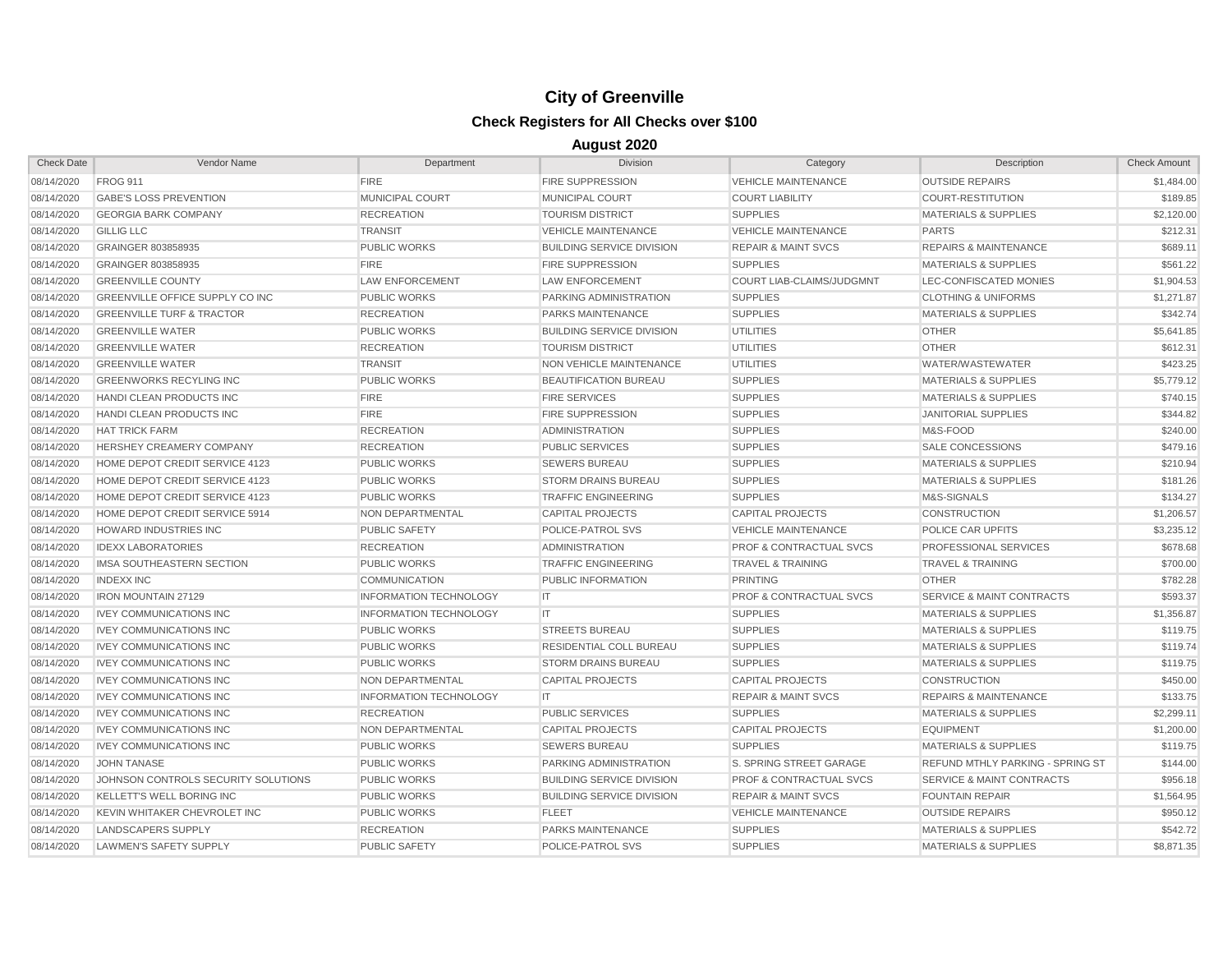| <b>Check Date</b> | Vendor Name                          | Department                    | <b>Division</b>                  | Category                           | Description                             | <b>Check Amount</b> |
|-------------------|--------------------------------------|-------------------------------|----------------------------------|------------------------------------|-----------------------------------------|---------------------|
| 08/14/2020        | <b>FROG 911</b>                      | <b>FIRE</b>                   | <b>FIRE SUPPRESSION</b>          | <b>VEHICLE MAINTENANCE</b>         | <b>OUTSIDE REPAIRS</b>                  | \$1,484.00          |
| 08/14/2020        | <b>GABE'S LOSS PREVENTION</b>        | <b>MUNICIPAL COURT</b>        | <b>MUNICIPAL COURT</b>           | <b>COURT LIABILITY</b>             | <b>COURT-RESTITUTION</b>                | \$189.85            |
| 08/14/2020        | <b>GEORGIA BARK COMPANY</b>          | <b>RECREATION</b>             | <b>TOURISM DISTRICT</b>          | <b>SUPPLIES</b>                    | <b>MATERIALS &amp; SUPPLIES</b>         | \$2,120.00          |
| 08/14/2020        | <b>GILLIG LLC</b>                    | <b>TRANSIT</b>                | <b>VEHICLE MAINTENANCE</b>       | <b>VEHICLE MAINTENANCE</b>         | <b>PARTS</b>                            | \$212.31            |
| 08/14/2020        | GRAINGER 803858935                   | <b>PUBLIC WORKS</b>           | <b>BUILDING SERVICE DIVISION</b> | <b>REPAIR &amp; MAINT SVCS</b>     | <b>REPAIRS &amp; MAINTENANCE</b>        | \$689.11            |
| 08/14/2020        | GRAINGER 803858935                   | <b>FIRE</b>                   | <b>FIRE SUPPRESSION</b>          | <b>SUPPLIES</b>                    | <b>MATERIALS &amp; SUPPLIES</b>         | \$561.22            |
| 08/14/2020        | <b>GREENVILLE COUNTY</b>             | <b>LAW ENFORCEMENT</b>        | LAW ENFORCEMENT                  | COURT LIAB-CLAIMS/JUDGMNT          | LEC-CONFISCATED MONIES                  | \$1,904.53          |
| 08/14/2020        | GREENVILLE OFFICE SUPPLY CO INC      | <b>PUBLIC WORKS</b>           | PARKING ADMINISTRATION           | <b>SUPPLIES</b>                    | <b>CLOTHING &amp; UNIFORMS</b>          | \$1,271.87          |
| 08/14/2020        | <b>GREENVILLE TURF &amp; TRACTOR</b> | <b>RECREATION</b>             | <b>PARKS MAINTENANCE</b>         | <b>SUPPLIES</b>                    | <b>MATERIALS &amp; SUPPLIES</b>         | \$342.74            |
| 08/14/2020        | <b>GREENVILLE WATER</b>              | <b>PUBLIC WORKS</b>           | <b>BUILDING SERVICE DIVISION</b> | <b>UTILITIES</b>                   | <b>OTHER</b>                            | \$5,641.85          |
| 08/14/2020        | <b>GREENVILLE WATER</b>              | <b>RECREATION</b>             | <b>TOURISM DISTRICT</b>          | <b>UTILITIES</b>                   | <b>OTHER</b>                            | \$612.31            |
| 08/14/2020        | <b>GREENVILLE WATER</b>              | <b>TRANSIT</b>                | NON VEHICLE MAINTENANCE          | <b>UTILITIES</b>                   | <b>WATER/WASTEWATER</b>                 | \$423.25            |
| 08/14/2020        | <b>GREENWORKS RECYLING INC</b>       | <b>PUBLIC WORKS</b>           | BEAUTIFICATION BUREAU            | <b>SUPPLIES</b>                    | <b>MATERIALS &amp; SUPPLIES</b>         | \$5,779.12          |
| 08/14/2020        | HANDI CLEAN PRODUCTS INC             | <b>FIRE</b>                   | <b>FIRE SERVICES</b>             | <b>SUPPLIES</b>                    | <b>MATERIALS &amp; SUPPLIES</b>         | \$740.15            |
| 08/14/2020        | HANDI CLEAN PRODUCTS INC             | <b>FIRE</b>                   | <b>FIRE SUPPRESSION</b>          | <b>SUPPLIES</b>                    | <b>JANITORIAL SUPPLIES</b>              | \$344.82            |
| 08/14/2020        | <b>HAT TRICK FARM</b>                | <b>RECREATION</b>             | <b>ADMINISTRATION</b>            | <b>SUPPLIES</b>                    | M&S-FOOD                                | \$240.00            |
| 08/14/2020        | <b>HERSHEY CREAMERY COMPANY</b>      | <b>RECREATION</b>             | <b>PUBLIC SERVICES</b>           | <b>SUPPLIES</b>                    | <b>SALE CONCESSIONS</b>                 | \$479.16            |
| 08/14/2020        | HOME DEPOT CREDIT SERVICE 4123       | <b>PUBLIC WORKS</b>           | <b>SEWERS BUREAU</b>             | <b>SUPPLIES</b>                    | <b>MATERIALS &amp; SUPPLIES</b>         | \$210.94            |
| 08/14/2020        | HOME DEPOT CREDIT SERVICE 4123       | <b>PUBLIC WORKS</b>           | <b>STORM DRAINS BUREAU</b>       | <b>SUPPLIES</b>                    | <b>MATERIALS &amp; SUPPLIES</b>         | \$181.26            |
| 08/14/2020        | HOME DEPOT CREDIT SERVICE 4123       | <b>PUBLIC WORKS</b>           | <b>TRAFFIC ENGINEERING</b>       | <b>SUPPLIES</b>                    | M&S-SIGNALS                             | \$134.27            |
| 08/14/2020        | HOME DEPOT CREDIT SERVICE 5914       | NON DEPARTMENTAL              | <b>CAPITAL PROJECTS</b>          | <b>CAPITAL PROJECTS</b>            | CONSTRUCTION                            | \$1,206.57          |
| 08/14/2020        | <b>HOWARD INDUSTRIES INC</b>         | <b>PUBLIC SAFETY</b>          | POLICE-PATROL SVS                | <b>VEHICLE MAINTENANCE</b>         | POLICE CAR UPFITS                       | \$3,235.12          |
| 08/14/2020        | <b>IDEXX LABORATORIES</b>            | <b>RECREATION</b>             | <b>ADMINISTRATION</b>            | <b>PROF &amp; CONTRACTUAL SVCS</b> | PROFESSIONAL SERVICES                   | \$678.68            |
| 08/14/2020        | IMSA SOUTHEASTERN SECTION            | <b>PUBLIC WORKS</b>           | <b>TRAFFIC ENGINEERING</b>       | <b>TRAVEL &amp; TRAINING</b>       | <b>TRAVEL &amp; TRAINING</b>            | \$700.00            |
| 08/14/2020        | <b>INDEXX INC</b>                    | <b>COMMUNICATION</b>          | <b>PUBLIC INFORMATION</b>        | <b>PRINTING</b>                    | <b>OTHER</b>                            | \$782.28            |
| 08/14/2020        | IRON MOUNTAIN 27129                  | <b>INFORMATION TECHNOLOGY</b> | IT                               | <b>PROF &amp; CONTRACTUAL SVCS</b> | <b>SERVICE &amp; MAINT CONTRACTS</b>    | \$593.37            |
| 08/14/2020        | <b>IVEY COMMUNICATIONS INC</b>       | <b>INFORMATION TECHNOLOGY</b> | IT                               | <b>SUPPLIES</b>                    | <b>MATERIALS &amp; SUPPLIES</b>         | \$1,356.87          |
| 08/14/2020        | <b>IVEY COMMUNICATIONS INC</b>       | <b>PUBLIC WORKS</b>           | <b>STREETS BUREAU</b>            | <b>SUPPLIES</b>                    | <b>MATERIALS &amp; SUPPLIES</b>         | \$119.75            |
| 08/14/2020        | <b>IVEY COMMUNICATIONS INC</b>       | <b>PUBLIC WORKS</b>           | RESIDENTIAL COLL BUREAU          | <b>SUPPLIES</b>                    | <b>MATERIALS &amp; SUPPLIES</b>         | \$119.74            |
| 08/14/2020        | <b>IVEY COMMUNICATIONS INC</b>       | <b>PUBLIC WORKS</b>           | <b>STORM DRAINS BUREAU</b>       | <b>SUPPLIES</b>                    | <b>MATERIALS &amp; SUPPLIES</b>         | \$119.75            |
| 08/14/2020        | <b>IVEY COMMUNICATIONS INC</b>       | <b>NON DEPARTMENTAL</b>       | <b>CAPITAL PROJECTS</b>          | <b>CAPITAL PROJECTS</b>            | <b>CONSTRUCTION</b>                     | \$450.00            |
| 08/14/2020        | <b>IVEY COMMUNICATIONS INC</b>       | <b>INFORMATION TECHNOLOGY</b> | IT                               | <b>REPAIR &amp; MAINT SVCS</b>     | <b>REPAIRS &amp; MAINTENANCE</b>        | \$133.75            |
| 08/14/2020        | <b>IVEY COMMUNICATIONS INC</b>       | <b>RECREATION</b>             | PUBLIC SERVICES                  | <b>SUPPLIES</b>                    | <b>MATERIALS &amp; SUPPLIES</b>         | \$2,299.11          |
| 08/14/2020        | <b>IVEY COMMUNICATIONS INC</b>       | NON DEPARTMENTAL              | <b>CAPITAL PROJECTS</b>          | <b>CAPITAL PROJECTS</b>            | <b>EQUIPMENT</b>                        | \$1,200.00          |
| 08/14/2020        | <b>IVEY COMMUNICATIONS INC</b>       | <b>PUBLIC WORKS</b>           | <b>SEWERS BUREAU</b>             | <b>SUPPLIES</b>                    | <b>MATERIALS &amp; SUPPLIES</b>         | \$119.75            |
| 08/14/2020        | <b>JOHN TANASE</b>                   | <b>PUBLIC WORKS</b>           | PARKING ADMINISTRATION           | S. SPRING STREET GARAGE            | <b>REFUND MTHLY PARKING - SPRING ST</b> | \$144.00            |
| 08/14/2020        | JOHNSON CONTROLS SECURITY SOLUTIONS  | <b>PUBLIC WORKS</b>           | <b>BUILDING SERVICE DIVISION</b> | <b>PROF &amp; CONTRACTUAL SVCS</b> | <b>SERVICE &amp; MAINT CONTRACTS</b>    | \$956.18            |
| 08/14/2020        | <b>KELLETT'S WELL BORING INC.</b>    | <b>PUBLIC WORKS</b>           | <b>BUILDING SERVICE DIVISION</b> | <b>REPAIR &amp; MAINT SVCS</b>     | <b>FOUNTAIN REPAIR</b>                  | \$1,564.95          |
| 08/14/2020        | KEVIN WHITAKER CHEVROLET INC         | <b>PUBLIC WORKS</b>           | <b>FLEET</b>                     | <b>VEHICLE MAINTENANCE</b>         | <b>OUTSIDE REPAIRS</b>                  | \$950.12            |
| 08/14/2020        | LANDSCAPERS SUPPLY                   | <b>RECREATION</b>             | <b>PARKS MAINTENANCE</b>         | <b>SUPPLIES</b>                    | <b>MATERIALS &amp; SUPPLIES</b>         | \$542.72            |
| 08/14/2020        | LAWMEN'S SAFETY SUPPLY               | <b>PUBLIC SAFETY</b>          | POLICE-PATROL SVS                | <b>SUPPLIES</b>                    | <b>MATERIALS &amp; SUPPLIES</b>         | \$8,871.35          |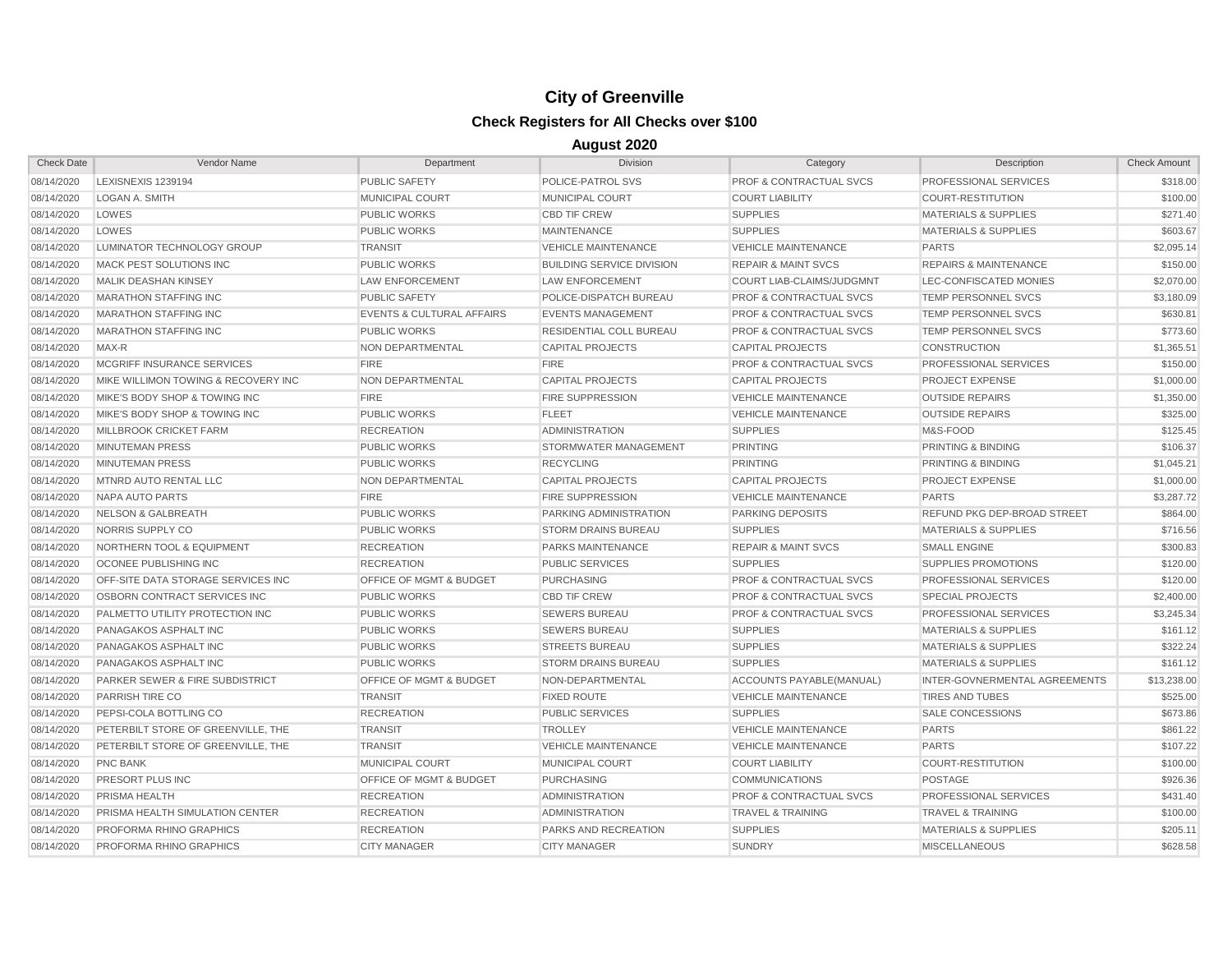| <b>Check Date</b> | Vendor Name                               | Department                           | <b>Division</b>                  | Category                           | Description                      | <b>Check Amount</b> |
|-------------------|-------------------------------------------|--------------------------------------|----------------------------------|------------------------------------|----------------------------------|---------------------|
| 08/14/2020        | LEXISNEXIS 1239194                        | <b>PUBLIC SAFETY</b>                 | POLICE-PATROL SVS                | <b>PROF &amp; CONTRACTUAL SVCS</b> | PROFESSIONAL SERVICES            | \$318.00            |
| 08/14/2020        | <b>LOGAN A. SMITH</b>                     | <b>MUNICIPAL COURT</b>               | <b>MUNICIPAL COURT</b>           | <b>COURT LIABILITY</b>             | <b>COURT-RESTITUTION</b>         | \$100.00            |
| 08/14/2020        | LOWES                                     | <b>PUBLIC WORKS</b>                  | <b>CBD TIF CREW</b>              | <b>SUPPLIES</b>                    | <b>MATERIALS &amp; SUPPLIES</b>  | \$271.40            |
| 08/14/2020        | LOWES                                     | <b>PUBLIC WORKS</b>                  | <b>MAINTENANCE</b>               | <b>SUPPLIES</b>                    | <b>MATERIALS &amp; SUPPLIES</b>  | \$603.67            |
| 08/14/2020        | LUMINATOR TECHNOLOGY GROUP                | <b>TRANSIT</b>                       | <b>VEHICLE MAINTENANCE</b>       | <b>VEHICLE MAINTENANCE</b>         | <b>PARTS</b>                     | \$2,095.14          |
| 08/14/2020        | MACK PEST SOLUTIONS INC                   | <b>PUBLIC WORKS</b>                  | <b>BUILDING SERVICE DIVISION</b> | <b>REPAIR &amp; MAINT SVCS</b>     | <b>REPAIRS &amp; MAINTENANCE</b> | \$150.00            |
| 08/14/2020        | <b>MALIK DEASHAN KINSEY</b>               | <b>LAW ENFORCEMENT</b>               | <b>LAW ENFORCEMENT</b>           | <b>COURT LIAB-CLAIMS/JUDGMNT</b>   | LEC-CONFISCATED MONIES           | \$2,070.00          |
| 08/14/2020        | <b>MARATHON STAFFING INC</b>              | <b>PUBLIC SAFETY</b>                 | POLICE-DISPATCH BUREAU           | <b>PROF &amp; CONTRACTUAL SVCS</b> | <b>TEMP PERSONNEL SVCS</b>       | \$3,180.09          |
| 08/14/2020        | <b>MARATHON STAFFING INC</b>              | <b>EVENTS &amp; CULTURAL AFFAIRS</b> | <b>EVENTS MANAGEMENT</b>         | <b>PROF &amp; CONTRACTUAL SVCS</b> | <b>TEMP PERSONNEL SVCS</b>       | \$630.81            |
| 08/14/2020        | <b>MARATHON STAFFING INC</b>              | <b>PUBLIC WORKS</b>                  | RESIDENTIAL COLL BUREAU          | <b>PROF &amp; CONTRACTUAL SVCS</b> | TEMP PERSONNEL SVCS              | \$773.60            |
| 08/14/2020        | MAX-R                                     | NON DEPARTMENTAL                     | <b>CAPITAL PROJECTS</b>          | <b>CAPITAL PROJECTS</b>            | <b>CONSTRUCTION</b>              | \$1,365.51          |
| 08/14/2020        | MCGRIFF INSURANCE SERVICES                | <b>FIRE</b>                          | <b>FIRE</b>                      | <b>PROF &amp; CONTRACTUAL SVCS</b> | PROFESSIONAL SERVICES            | \$150.00            |
| 08/14/2020        | MIKE WILLIMON TOWING & RECOVERY INC       | <b>NON DEPARTMENTAL</b>              | <b>CAPITAL PROJECTS</b>          | <b>CAPITAL PROJECTS</b>            | <b>PROJECT EXPENSE</b>           | \$1,000.00          |
| 08/14/2020        | MIKE'S BODY SHOP & TOWING INC             | <b>FIRE</b>                          | <b>FIRE SUPPRESSION</b>          | <b>VEHICLE MAINTENANCE</b>         | <b>OUTSIDE REPAIRS</b>           | \$1,350.00          |
| 08/14/2020        | MIKE'S BODY SHOP & TOWING INC             | <b>PUBLIC WORKS</b>                  | <b>FLEET</b>                     | <b>VEHICLE MAINTENANCE</b>         | <b>OUTSIDE REPAIRS</b>           | \$325.00            |
| 08/14/2020        | <b>MILLBROOK CRICKET FARM</b>             | <b>RECREATION</b>                    | <b>ADMINISTRATION</b>            | <b>SUPPLIES</b>                    | M&S-FOOD                         | \$125.45            |
| 08/14/2020        | <b>MINUTEMAN PRESS</b>                    | <b>PUBLIC WORKS</b>                  | STORMWATER MANAGEMENT            | <b>PRINTING</b>                    | PRINTING & BINDING               | \$106.37            |
| 08/14/2020        | <b>MINUTEMAN PRESS</b>                    | <b>PUBLIC WORKS</b>                  | <b>RECYCLING</b>                 | <b>PRINTING</b>                    | PRINTING & BINDING               | \$1,045.21          |
| 08/14/2020        | MTNRD AUTO RENTAL LLC                     | NON DEPARTMENTAL                     | <b>CAPITAL PROJECTS</b>          | <b>CAPITAL PROJECTS</b>            | <b>PROJECT EXPENSE</b>           | \$1,000.00          |
| 08/14/2020        | NAPA AUTO PARTS                           | <b>FIRE</b>                          | <b>FIRE SUPPRESSION</b>          | <b>VEHICLE MAINTENANCE</b>         | <b>PARTS</b>                     | \$3,287.72          |
| 08/14/2020        | NELSON & GALBREATH                        | <b>PUBLIC WORKS</b>                  | PARKING ADMINISTRATION           | <b>PARKING DEPOSITS</b>            | REFUND PKG DEP-BROAD STREET      | \$864.00            |
| 08/14/2020        | NORRIS SUPPLY CO                          | <b>PUBLIC WORKS</b>                  | <b>STORM DRAINS BUREAU</b>       | <b>SUPPLIES</b>                    | <b>MATERIALS &amp; SUPPLIES</b>  | \$716.56            |
| 08/14/2020        | NORTHERN TOOL & EQUIPMENT                 | <b>RECREATION</b>                    | <b>PARKS MAINTENANCE</b>         | <b>REPAIR &amp; MAINT SVCS</b>     | <b>SMALL ENGINE</b>              | \$300.83            |
| 08/14/2020        | OCONEE PUBLISHING INC                     | <b>RECREATION</b>                    | <b>PUBLIC SERVICES</b>           | <b>SUPPLIES</b>                    | <b>SUPPLIES PROMOTIONS</b>       | \$120.00            |
| 08/14/2020        | <b>OFF-SITE DATA STORAGE SERVICES INC</b> | <b>OFFICE OF MGMT &amp; BUDGET</b>   | <b>PURCHASING</b>                | <b>PROF &amp; CONTRACTUAL SVCS</b> | PROFESSIONAL SERVICES            | \$120.00            |
| 08/14/2020        | OSBORN CONTRACT SERVICES INC              | <b>PUBLIC WORKS</b>                  | <b>CBD TIF CREW</b>              | <b>PROF &amp; CONTRACTUAL SVCS</b> | <b>SPECIAL PROJECTS</b>          | \$2,400.00          |
| 08/14/2020        | <b>PALMETTO UTILITY PROTECTION INC</b>    | <b>PUBLIC WORKS</b>                  | <b>SEWERS BUREAU</b>             | <b>PROF &amp; CONTRACTUAL SVCS</b> | <b>PROFESSIONAL SERVICES</b>     | \$3,245.34          |
| 08/14/2020        | PANAGAKOS ASPHALT INC                     | <b>PUBLIC WORKS</b>                  | <b>SEWERS BUREAU</b>             | <b>SUPPLIES</b>                    | <b>MATERIALS &amp; SUPPLIES</b>  | \$161.12            |
| 08/14/2020        | PANAGAKOS ASPHALT INC                     | <b>PUBLIC WORKS</b>                  | <b>STREETS BUREAU</b>            | <b>SUPPLIES</b>                    | <b>MATERIALS &amp; SUPPLIES</b>  | \$322.24            |
| 08/14/2020        | PANAGAKOS ASPHALT INC                     | <b>PUBLIC WORKS</b>                  | <b>STORM DRAINS BUREAU</b>       | <b>SUPPLIES</b>                    | <b>MATERIALS &amp; SUPPLIES</b>  | \$161.12            |
| 08/14/2020        | PARKER SEWER & FIRE SUBDISTRICT           | OFFICE OF MGMT & BUDGET              | NON-DEPARTMENTAL                 | ACCOUNTS PAYABLE(MANUAL)           | INTER-GOVNERMENTAL AGREEMENTS    | \$13,238.00         |
| 08/14/2020        | PARRISH TIRE CO                           | <b>TRANSIT</b>                       | <b>FIXED ROUTE</b>               | <b>VEHICLE MAINTENANCE</b>         | <b>TIRES AND TUBES</b>           | \$525.00            |
| 08/14/2020        | PEPSI-COLA BOTTLING CO                    | <b>RECREATION</b>                    | <b>PUBLIC SERVICES</b>           | <b>SUPPLIES</b>                    | <b>SALE CONCESSIONS</b>          | \$673.86            |
| 08/14/2020        | PETERBILT STORE OF GREENVILLE, THE        | <b>TRANSIT</b>                       | <b>TROLLEY</b>                   | <b>VEHICLE MAINTENANCE</b>         | <b>PARTS</b>                     | \$861.22            |
| 08/14/2020        | PETERBILT STORE OF GREENVILLE. THE        | <b>TRANSIT</b>                       | <b>VEHICLE MAINTENANCE</b>       | <b>VEHICLE MAINTENANCE</b>         | <b>PARTS</b>                     | \$107.22            |
| 08/14/2020        | <b>PNC BANK</b>                           | MUNICIPAL COURT                      | <b>MUNICIPAL COURT</b>           | <b>COURT LIABILITY</b>             | <b>COURT-RESTITUTION</b>         | \$100.00            |
| 08/14/2020        | <b>PRESORT PLUS INC</b>                   | OFFICE OF MGMT & BUDGET              | <b>PURCHASING</b>                | <b>COMMUNICATIONS</b>              | <b>POSTAGE</b>                   | \$926.36            |
| 08/14/2020        | <b>PRISMA HEALTH</b>                      | <b>RECREATION</b>                    | <b>ADMINISTRATION</b>            | <b>PROF &amp; CONTRACTUAL SVCS</b> | PROFESSIONAL SERVICES            | \$431.40            |
| 08/14/2020        | PRISMA HEALTH SIMULATION CENTER           | <b>RECREATION</b>                    | <b>ADMINISTRATION</b>            | <b>TRAVEL &amp; TRAINING</b>       | <b>TRAVEL &amp; TRAINING</b>     | \$100.00            |
| 08/14/2020        | PROFORMA RHINO GRAPHICS                   | <b>RECREATION</b>                    | PARKS AND RECREATION             | <b>SUPPLIES</b>                    | <b>MATERIALS &amp; SUPPLIES</b>  | \$205.11            |
| 08/14/2020        | <b>PROFORMA RHINO GRAPHICS</b>            | <b>CITY MANAGER</b>                  | <b>CITY MANAGER</b>              | <b>SUNDRY</b>                      | <b>MISCELLANEOUS</b>             | \$628.58            |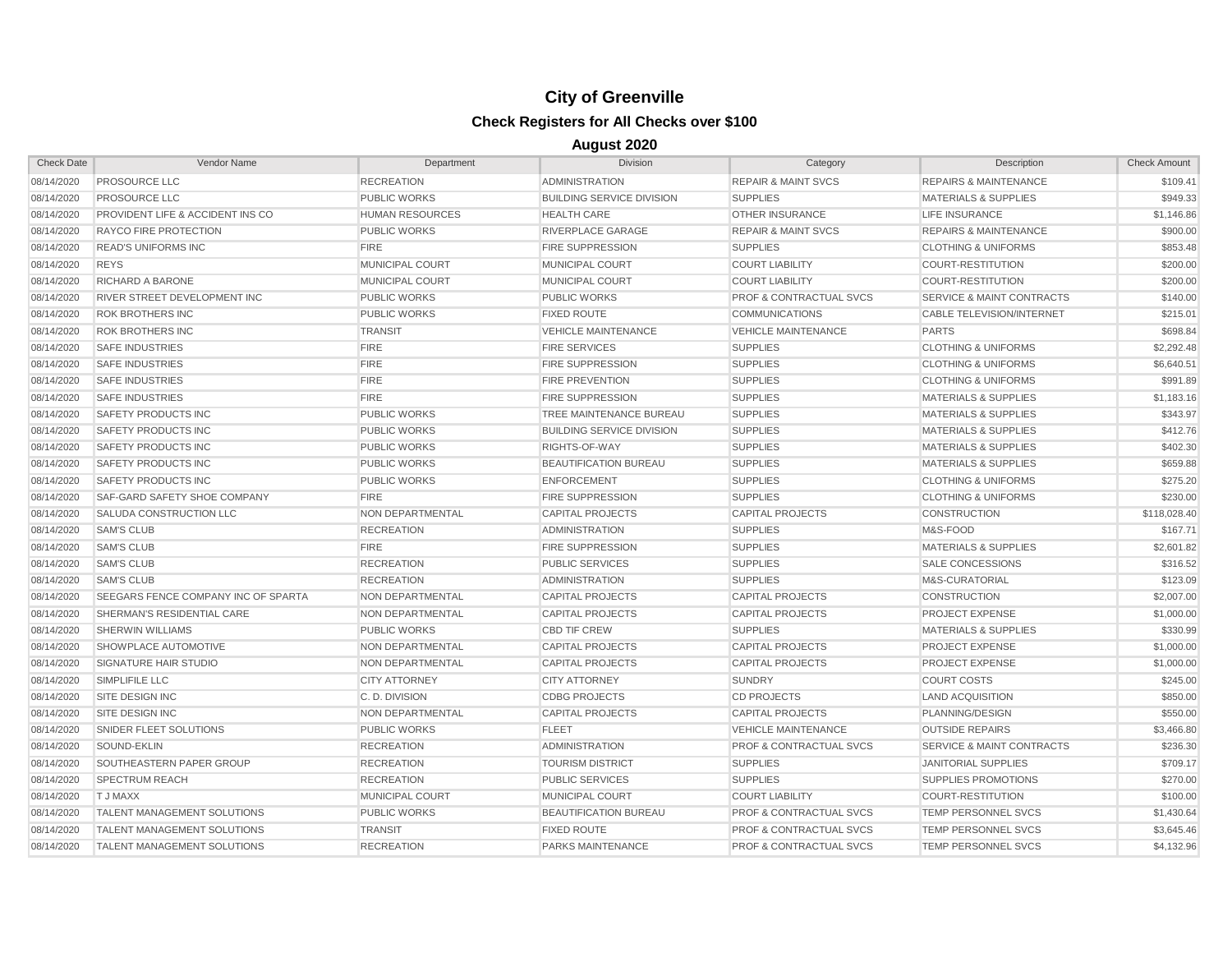| <b>Check Date</b> | Vendor Name                                 | Department              | <b>Division</b>                  | Category                           | Description                          | <b>Check Amount</b> |
|-------------------|---------------------------------------------|-------------------------|----------------------------------|------------------------------------|--------------------------------------|---------------------|
| 08/14/2020        | <b>PROSOURCE LLC</b>                        | <b>RECREATION</b>       | <b>ADMINISTRATION</b>            | <b>REPAIR &amp; MAINT SVCS</b>     | <b>REPAIRS &amp; MAINTENANCE</b>     | \$109.41            |
| 08/14/2020        | <b>PROSOURCE LLC</b>                        | <b>PUBLIC WORKS</b>     | <b>BUILDING SERVICE DIVISION</b> | <b>SUPPLIES</b>                    | <b>MATERIALS &amp; SUPPLIES</b>      | \$949.33            |
| 08/14/2020        | <b>PROVIDENT LIFE &amp; ACCIDENT INS CO</b> | <b>HUMAN RESOURCES</b>  | <b>HEALTH CARE</b>               | <b>OTHER INSURANCE</b>             | <b>LIFE INSURANCE</b>                | \$1,146.86          |
| 08/14/2020        | RAYCO FIRE PROTECTION                       | <b>PUBLIC WORKS</b>     | RIVERPLACE GARAGE                | <b>REPAIR &amp; MAINT SVCS</b>     | <b>REPAIRS &amp; MAINTENANCE</b>     | \$900.00            |
| 08/14/2020        | <b>READ'S UNIFORMS INC</b>                  | <b>FIRE</b>             | <b>FIRE SUPPRESSION</b>          | <b>SUPPLIES</b>                    | <b>CLOTHING &amp; UNIFORMS</b>       | \$853.48            |
| 08/14/2020        | <b>REYS</b>                                 | MUNICIPAL COURT         | <b>MUNICIPAL COURT</b>           | <b>COURT LIABILITY</b>             | <b>COURT-RESTITUTION</b>             | \$200.00            |
| 08/14/2020        | RICHARD A BARONE                            | <b>MUNICIPAL COURT</b>  | <b>MUNICIPAL COURT</b>           | <b>COURT LIABILITY</b>             | <b>COURT-RESTITUTION</b>             | \$200.00            |
| 08/14/2020        | RIVER STREET DEVELOPMENT INC                | <b>PUBLIC WORKS</b>     | <b>PUBLIC WORKS</b>              | <b>PROF &amp; CONTRACTUAL SVCS</b> | <b>SERVICE &amp; MAINT CONTRACTS</b> | \$140.00            |
| 08/14/2020        | <b>ROK BROTHERS INC</b>                     | <b>PUBLIC WORKS</b>     | <b>FIXED ROUTE</b>               | <b>COMMUNICATIONS</b>              | CABLE TELEVISION/INTERNET            | \$215.01            |
| 08/14/2020        | <b>ROK BROTHERS INC</b>                     | <b>TRANSIT</b>          | <b>VEHICLE MAINTENANCE</b>       | <b>VEHICLE MAINTENANCE</b>         | <b>PARTS</b>                         | \$698.84            |
| 08/14/2020        | <b>SAFE INDUSTRIES</b>                      | <b>FIRE</b>             | <b>FIRE SERVICES</b>             | <b>SUPPLIES</b>                    | <b>CLOTHING &amp; UNIFORMS</b>       | \$2,292.48          |
| 08/14/2020        | <b>SAFE INDUSTRIES</b>                      | <b>FIRE</b>             | <b>FIRE SUPPRESSION</b>          | <b>SUPPLIES</b>                    | <b>CLOTHING &amp; UNIFORMS</b>       | \$6,640.51          |
| 08/14/2020        | <b>SAFE INDUSTRIES</b>                      | <b>FIRE</b>             | <b>FIRE PREVENTION</b>           | <b>SUPPLIES</b>                    | <b>CLOTHING &amp; UNIFORMS</b>       | \$991.89            |
| 08/14/2020        | <b>SAFE INDUSTRIES</b>                      | <b>FIRE</b>             | <b>FIRE SUPPRESSION</b>          | <b>SUPPLIES</b>                    | <b>MATERIALS &amp; SUPPLIES</b>      | \$1,183.16          |
| 08/14/2020        | SAFETY PRODUCTS INC                         | <b>PUBLIC WORKS</b>     | <b>TREE MAINTENANCE BUREAU</b>   | <b>SUPPLIES</b>                    | <b>MATERIALS &amp; SUPPLIES</b>      | \$343.97            |
| 08/14/2020        | SAFETY PRODUCTS INC                         | <b>PUBLIC WORKS</b>     | <b>BUILDING SERVICE DIVISION</b> | <b>SUPPLIES</b>                    | <b>MATERIALS &amp; SUPPLIES</b>      | \$412.76            |
| 08/14/2020        | SAFETY PRODUCTS INC                         | <b>PUBLIC WORKS</b>     | RIGHTS-OF-WAY                    | <b>SUPPLIES</b>                    | <b>MATERIALS &amp; SUPPLIES</b>      | \$402.30            |
| 08/14/2020        | SAFETY PRODUCTS INC                         | <b>PUBLIC WORKS</b>     | BEAUTIFICATION BUREAU            | <b>SUPPLIES</b>                    | <b>MATERIALS &amp; SUPPLIES</b>      | \$659.88            |
| 08/14/2020        | <b>SAFETY PRODUCTS INC</b>                  | <b>PUBLIC WORKS</b>     | <b>ENFORCEMENT</b>               | <b>SUPPLIES</b>                    | <b>CLOTHING &amp; UNIFORMS</b>       | \$275.20            |
| 08/14/2020        | <b>SAF-GARD SAFETY SHOE COMPANY</b>         | <b>FIRE</b>             | <b>FIRE SUPPRESSION</b>          | <b>SUPPLIES</b>                    | <b>CLOTHING &amp; UNIFORMS</b>       | \$230.00            |
| 08/14/2020        | SALUDA CONSTRUCTION LLC                     | NON DEPARTMENTAL        | <b>CAPITAL PROJECTS</b>          | <b>CAPITAL PROJECTS</b>            | <b>CONSTRUCTION</b>                  | \$118,028.40        |
| 08/14/2020        | <b>SAM'S CLUB</b>                           | <b>RECREATION</b>       | <b>ADMINISTRATION</b>            | <b>SUPPLIES</b>                    | M&S-FOOD                             | \$167.71            |
| 08/14/2020        | <b>SAM'S CLUB</b>                           | <b>FIRE</b>             | <b>FIRE SUPPRESSION</b>          | <b>SUPPLIES</b>                    | <b>MATERIALS &amp; SUPPLIES</b>      | \$2,601.82          |
| 08/14/2020        | <b>SAM'S CLUB</b>                           | <b>RECREATION</b>       | <b>PUBLIC SERVICES</b>           | <b>SUPPLIES</b>                    | SALE CONCESSIONS                     | \$316.52            |
| 08/14/2020        | <b>SAM'S CLUB</b>                           | <b>RECREATION</b>       | <b>ADMINISTRATION</b>            | <b>SUPPLIES</b>                    | M&S-CURATORIAL                       | \$123.09            |
| 08/14/2020        | <b>SEEGARS FENCE COMPANY INC OF SPARTA</b>  | <b>NON DEPARTMENTAL</b> | <b>CAPITAL PROJECTS</b>          | <b>CAPITAL PROJECTS</b>            | <b>CONSTRUCTION</b>                  | \$2,007.00          |
| 08/14/2020        | SHERMAN'S RESIDENTIAL CARE                  | NON DEPARTMENTAL        | <b>CAPITAL PROJECTS</b>          | <b>CAPITAL PROJECTS</b>            | PROJECT EXPENSE                      | \$1,000.00          |
| 08/14/2020        | <b>SHERWIN WILLIAMS</b>                     | <b>PUBLIC WORKS</b>     | <b>CBD TIF CREW</b>              | <b>SUPPLIES</b>                    | <b>MATERIALS &amp; SUPPLIES</b>      | \$330.99            |
| 08/14/2020        | SHOWPLACE AUTOMOTIVE                        | <b>NON DEPARTMENTAL</b> | <b>CAPITAL PROJECTS</b>          | <b>CAPITAL PROJECTS</b>            | <b>PROJECT EXPENSE</b>               | \$1,000.00          |
| 08/14/2020        | SIGNATURE HAIR STUDIO                       | <b>NON DEPARTMENTAL</b> | <b>CAPITAL PROJECTS</b>          | <b>CAPITAL PROJECTS</b>            | <b>PROJECT EXPENSE</b>               | \$1,000.00          |
| 08/14/2020        | SIMPLIFILE LLC                              | <b>CITY ATTORNEY</b>    | <b>CITY ATTORNEY</b>             | <b>SUNDRY</b>                      | <b>COURT COSTS</b>                   | \$245.00            |
| 08/14/2020        | <b>SITE DESIGN INC</b>                      | C.D. DIVISION           | <b>CDBG PROJECTS</b>             | <b>CD PROJECTS</b>                 | <b>LAND ACQUISITION</b>              | \$850.00            |
| 08/14/2020        | SITE DESIGN INC                             | <b>NON DEPARTMENTAL</b> | <b>CAPITAL PROJECTS</b>          | <b>CAPITAL PROJECTS</b>            | PLANNING/DESIGN                      | \$550.00            |
| 08/14/2020        | SNIDER FLEET SOLUTIONS                      | <b>PUBLIC WORKS</b>     | <b>FLEET</b>                     | <b>VEHICLE MAINTENANCE</b>         | <b>OUTSIDE REPAIRS</b>               | \$3,466.80          |
| 08/14/2020        | SOUND-EKLIN                                 | <b>RECREATION</b>       | <b>ADMINISTRATION</b>            | <b>PROF &amp; CONTRACTUAL SVCS</b> | <b>SERVICE &amp; MAINT CONTRACTS</b> | \$236.30            |
| 08/14/2020        | SOUTHEASTERN PAPER GROUP                    | <b>RECREATION</b>       | <b>TOURISM DISTRICT</b>          | <b>SUPPLIES</b>                    | <b>JANITORIAL SUPPLIES</b>           | \$709.17            |
| 08/14/2020        | <b>SPECTRUM REACH</b>                       | <b>RECREATION</b>       | <b>PUBLIC SERVICES</b>           | <b>SUPPLIES</b>                    | <b>SUPPLIES PROMOTIONS</b>           | \$270.00            |
| 08/14/2020        | <b>TJ MAXX</b>                              | <b>MUNICIPAL COURT</b>  | <b>MUNICIPAL COURT</b>           | <b>COURT LIABILITY</b>             | <b>COURT-RESTITUTION</b>             | \$100.00            |
| 08/14/2020        | <b>TALENT MANAGEMENT SOLUTIONS</b>          | <b>PUBLIC WORKS</b>     | <b>BEAUTIFICATION BUREAU</b>     | <b>PROF &amp; CONTRACTUAL SVCS</b> | TEMP PERSONNEL SVCS                  | \$1,430.64          |
| 08/14/2020        | <b>TALENT MANAGEMENT SOLUTIONS</b>          | <b>TRANSIT</b>          | <b>FIXED ROUTE</b>               | <b>PROF &amp; CONTRACTUAL SVCS</b> | TEMP PERSONNEL SVCS                  | \$3,645.46          |
| 08/14/2020        | <b>TALENT MANAGEMENT SOLUTIONS</b>          | <b>RECREATION</b>       | <b>PARKS MAINTENANCE</b>         | <b>PROF &amp; CONTRACTUAL SVCS</b> | TEMP PERSONNEL SVCS                  | \$4,132.96          |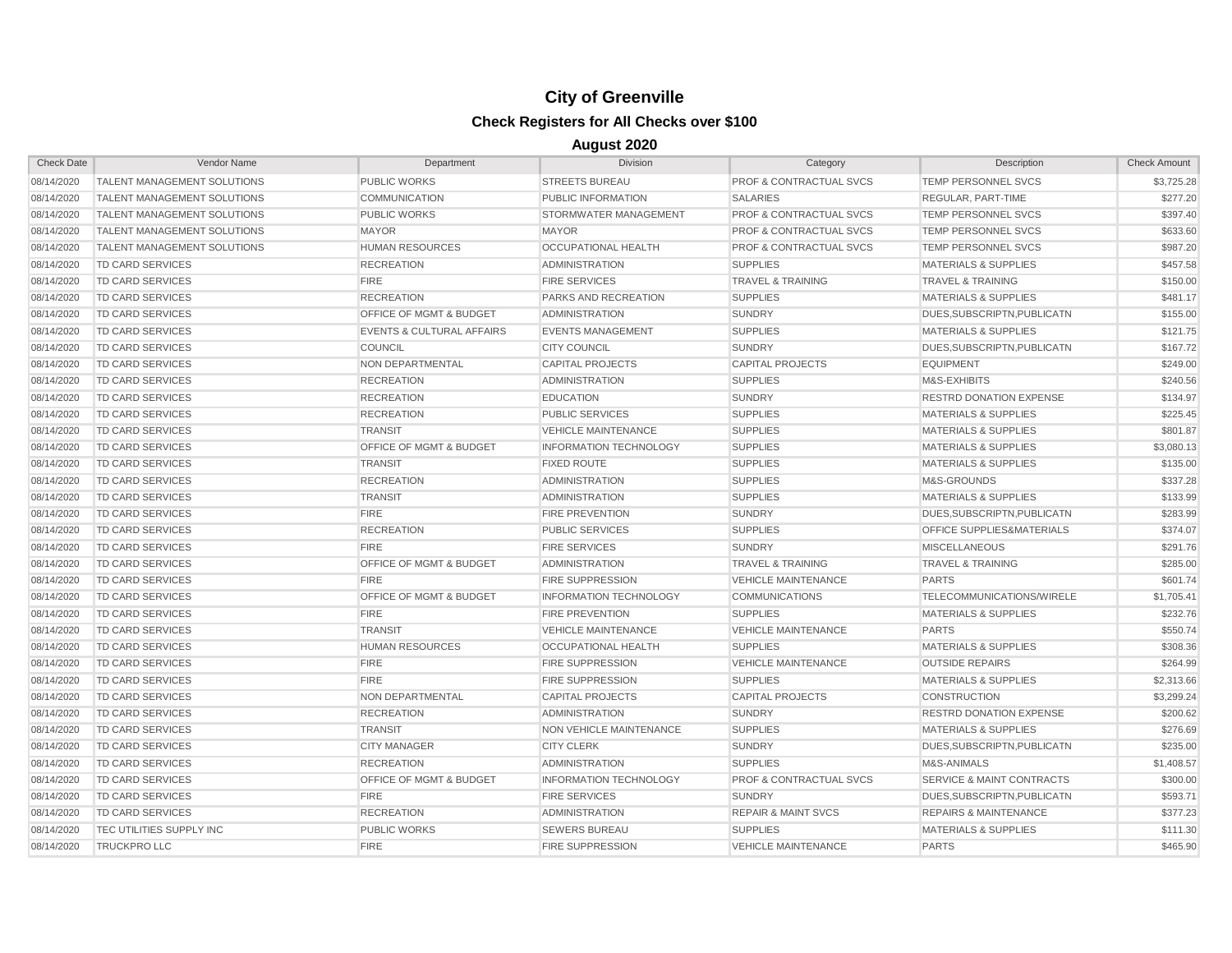| <b>Check Date</b> | Vendor Name                        | Department                           | <b>Division</b>               | Category                           | Description                          | <b>Check Amount</b> |
|-------------------|------------------------------------|--------------------------------------|-------------------------------|------------------------------------|--------------------------------------|---------------------|
| 08/14/2020        | <b>TALENT MANAGEMENT SOLUTIONS</b> | <b>PUBLIC WORKS</b>                  | <b>STREETS BUREAU</b>         | <b>PROF &amp; CONTRACTUAL SVCS</b> | TEMP PERSONNEL SVCS                  | \$3,725.28          |
| 08/14/2020        | <b>TALENT MANAGEMENT SOLUTIONS</b> | <b>COMMUNICATION</b>                 | PUBLIC INFORMATION            | <b>SALARIES</b>                    | REGULAR, PART-TIME                   | \$277.20            |
| 08/14/2020        | <b>TALENT MANAGEMENT SOLUTIONS</b> | <b>PUBLIC WORKS</b>                  | STORMWATER MANAGEMENT         | <b>PROF &amp; CONTRACTUAL SVCS</b> | TEMP PERSONNEL SVCS                  | \$397.40            |
| 08/14/2020        | <b>TALENT MANAGEMENT SOLUTIONS</b> | <b>MAYOR</b>                         | <b>MAYOR</b>                  | <b>PROF &amp; CONTRACTUAL SVCS</b> | <b>TEMP PERSONNEL SVCS</b>           | \$633.60            |
| 08/14/2020        | <b>TALENT MANAGEMENT SOLUTIONS</b> | <b>HUMAN RESOURCES</b>               | OCCUPATIONAL HEALTH           | PROF & CONTRACTUAL SVCS            | TEMP PERSONNEL SVCS                  | \$987.20            |
| 08/14/2020        | <b>TD CARD SERVICES</b>            | <b>RECREATION</b>                    | <b>ADMINISTRATION</b>         | <b>SUPPLIES</b>                    | <b>MATERIALS &amp; SUPPLIES</b>      | \$457.58            |
| 08/14/2020        | <b>TD CARD SERVICES</b>            | <b>FIRE</b>                          | <b>FIRE SERVICES</b>          | <b>TRAVEL &amp; TRAINING</b>       | <b>TRAVEL &amp; TRAINING</b>         | \$150.00            |
| 08/14/2020        | <b>TD CARD SERVICES</b>            | <b>RECREATION</b>                    | PARKS AND RECREATION          | <b>SUPPLIES</b>                    | <b>MATERIALS &amp; SUPPLIES</b>      | \$481.17            |
| 08/14/2020        | <b>TD CARD SERVICES</b>            | <b>OFFICE OF MGMT &amp; BUDGET</b>   | <b>ADMINISTRATION</b>         | <b>SUNDRY</b>                      | DUES, SUBSCRIPTN, PUBLICATN          | \$155.00            |
| 08/14/2020        | <b>TD CARD SERVICES</b>            | <b>EVENTS &amp; CULTURAL AFFAIRS</b> | <b>EVENTS MANAGEMENT</b>      | <b>SUPPLIES</b>                    | <b>MATERIALS &amp; SUPPLIES</b>      | \$121.75            |
| 08/14/2020        | <b>TD CARD SERVICES</b>            | <b>COUNCIL</b>                       | <b>CITY COUNCIL</b>           | <b>SUNDRY</b>                      | DUES.SUBSCRIPTN.PUBLICATN            | \$167.72            |
| 08/14/2020        | <b>TD CARD SERVICES</b>            | <b>NON DEPARTMENTAL</b>              | <b>CAPITAL PROJECTS</b>       | <b>CAPITAL PROJECTS</b>            | <b>EQUIPMENT</b>                     | \$249.00            |
| 08/14/2020        | <b>TD CARD SERVICES</b>            | <b>RECREATION</b>                    | <b>ADMINISTRATION</b>         | <b>SUPPLIES</b>                    | M&S-EXHIBITS                         | \$240.56            |
| 08/14/2020        | <b>TD CARD SERVICES</b>            | <b>RECREATION</b>                    | <b>EDUCATION</b>              | <b>SUNDRY</b>                      | <b>RESTRD DONATION EXPENSE</b>       | \$134.97            |
| 08/14/2020        | <b>TD CARD SERVICES</b>            | <b>RECREATION</b>                    | <b>PUBLIC SERVICES</b>        | <b>SUPPLIES</b>                    | <b>MATERIALS &amp; SUPPLIES</b>      | \$225.45            |
| 08/14/2020        | <b>TD CARD SERVICES</b>            | <b>TRANSIT</b>                       | <b>VEHICLE MAINTENANCE</b>    | <b>SUPPLIES</b>                    | <b>MATERIALS &amp; SUPPLIES</b>      | \$801.87            |
| 08/14/2020        | <b>TD CARD SERVICES</b>            | OFFICE OF MGMT & BUDGET              | <b>INFORMATION TECHNOLOGY</b> | <b>SUPPLIES</b>                    | <b>MATERIALS &amp; SUPPLIES</b>      | \$3,080.13          |
| 08/14/2020        | <b>TD CARD SERVICES</b>            | <b>TRANSIT</b>                       | <b>FIXED ROUTE</b>            | <b>SUPPLIES</b>                    | <b>MATERIALS &amp; SUPPLIES</b>      | \$135.00            |
| 08/14/2020        | <b>TD CARD SERVICES</b>            | <b>RECREATION</b>                    | <b>ADMINISTRATION</b>         | <b>SUPPLIES</b>                    | M&S-GROUNDS                          | \$337.28            |
| 08/14/2020        | <b>TD CARD SERVICES</b>            | <b>TRANSIT</b>                       | <b>ADMINISTRATION</b>         | <b>SUPPLIES</b>                    | <b>MATERIALS &amp; SUPPLIES</b>      | \$133.99            |
| 08/14/2020        | <b>TD CARD SERVICES</b>            | <b>FIRE</b>                          | <b>FIRE PREVENTION</b>        | <b>SUNDRY</b>                      | DUES.SUBSCRIPTN.PUBLICATN            | \$283.99            |
| 08/14/2020        | <b>TD CARD SERVICES</b>            | <b>RECREATION</b>                    | <b>PUBLIC SERVICES</b>        | <b>SUPPLIES</b>                    | <b>OFFICE SUPPLIES&amp;MATERIALS</b> | \$374.07            |
| 08/14/2020        | <b>TD CARD SERVICES</b>            | <b>FIRE</b>                          | <b>FIRE SERVICES</b>          | <b>SUNDRY</b>                      | <b>MISCELLANEOUS</b>                 | \$291.76            |
| 08/14/2020        | <b>TD CARD SERVICES</b>            | <b>OFFICE OF MGMT &amp; BUDGET</b>   | <b>ADMINISTRATION</b>         | <b>TRAVEL &amp; TRAINING</b>       | <b>TRAVEL &amp; TRAINING</b>         | \$285.00            |
| 08/14/2020        | <b>TD CARD SERVICES</b>            | <b>FIRE</b>                          | <b>FIRE SUPPRESSION</b>       | <b>VEHICLE MAINTENANCE</b>         | <b>PARTS</b>                         | \$601.74            |
| 08/14/2020        | TD CARD SERVICES                   | OFFICE OF MGMT & BUDGET              | <b>INFORMATION TECHNOLOGY</b> | <b>COMMUNICATIONS</b>              | TELECOMMUNICATIONS/WIRELE            | \$1,705.41          |
| 08/14/2020        | <b>TD CARD SERVICES</b>            | <b>FIRE</b>                          | <b>FIRE PREVENTION</b>        | <b>SUPPLIES</b>                    | <b>MATERIALS &amp; SUPPLIES</b>      | \$232.76            |
| 08/14/2020        | <b>TD CARD SERVICES</b>            | <b>TRANSIT</b>                       | <b>VEHICLE MAINTENANCE</b>    | <b>VEHICLE MAINTENANCE</b>         | <b>PARTS</b>                         | \$550.74            |
| 08/14/2020        | <b>TD CARD SERVICES</b>            | <b>HUMAN RESOURCES</b>               | OCCUPATIONAL HEALTH           | <b>SUPPLIES</b>                    | <b>MATERIALS &amp; SUPPLIES</b>      | \$308.36            |
| 08/14/2020        | <b>TD CARD SERVICES</b>            | <b>FIRE</b>                          | <b>FIRE SUPPRESSION</b>       | <b>VEHICLE MAINTENANCE</b>         | <b>OUTSIDE REPAIRS</b>               | \$264.99            |
| 08/14/2020        | <b>TD CARD SERVICES</b>            | <b>FIRE</b>                          | <b>FIRE SUPPRESSION</b>       | <b>SUPPLIES</b>                    | <b>MATERIALS &amp; SUPPLIES</b>      | \$2,313.66          |
| 08/14/2020        | <b>TD CARD SERVICES</b>            | <b>NON DEPARTMENTAL</b>              | <b>CAPITAL PROJECTS</b>       | <b>CAPITAL PROJECTS</b>            | <b>CONSTRUCTION</b>                  | \$3,299.24          |
| 08/14/2020        | <b>TD CARD SERVICES</b>            | <b>RECREATION</b>                    | <b>ADMINISTRATION</b>         | <b>SUNDRY</b>                      | <b>RESTRD DONATION EXPENSE</b>       | \$200.62            |
| 08/14/2020        | <b>TD CARD SERVICES</b>            | TRANSIT                              | NON VEHICLE MAINTENANCE       | <b>SUPPLIES</b>                    | <b>MATERIALS &amp; SUPPLIES</b>      | \$276.69            |
| 08/14/2020        | <b>TD CARD SERVICES</b>            | <b>CITY MANAGER</b>                  | <b>CITY CLERK</b>             | <b>SUNDRY</b>                      | DUES, SUBSCRIPTN, PUBLICATN          | \$235.00            |
| 08/14/2020        | <b>TD CARD SERVICES</b>            | <b>RECREATION</b>                    | <b>ADMINISTRATION</b>         | <b>SUPPLIES</b>                    | M&S-ANIMALS                          | \$1,408.57          |
| 08/14/2020        | <b>TD CARD SERVICES</b>            | OFFICE OF MGMT & BUDGET              | <b>INFORMATION TECHNOLOGY</b> | <b>PROF &amp; CONTRACTUAL SVCS</b> | <b>SERVICE &amp; MAINT CONTRACTS</b> | \$300.00            |
| 08/14/2020        | <b>TD CARD SERVICES</b>            | <b>FIRE</b>                          | <b>FIRE SERVICES</b>          | <b>SUNDRY</b>                      | DUES, SUBSCRIPTN, PUBLICATN          | \$593.71            |
| 08/14/2020        | <b>TD CARD SERVICES</b>            | <b>RECREATION</b>                    | <b>ADMINISTRATION</b>         | <b>REPAIR &amp; MAINT SVCS</b>     | <b>REPAIRS &amp; MAINTENANCE</b>     | \$377.23            |
| 08/14/2020        | <b>TEC UTILITIES SUPPLY INC</b>    | <b>PUBLIC WORKS</b>                  | <b>SEWERS BUREAU</b>          | <b>SUPPLIES</b>                    | <b>MATERIALS &amp; SUPPLIES</b>      | \$111.30            |
| 08/14/2020        | <b>TRUCKPRO LLC</b>                | <b>FIRE</b>                          | <b>FIRE SUPPRESSION</b>       | <b>VEHICLE MAINTENANCE</b>         | <b>PARTS</b>                         | \$465.90            |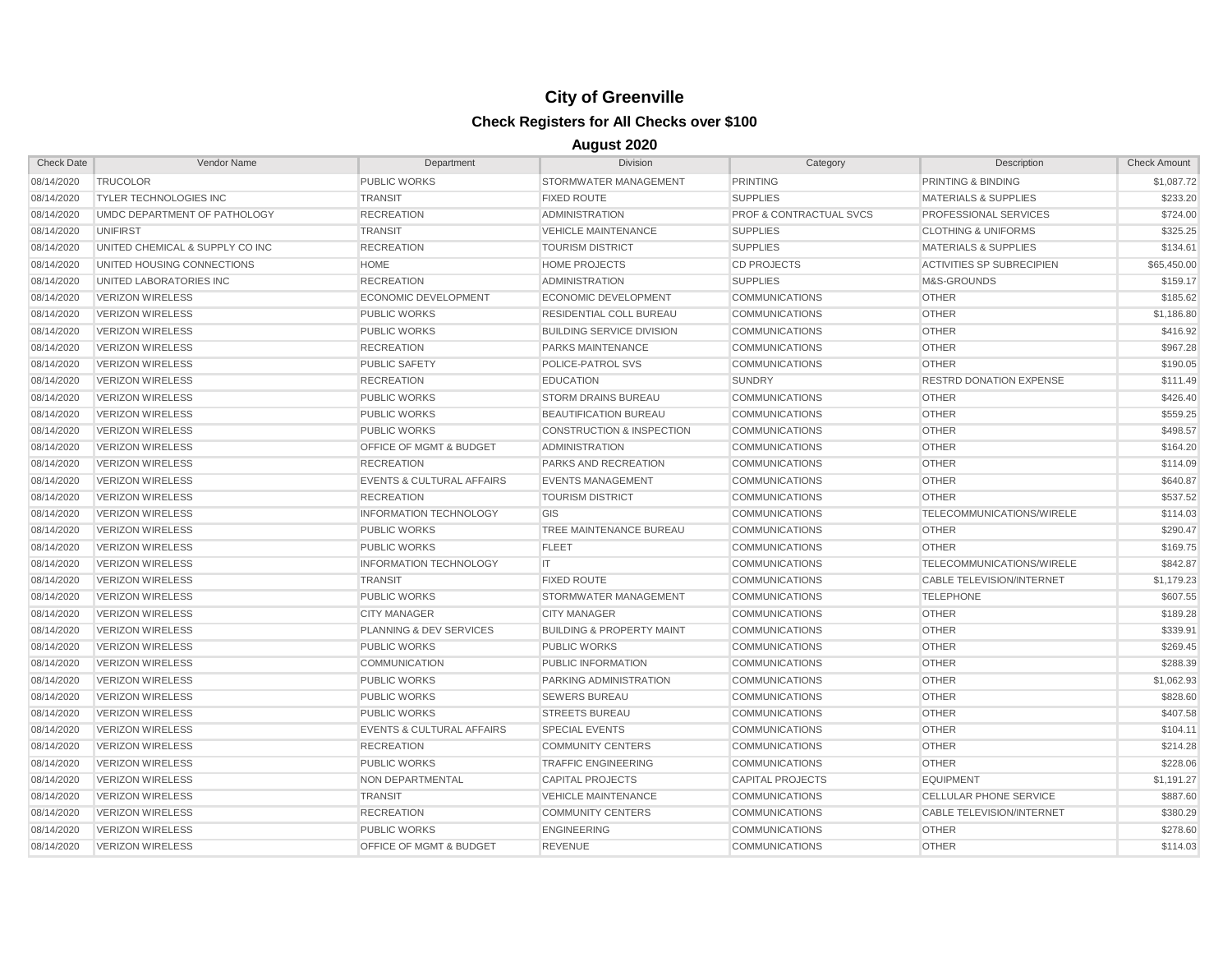| <b>Check Date</b> | Vendor Name                     | Department                           | <b>Division</b>                      | Category                           | Description                      | <b>Check Amount</b> |
|-------------------|---------------------------------|--------------------------------------|--------------------------------------|------------------------------------|----------------------------------|---------------------|
| 08/14/2020        | <b>TRUCOLOR</b>                 | <b>PUBLIC WORKS</b>                  | STORMWATER MANAGEMENT                | <b>PRINTING</b>                    | PRINTING & BINDING               | \$1,087.72          |
| 08/14/2020        | <b>TYLER TECHNOLOGIES INC</b>   | <b>TRANSIT</b>                       | <b>FIXED ROUTE</b>                   | <b>SUPPLIES</b>                    | <b>MATERIALS &amp; SUPPLIES</b>  | \$233.20            |
| 08/14/2020        | UMDC DEPARTMENT OF PATHOLOGY    | <b>RECREATION</b>                    | <b>ADMINISTRATION</b>                | <b>PROF &amp; CONTRACTUAL SVCS</b> | <b>PROFESSIONAL SERVICES</b>     | \$724.00            |
| 08/14/2020        | UNIFIRST                        | <b>TRANSIT</b>                       | <b>VEHICLE MAINTENANCE</b>           | <b>SUPPLIES</b>                    | <b>CLOTHING &amp; UNIFORMS</b>   | \$325.25            |
| 08/14/2020        | UNITED CHEMICAL & SUPPLY CO INC | <b>RECREATION</b>                    | <b>TOURISM DISTRICT</b>              | <b>SUPPLIES</b>                    | <b>MATERIALS &amp; SUPPLIES</b>  | \$134.61            |
| 08/14/2020        | UNITED HOUSING CONNECTIONS      | <b>HOME</b>                          | <b>HOME PROJECTS</b>                 | <b>CD PROJECTS</b>                 | <b>ACTIVITIES SP SUBRECIPIEN</b> | \$65,450.00         |
| 08/14/2020        | UNITED LABORATORIES INC         | <b>RECREATION</b>                    | <b>ADMINISTRATION</b>                | <b>SUPPLIES</b>                    | M&S-GROUNDS                      | \$159.17            |
| 08/14/2020        | <b>VERIZON WIRELESS</b>         | <b>ECONOMIC DEVELOPMENT</b>          | <b>ECONOMIC DEVELOPMENT</b>          | <b>COMMUNICATIONS</b>              | <b>OTHER</b>                     | \$185.62            |
| 08/14/2020        | <b>VERIZON WIRELESS</b>         | <b>PUBLIC WORKS</b>                  | <b>RESIDENTIAL COLL BUREAU</b>       | <b>COMMUNICATIONS</b>              | <b>OTHER</b>                     | \$1,186.80          |
| 08/14/2020        | <b>VERIZON WIRELESS</b>         | <b>PUBLIC WORKS</b>                  | <b>BUILDING SERVICE DIVISION</b>     | <b>COMMUNICATIONS</b>              | <b>OTHER</b>                     | \$416.92            |
| 08/14/2020        | <b>VERIZON WIRELESS</b>         | <b>RECREATION</b>                    | <b>PARKS MAINTENANCE</b>             | <b>COMMUNICATIONS</b>              | <b>OTHER</b>                     | \$967.28            |
| 08/14/2020        | <b>VERIZON WIRELESS</b>         | <b>PUBLIC SAFETY</b>                 | <b>POLICE-PATROL SVS</b>             | <b>COMMUNICATIONS</b>              | <b>OTHER</b>                     | \$190.05            |
| 08/14/2020        | <b>VERIZON WIRELESS</b>         | <b>RECREATION</b>                    | <b>EDUCATION</b>                     | <b>SUNDRY</b>                      | <b>RESTRD DONATION EXPENSE</b>   | \$111.49            |
| 08/14/2020        | <b>VERIZON WIRELESS</b>         | <b>PUBLIC WORKS</b>                  | <b>STORM DRAINS BUREAU</b>           | <b>COMMUNICATIONS</b>              | <b>OTHER</b>                     | \$426.40            |
| 08/14/2020        | <b>VERIZON WIRELESS</b>         | <b>PUBLIC WORKS</b>                  | BEAUTIFICATION BUREAU                | <b>COMMUNICATIONS</b>              | <b>OTHER</b>                     | \$559.25            |
| 08/14/2020        | <b>VERIZON WIRELESS</b>         | <b>PUBLIC WORKS</b>                  | <b>CONSTRUCTION &amp; INSPECTION</b> | <b>COMMUNICATIONS</b>              | <b>OTHER</b>                     | \$498.57            |
| 08/14/2020        | <b>VERIZON WIRELESS</b>         | OFFICE OF MGMT & BUDGET              | <b>ADMINISTRATION</b>                | <b>COMMUNICATIONS</b>              | <b>OTHER</b>                     | \$164.20            |
| 08/14/2020        | <b>VERIZON WIRELESS</b>         | <b>RECREATION</b>                    | <b>PARKS AND RECREATION</b>          | <b>COMMUNICATIONS</b>              | <b>OTHER</b>                     | \$114.09            |
| 08/14/2020        | <b>VERIZON WIRELESS</b>         | <b>EVENTS &amp; CULTURAL AFFAIRS</b> | <b>EVENTS MANAGEMENT</b>             | <b>COMMUNICATIONS</b>              | <b>OTHER</b>                     | \$640.87            |
| 08/14/2020        | <b>VERIZON WIRELESS</b>         | <b>RECREATION</b>                    | <b>TOURISM DISTRICT</b>              | <b>COMMUNICATIONS</b>              | <b>OTHER</b>                     | \$537.52            |
| 08/14/2020        | <b>VERIZON WIRELESS</b>         | <b>INFORMATION TECHNOLOGY</b>        | GIS                                  | <b>COMMUNICATIONS</b>              | TELECOMMUNICATIONS/WIRELE        | \$114.03            |
| 08/14/2020        | <b>VERIZON WIRELESS</b>         | <b>PUBLIC WORKS</b>                  | <b>TREE MAINTENANCE BUREAU</b>       | <b>COMMUNICATIONS</b>              | <b>OTHER</b>                     | \$290.47            |
| 08/14/2020        | <b>VERIZON WIRELESS</b>         | <b>PUBLIC WORKS</b>                  | <b>FLEET</b>                         | <b>COMMUNICATIONS</b>              | <b>OTHER</b>                     | \$169.75            |
| 08/14/2020        | <b>VERIZON WIRELESS</b>         | <b>INFORMATION TECHNOLOGY</b>        | IT.                                  | <b>COMMUNICATIONS</b>              | TELECOMMUNICATIONS/WIRELE        | \$842.87            |
| 08/14/2020        | <b>VERIZON WIRELESS</b>         | <b>TRANSIT</b>                       | <b>FIXED ROUTE</b>                   | <b>COMMUNICATIONS</b>              | <b>CABLE TELEVISION/INTERNET</b> | \$1,179.23          |
| 08/14/2020        | <b>VERIZON WIRELESS</b>         | <b>PUBLIC WORKS</b>                  | STORMWATER MANAGEMENT                | <b>COMMUNICATIONS</b>              | <b>TELEPHONE</b>                 | \$607.55            |
| 08/14/2020        | <b>VERIZON WIRELESS</b>         | <b>CITY MANAGER</b>                  | <b>CITY MANAGER</b>                  | <b>COMMUNICATIONS</b>              | <b>OTHER</b>                     | \$189.28            |
| 08/14/2020        | <b>VERIZON WIRELESS</b>         | <b>PLANNING &amp; DEV SERVICES</b>   | <b>BUILDING &amp; PROPERTY MAINT</b> | <b>COMMUNICATIONS</b>              | <b>OTHER</b>                     | \$339.91            |
| 08/14/2020        | <b>VERIZON WIRELESS</b>         | <b>PUBLIC WORKS</b>                  | <b>PUBLIC WORKS</b>                  | <b>COMMUNICATIONS</b>              | <b>OTHER</b>                     | \$269.45            |
| 08/14/2020        | <b>VERIZON WIRELESS</b>         | <b>COMMUNICATION</b>                 | <b>PUBLIC INFORMATION</b>            | <b>COMMUNICATIONS</b>              | <b>OTHER</b>                     | \$288.39            |
| 08/14/2020        | <b>VERIZON WIRELESS</b>         | <b>PUBLIC WORKS</b>                  | <b>PARKING ADMINISTRATION</b>        | <b>COMMUNICATIONS</b>              | <b>OTHER</b>                     | \$1,062.93          |
| 08/14/2020        | <b>VERIZON WIRELESS</b>         | <b>PUBLIC WORKS</b>                  | <b>SEWERS BUREAU</b>                 | <b>COMMUNICATIONS</b>              | <b>OTHER</b>                     | \$828.60            |
| 08/14/2020        | <b>VERIZON WIRELESS</b>         | <b>PUBLIC WORKS</b>                  | <b>STREETS BUREAU</b>                | <b>COMMUNICATIONS</b>              | <b>OTHER</b>                     | \$407.58            |
| 08/14/2020        | <b>VERIZON WIRELESS</b>         | <b>EVENTS &amp; CULTURAL AFFAIRS</b> | <b>SPECIAL EVENTS</b>                | <b>COMMUNICATIONS</b>              | <b>OTHER</b>                     | \$104.11            |
| 08/14/2020        | <b>VERIZON WIRELESS</b>         | <b>RECREATION</b>                    | <b>COMMUNITY CENTERS</b>             | <b>COMMUNICATIONS</b>              | <b>OTHER</b>                     | \$214.28            |
| 08/14/2020        | <b>VERIZON WIRELESS</b>         | <b>PUBLIC WORKS</b>                  | <b>TRAFFIC ENGINEERING</b>           | <b>COMMUNICATIONS</b>              | <b>OTHER</b>                     | \$228.06            |
| 08/14/2020        | <b>VERIZON WIRELESS</b>         | NON DEPARTMENTAL                     | <b>CAPITAL PROJECTS</b>              | <b>CAPITAL PROJECTS</b>            | <b>EQUIPMENT</b>                 | \$1,191.27          |
| 08/14/2020        | <b>VERIZON WIRELESS</b>         | <b>TRANSIT</b>                       | <b>VEHICLE MAINTENANCE</b>           | <b>COMMUNICATIONS</b>              | <b>CELLULAR PHONE SERVICE</b>    | \$887.60            |
| 08/14/2020        | <b>VERIZON WIRELESS</b>         | <b>RECREATION</b>                    | <b>COMMUNITY CENTERS</b>             | <b>COMMUNICATIONS</b>              | <b>CABLE TELEVISION/INTERNET</b> | \$380.29            |
| 08/14/2020        | <b>VERIZON WIRELESS</b>         | <b>PUBLIC WORKS</b>                  | <b>ENGINEERING</b>                   | <b>COMMUNICATIONS</b>              | <b>OTHER</b>                     | \$278.60            |
| 08/14/2020        | <b>VERIZON WIRELESS</b>         | <b>OFFICE OF MGMT &amp; BUDGET</b>   | <b>REVENUE</b>                       | <b>COMMUNICATIONS</b>              | <b>OTHER</b>                     | \$114.03            |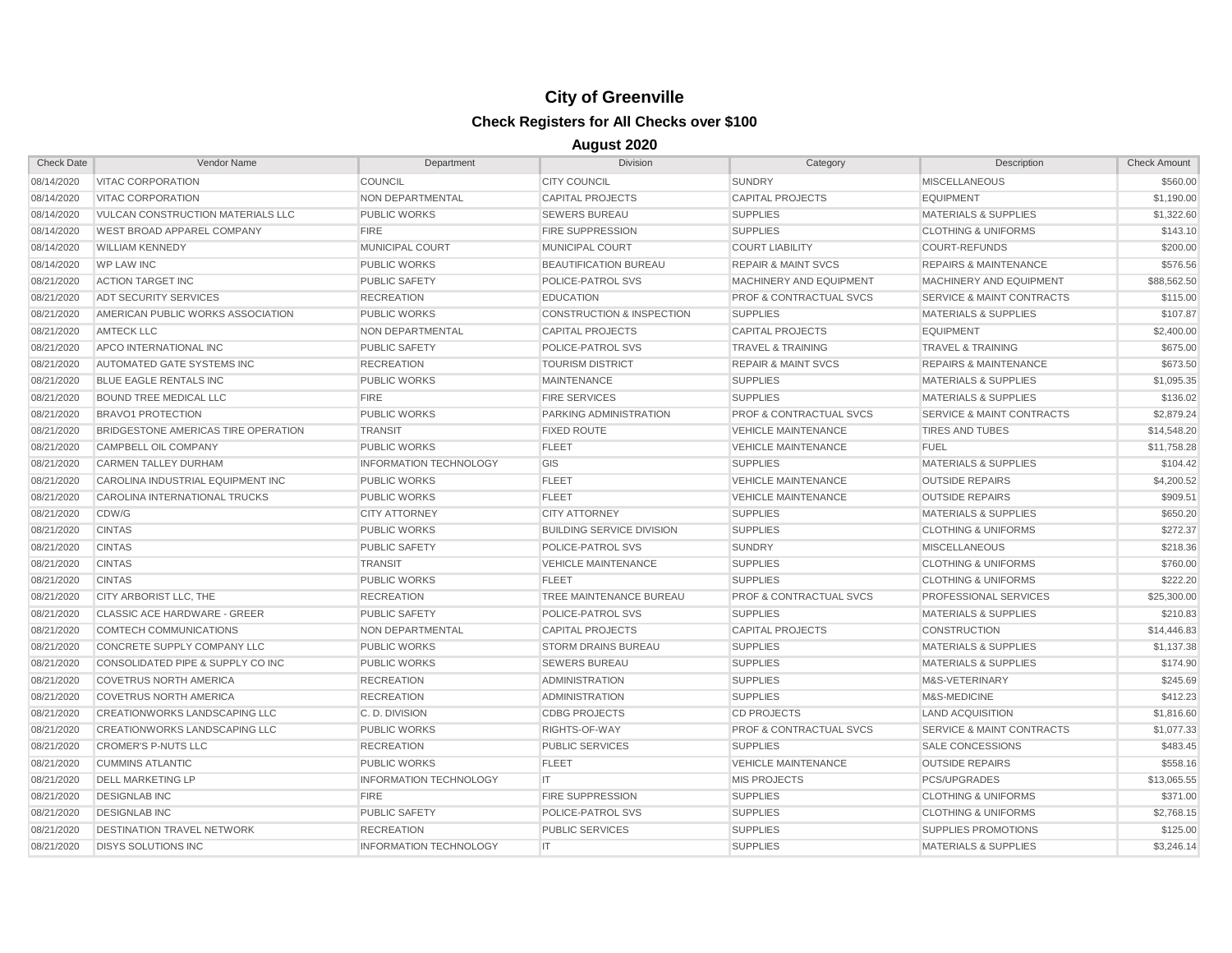| <b>Check Date</b> | Vendor Name                              | Department                    | <b>Division</b>                      | Category                           | Description                          | <b>Check Amount</b> |
|-------------------|------------------------------------------|-------------------------------|--------------------------------------|------------------------------------|--------------------------------------|---------------------|
| 08/14/2020        | <b>VITAC CORPORATION</b>                 | <b>COUNCIL</b>                | <b>CITY COUNCIL</b>                  | <b>SUNDRY</b>                      | <b>MISCELLANEOUS</b>                 | \$560.00            |
| 08/14/2020        | VITAC CORPORATION                        | NON DEPARTMENTAL              | <b>CAPITAL PROJECTS</b>              | <b>CAPITAL PROJECTS</b>            | <b>EQUIPMENT</b>                     | \$1,190.00          |
| 08/14/2020        | <b>VULCAN CONSTRUCTION MATERIALS LLC</b> | <b>PUBLIC WORKS</b>           | <b>SEWERS BUREAU</b>                 | <b>SUPPLIES</b>                    | <b>MATERIALS &amp; SUPPLIES</b>      | \$1,322.60          |
| 08/14/2020        | WEST BROAD APPAREL COMPANY               | <b>FIRE</b>                   | <b>FIRE SUPPRESSION</b>              | <b>SUPPLIES</b>                    | <b>CLOTHING &amp; UNIFORMS</b>       | \$143.10            |
| 08/14/2020        | <b>WILLIAM KENNEDY</b>                   | MUNICIPAL COURT               | <b>MUNICIPAL COURT</b>               | <b>COURT LIABILITY</b>             | <b>COURT-REFUNDS</b>                 | \$200.00            |
| 08/14/2020        | <b>WP LAW INC</b>                        | <b>PUBLIC WORKS</b>           | <b>BEAUTIFICATION BUREAU</b>         | <b>REPAIR &amp; MAINT SVCS</b>     | <b>REPAIRS &amp; MAINTENANCE</b>     | \$576.56            |
| 08/21/2020        | <b>ACTION TARGET INC</b>                 | <b>PUBLIC SAFETY</b>          | POLICE-PATROL SVS                    | MACHINERY AND EQUIPMENT            | MACHINERY AND EQUIPMENT              | \$88,562.50         |
| 08/21/2020        | <b>ADT SECURITY SERVICES</b>             | <b>RECREATION</b>             | <b>EDUCATION</b>                     | <b>PROF &amp; CONTRACTUAL SVCS</b> | <b>SERVICE &amp; MAINT CONTRACTS</b> | \$115.00            |
| 08/21/2020        | AMERICAN PUBLIC WORKS ASSOCIATION        | <b>PUBLIC WORKS</b>           | <b>CONSTRUCTION &amp; INSPECTION</b> | <b>SUPPLIES</b>                    | <b>MATERIALS &amp; SUPPLIES</b>      | \$107.87            |
| 08/21/2020        | <b>AMTECK LLC</b>                        | NON DEPARTMENTAL              | <b>CAPITAL PROJECTS</b>              | <b>CAPITAL PROJECTS</b>            | <b>EQUIPMENT</b>                     | \$2,400.00          |
| 08/21/2020        | APCO INTERNATIONAL INC                   | <b>PUBLIC SAFETY</b>          | POLICE-PATROL SVS                    | <b>TRAVEL &amp; TRAINING</b>       | <b>TRAVEL &amp; TRAINING</b>         | \$675.00            |
| 08/21/2020        | AUTOMATED GATE SYSTEMS INC               | <b>RECREATION</b>             | <b>TOURISM DISTRICT</b>              | <b>REPAIR &amp; MAINT SVCS</b>     | <b>REPAIRS &amp; MAINTENANCE</b>     | \$673.50            |
| 08/21/2020        | <b>BLUE EAGLE RENTALS INC</b>            | <b>PUBLIC WORKS</b>           | <b>MAINTENANCE</b>                   | <b>SUPPLIES</b>                    | <b>MATERIALS &amp; SUPPLIES</b>      | \$1.095.35          |
| 08/21/2020        | <b>BOUND TREE MEDICAL LLC</b>            | <b>FIRE</b>                   | <b>FIRE SERVICES</b>                 | <b>SUPPLIES</b>                    | <b>MATERIALS &amp; SUPPLIES</b>      | \$136.02            |
| 08/21/2020        | <b>BRAVO1 PROTECTION</b>                 | <b>PUBLIC WORKS</b>           | PARKING ADMINISTRATION               | <b>PROF &amp; CONTRACTUAL SVCS</b> | <b>SERVICE &amp; MAINT CONTRACTS</b> | \$2,879.24          |
| 08/21/2020        | BRIDGESTONE AMERICAS TIRE OPERATION      | <b>TRANSIT</b>                | <b>FIXED ROUTE</b>                   | <b>VEHICLE MAINTENANCE</b>         | <b>TIRES AND TUBES</b>               | \$14,548.20         |
| 08/21/2020        | CAMPBELL OIL COMPANY                     | <b>PUBLIC WORKS</b>           | <b>FLEET</b>                         | <b>VEHICLE MAINTENANCE</b>         | <b>FUEL</b>                          | \$11,758.28         |
| 08/21/2020        | <b>CARMEN TALLEY DURHAM</b>              | <b>INFORMATION TECHNOLOGY</b> | GIS                                  | <b>SUPPLIES</b>                    | <b>MATERIALS &amp; SUPPLIES</b>      | \$104.42            |
| 08/21/2020        | CAROLINA INDUSTRIAL EQUIPMENT INC        | <b>PUBLIC WORKS</b>           | <b>FLEET</b>                         | <b>VEHICLE MAINTENANCE</b>         | <b>OUTSIDE REPAIRS</b>               | \$4,200.52          |
| 08/21/2020        | CAROLINA INTERNATIONAL TRUCKS            | <b>PUBLIC WORKS</b>           | <b>FLEET</b>                         | <b>VEHICLE MAINTENANCE</b>         | <b>OUTSIDE REPAIRS</b>               | \$909.51            |
| 08/21/2020        | CDW/G                                    | <b>CITY ATTORNEY</b>          | <b>CITY ATTORNEY</b>                 | <b>SUPPLIES</b>                    | MATERIALS & SUPPLIES                 | \$650.20            |
| 08/21/2020        | <b>CINTAS</b>                            | <b>PUBLIC WORKS</b>           | <b>BUILDING SERVICE DIVISION</b>     | <b>SUPPLIES</b>                    | <b>CLOTHING &amp; UNIFORMS</b>       | \$272.37            |
| 08/21/2020        | <b>CINTAS</b>                            | <b>PUBLIC SAFETY</b>          | POLICE-PATROL SVS                    | <b>SUNDRY</b>                      | <b>MISCELLANEOUS</b>                 | \$218.36            |
| 08/21/2020        | <b>CINTAS</b>                            | <b>TRANSIT</b>                | <b>VEHICLE MAINTENANCE</b>           | <b>SUPPLIES</b>                    | <b>CLOTHING &amp; UNIFORMS</b>       | \$760.00            |
| 08/21/2020        | <b>CINTAS</b>                            | <b>PUBLIC WORKS</b>           | <b>FLEET</b>                         | <b>SUPPLIES</b>                    | <b>CLOTHING &amp; UNIFORMS</b>       | \$222.20            |
| 08/21/2020        | CITY ARBORIST LLC. THE                   | <b>RECREATION</b>             | TREE MAINTENANCE BUREAU              | <b>PROF &amp; CONTRACTUAL SVCS</b> | PROFESSIONAL SERVICES                | \$25,300.00         |
| 08/21/2020        | <b>CLASSIC ACE HARDWARE - GREER</b>      | <b>PUBLIC SAFETY</b>          | POLICE-PATROL SVS                    | <b>SUPPLIES</b>                    | <b>MATERIALS &amp; SUPPLIES</b>      | \$210.83            |
| 08/21/2020        | COMTECH COMMUNICATIONS                   | NON DEPARTMENTAL              | <b>CAPITAL PROJECTS</b>              | <b>CAPITAL PROJECTS</b>            | <b>CONSTRUCTION</b>                  | \$14,446.83         |
| 08/21/2020        | CONCRETE SUPPLY COMPANY LLC              | <b>PUBLIC WORKS</b>           | <b>STORM DRAINS BUREAU</b>           | <b>SUPPLIES</b>                    | <b>MATERIALS &amp; SUPPLIES</b>      | \$1,137.38          |
| 08/21/2020        | CONSOLIDATED PIPE & SUPPLY CO INC        | <b>PUBLIC WORKS</b>           | <b>SEWERS BUREAU</b>                 | <b>SUPPLIES</b>                    | <b>MATERIALS &amp; SUPPLIES</b>      | \$174.90            |
| 08/21/2020        | <b>COVETRUS NORTH AMERICA</b>            | <b>RECREATION</b>             | <b>ADMINISTRATION</b>                | <b>SUPPLIES</b>                    | M&S-VETERINARY                       | \$245.69            |
| 08/21/2020        | <b>COVETRUS NORTH AMERICA</b>            | <b>RECREATION</b>             | <b>ADMINISTRATION</b>                | <b>SUPPLIES</b>                    | M&S-MEDICINE                         | \$412.23            |
| 08/21/2020        | CREATIONWORKS LANDSCAPING LLC            | C.D. DIVISION                 | <b>CDBG PROJECTS</b>                 | <b>CD PROJECTS</b>                 | <b>LAND ACQUISITION</b>              | \$1,816.60          |
| 08/21/2020        | <b>CREATIONWORKS LANDSCAPING LLC</b>     | <b>PUBLIC WORKS</b>           | RIGHTS-OF-WAY                        | <b>PROF &amp; CONTRACTUAL SVCS</b> | <b>SERVICE &amp; MAINT CONTRACTS</b> | \$1,077.33          |
| 08/21/2020        | <b>CROMER'S P-NUTS LLC</b>               | <b>RECREATION</b>             | PUBLIC SERVICES                      | <b>SUPPLIES</b>                    | <b>SALE CONCESSIONS</b>              | \$483.45            |
| 08/21/2020        | <b>CUMMINS ATLANTIC</b>                  | <b>PUBLIC WORKS</b>           | <b>FLEET</b>                         | <b>VEHICLE MAINTENANCE</b>         | <b>OUTSIDE REPAIRS</b>               | \$558.16            |
| 08/21/2020        | <b>DELL MARKETING LP</b>                 | <b>INFORMATION TECHNOLOGY</b> | IT                                   | <b>MIS PROJECTS</b>                | <b>PCS/UPGRADES</b>                  | \$13,065.55         |
| 08/21/2020        | <b>DESIGNLAB INC</b>                     | <b>FIRE</b>                   | <b>FIRE SUPPRESSION</b>              | <b>SUPPLIES</b>                    | <b>CLOTHING &amp; UNIFORMS</b>       | \$371.00            |
| 08/21/2020        | <b>DESIGNLAB INC</b>                     | <b>PUBLIC SAFETY</b>          | POLICE-PATROL SVS                    | <b>SUPPLIES</b>                    | <b>CLOTHING &amp; UNIFORMS</b>       | \$2,768.15          |
| 08/21/2020        | <b>DESTINATION TRAVEL NETWORK</b>        | <b>RECREATION</b>             | <b>PUBLIC SERVICES</b>               | <b>SUPPLIES</b>                    | <b>SUPPLIES PROMOTIONS</b>           | \$125.00            |
| 08/21/2020        | <b>DISYS SOLUTIONS INC</b>               | <b>INFORMATION TECHNOLOGY</b> | IT.                                  | <b>SUPPLIES</b>                    | <b>MATERIALS &amp; SUPPLIES</b>      | \$3,246.14          |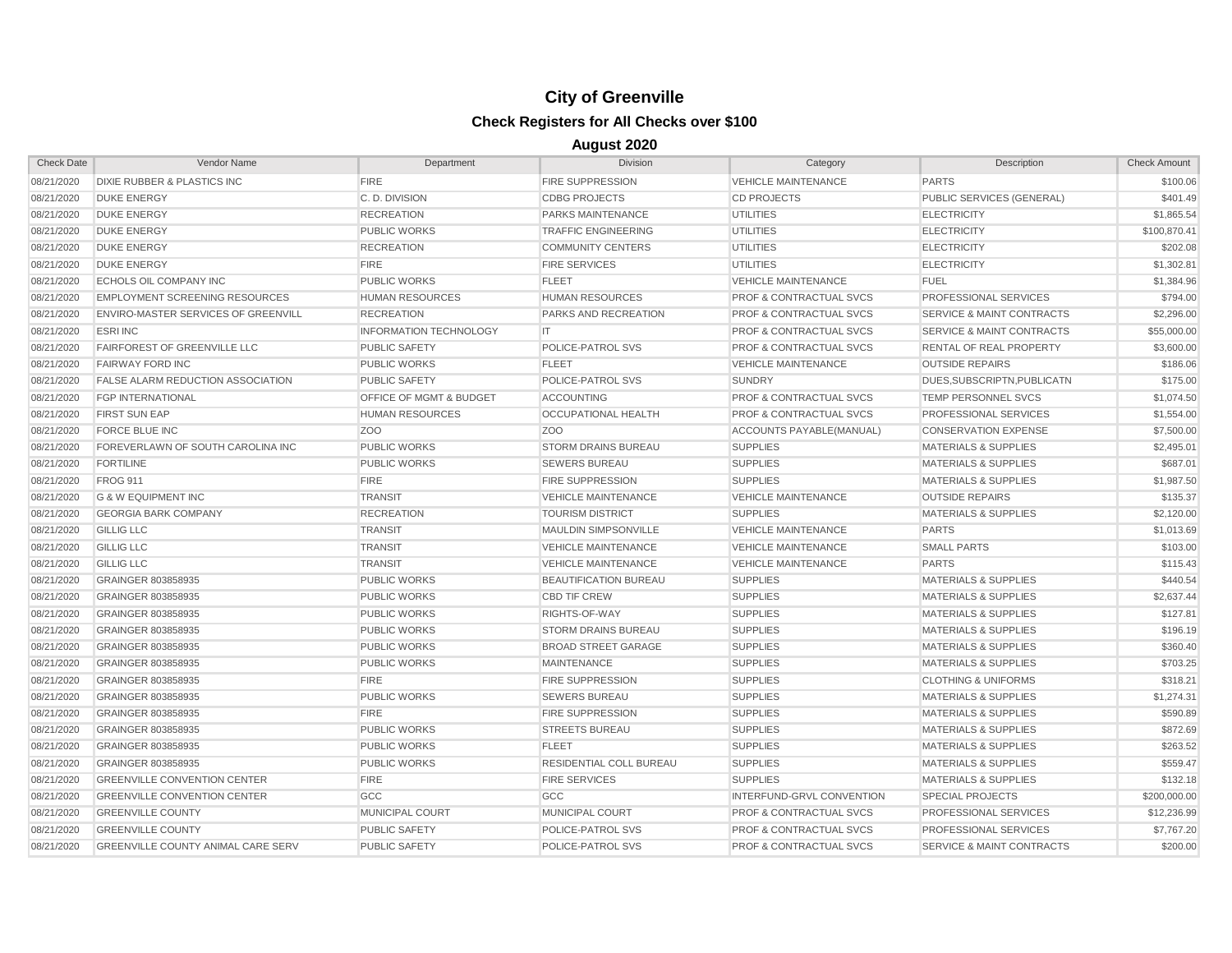| <b>Check Date</b> | Vendor Name                                | Department                    | Division                    | Category                           | Description                          | <b>Check Amount</b> |
|-------------------|--------------------------------------------|-------------------------------|-----------------------------|------------------------------------|--------------------------------------|---------------------|
| 08/21/2020        | <b>DIXIE RUBBER &amp; PLASTICS INC</b>     | <b>FIRE</b>                   | <b>FIRE SUPPRESSION</b>     | <b>VEHICLE MAINTENANCE</b>         | <b>PARTS</b>                         | \$100.06            |
| 08/21/2020        | <b>DUKE ENERGY</b>                         | C.D. DIVISION                 | <b>CDBG PROJECTS</b>        | <b>CD PROJECTS</b>                 | PUBLIC SERVICES (GENERAL)            | \$401.49            |
| 08/21/2020        | <b>DUKE ENERGY</b>                         | <b>RECREATION</b>             | <b>PARKS MAINTENANCE</b>    | <b>UTILITIES</b>                   | <b>ELECTRICITY</b>                   | \$1,865.54          |
| 08/21/2020        | <b>DUKE ENERGY</b>                         | <b>PUBLIC WORKS</b>           | <b>TRAFFIC ENGINEERING</b>  | <b>UTILITIES</b>                   | <b>ELECTRICITY</b>                   | \$100,870.41        |
| 08/21/2020        | <b>DUKE ENERGY</b>                         | <b>RECREATION</b>             | <b>COMMUNITY CENTERS</b>    | <b>UTILITIES</b>                   | <b>ELECTRICITY</b>                   | \$202.08            |
| 08/21/2020        | <b>DUKE ENERGY</b>                         | <b>FIRE</b>                   | <b>FIRE SERVICES</b>        | <b>UTILITIES</b>                   | <b>ELECTRICITY</b>                   | \$1,302.81          |
| 08/21/2020        | <b>ECHOLS OIL COMPANY INC</b>              | <b>PUBLIC WORKS</b>           | <b>FLEET</b>                | <b>VEHICLE MAINTENANCE</b>         | <b>FUEL</b>                          | \$1,384.96          |
| 08/21/2020        | <b>EMPLOYMENT SCREENING RESOURCES</b>      | <b>HUMAN RESOURCES</b>        | <b>HUMAN RESOURCES</b>      | <b>PROF &amp; CONTRACTUAL SVCS</b> | PROFESSIONAL SERVICES                | \$794.00            |
| 08/21/2020        | <b>ENVIRO-MASTER SERVICES OF GREENVILL</b> | <b>RECREATION</b>             | <b>PARKS AND RECREATION</b> | <b>PROF &amp; CONTRACTUAL SVCS</b> | <b>SERVICE &amp; MAINT CONTRACTS</b> | \$2,296.00          |
| 08/21/2020        | <b>ESRI INC</b>                            | <b>INFORMATION TECHNOLOGY</b> | IT                          | <b>PROF &amp; CONTRACTUAL SVCS</b> | <b>SERVICE &amp; MAINT CONTRACTS</b> | \$55,000.00         |
| 08/21/2020        | <b>FAIRFOREST OF GREENVILLE LLC</b>        | <b>PUBLIC SAFETY</b>          | POLICE-PATROL SVS           | <b>PROF &amp; CONTRACTUAL SVCS</b> | RENTAL OF REAL PROPERTY              | \$3,600.00          |
| 08/21/2020        | <b>FAIRWAY FORD INC</b>                    | <b>PUBLIC WORKS</b>           | FLEET                       | <b>VEHICLE MAINTENANCE</b>         | <b>OUTSIDE REPAIRS</b>               | \$186.06            |
| 08/21/2020        | <b>FALSE ALARM REDUCTION ASSOCIATION</b>   | <b>PUBLIC SAFETY</b>          | POLICE-PATROL SVS           | <b>SUNDRY</b>                      | DUES.SUBSCRIPTN.PUBLICATN            | \$175.00            |
| 08/21/2020        | <b>FGP INTERNATIONAL</b>                   | OFFICE OF MGMT & BUDGET       | <b>ACCOUNTING</b>           | <b>PROF &amp; CONTRACTUAL SVCS</b> | <b>TEMP PERSONNEL SVCS</b>           | \$1,074.50          |
| 08/21/2020        | <b>FIRST SUN EAP</b>                       | <b>HUMAN RESOURCES</b>        | <b>OCCUPATIONAL HEALTH</b>  | <b>PROF &amp; CONTRACTUAL SVCS</b> | PROFESSIONAL SERVICES                | \$1,554.00          |
| 08/21/2020        | <b>FORCE BLUE INC</b>                      | Z <sub>O</sub> O              | Z <sub>O</sub> O            | ACCOUNTS PAYABLE(MANUAL)           | <b>CONSERVATION EXPENSE</b>          | \$7,500.00          |
| 08/21/2020        | FOREVERLAWN OF SOUTH CAROLINA INC          | <b>PUBLIC WORKS</b>           | <b>STORM DRAINS BUREAU</b>  | <b>SUPPLIES</b>                    | <b>MATERIALS &amp; SUPPLIES</b>      | \$2,495.01          |
| 08/21/2020        | <b>FORTILINE</b>                           | <b>PUBLIC WORKS</b>           | <b>SEWERS BUREAU</b>        | <b>SUPPLIES</b>                    | <b>MATERIALS &amp; SUPPLIES</b>      | \$687.01            |
| 08/21/2020        | <b>FROG 911</b>                            | <b>FIRE</b>                   | <b>FIRE SUPPRESSION</b>     | <b>SUPPLIES</b>                    | <b>MATERIALS &amp; SUPPLIES</b>      | \$1,987.50          |
| 08/21/2020        | <b>G &amp; W EQUIPMENT INC</b>             | <b>TRANSIT</b>                | <b>VEHICLE MAINTENANCE</b>  | <b>VEHICLE MAINTENANCE</b>         | <b>OUTSIDE REPAIRS</b>               | \$135.37            |
| 08/21/2020        | <b>GEORGIA BARK COMPANY</b>                | <b>RECREATION</b>             | <b>TOURISM DISTRICT</b>     | <b>SUPPLIES</b>                    | <b>MATERIALS &amp; SUPPLIES</b>      | \$2,120.00          |
| 08/21/2020        | <b>GILLIG LLC</b>                          | <b>TRANSIT</b>                | <b>MAULDIN SIMPSONVILLE</b> | <b>VEHICLE MAINTENANCE</b>         | <b>PARTS</b>                         | \$1,013.69          |
| 08/21/2020        | <b>GILLIG LLC</b>                          | <b>TRANSIT</b>                | <b>VEHICLE MAINTENANCE</b>  | <b>VEHICLE MAINTENANCE</b>         | <b>SMALL PARTS</b>                   | \$103.00            |
| 08/21/2020        | <b>GILLIG LLC</b>                          | <b>TRANSIT</b>                | <b>VEHICLE MAINTENANCE</b>  | <b>VEHICLE MAINTENANCE</b>         | <b>PARTS</b>                         | \$115.43            |
| 08/21/2020        | GRAINGER 803858935                         | <b>PUBLIC WORKS</b>           | BEAUTIFICATION BUREAU       | <b>SUPPLIES</b>                    | <b>MATERIALS &amp; SUPPLIES</b>      | \$440.54            |
| 08/21/2020        | GRAINGER 803858935                         | <b>PUBLIC WORKS</b>           | <b>CBD TIF CREW</b>         | <b>SUPPLIES</b>                    | <b>MATERIALS &amp; SUPPLIES</b>      | \$2,637.44          |
| 08/21/2020        | GRAINGER 803858935                         | <b>PUBLIC WORKS</b>           | RIGHTS-OF-WAY               | <b>SUPPLIES</b>                    | <b>MATERIALS &amp; SUPPLIES</b>      | \$127.81            |
| 08/21/2020        | GRAINGER 803858935                         | <b>PUBLIC WORKS</b>           | <b>STORM DRAINS BUREAU</b>  | <b>SUPPLIES</b>                    | <b>MATERIALS &amp; SUPPLIES</b>      | \$196.19            |
| 08/21/2020        | GRAINGER 803858935                         | <b>PUBLIC WORKS</b>           | <b>BROAD STREET GARAGE</b>  | <b>SUPPLIES</b>                    | <b>MATERIALS &amp; SUPPLIES</b>      | \$360.40            |
| 08/21/2020        | GRAINGER 803858935                         | <b>PUBLIC WORKS</b>           | <b>MAINTENANCE</b>          | <b>SUPPLIES</b>                    | <b>MATERIALS &amp; SUPPLIES</b>      | \$703.25            |
| 08/21/2020        | GRAINGER 803858935                         | <b>FIRE</b>                   | <b>FIRE SUPPRESSION</b>     | <b>SUPPLIES</b>                    | <b>CLOTHING &amp; UNIFORMS</b>       | \$318.21            |
| 08/21/2020        | GRAINGER 803858935                         | <b>PUBLIC WORKS</b>           | <b>SEWERS BUREAU</b>        | <b>SUPPLIES</b>                    | <b>MATERIALS &amp; SUPPLIES</b>      | \$1,274.31          |
| 08/21/2020        | GRAINGER 803858935                         | <b>FIRE</b>                   | <b>FIRE SUPPRESSION</b>     | <b>SUPPLIES</b>                    | <b>MATERIALS &amp; SUPPLIES</b>      | \$590.89            |
| 08/21/2020        | GRAINGER 803858935                         | <b>PUBLIC WORKS</b>           | <b>STREETS BUREAU</b>       | <b>SUPPLIES</b>                    | <b>MATERIALS &amp; SUPPLIES</b>      | \$872.69            |
| 08/21/2020        | GRAINGER 803858935                         | <b>PUBLIC WORKS</b>           | <b>FLEET</b>                | <b>SUPPLIES</b>                    | <b>MATERIALS &amp; SUPPLIES</b>      | \$263.52            |
| 08/21/2020        | GRAINGER 803858935                         | <b>PUBLIC WORKS</b>           | RESIDENTIAL COLL BUREAU     | <b>SUPPLIES</b>                    | <b>MATERIALS &amp; SUPPLIES</b>      | \$559.47            |
| 08/21/2020        | <b>GREENVILLE CONVENTION CENTER</b>        | <b>FIRE</b>                   | <b>FIRE SERVICES</b>        | <b>SUPPLIES</b>                    | <b>MATERIALS &amp; SUPPLIES</b>      | \$132.18            |
| 08/21/2020        | <b>GREENVILLE CONVENTION CENTER</b>        | GCC                           | GCC                         | <b>INTERFUND-GRVL CONVENTION</b>   | <b>SPECIAL PROJECTS</b>              | \$200,000,00        |
| 08/21/2020        | <b>GREENVILLE COUNTY</b>                   | <b>MUNICIPAL COURT</b>        | MUNICIPAL COURT             | <b>PROF &amp; CONTRACTUAL SVCS</b> | <b>PROFESSIONAL SERVICES</b>         | \$12,236.99         |
| 08/21/2020        | <b>GREENVILLE COUNTY</b>                   | <b>PUBLIC SAFETY</b>          | POLICE-PATROL SVS           | <b>PROF &amp; CONTRACTUAL SVCS</b> | PROFESSIONAL SERVICES                | \$7,767.20          |
| 08/21/2020        | <b>GREENVILLE COUNTY ANIMAL CARE SERV</b>  | <b>PUBLIC SAFETY</b>          | POLICE-PATROL SVS           | <b>PROF &amp; CONTRACTUAL SVCS</b> | <b>SERVICE &amp; MAINT CONTRACTS</b> | \$200.00            |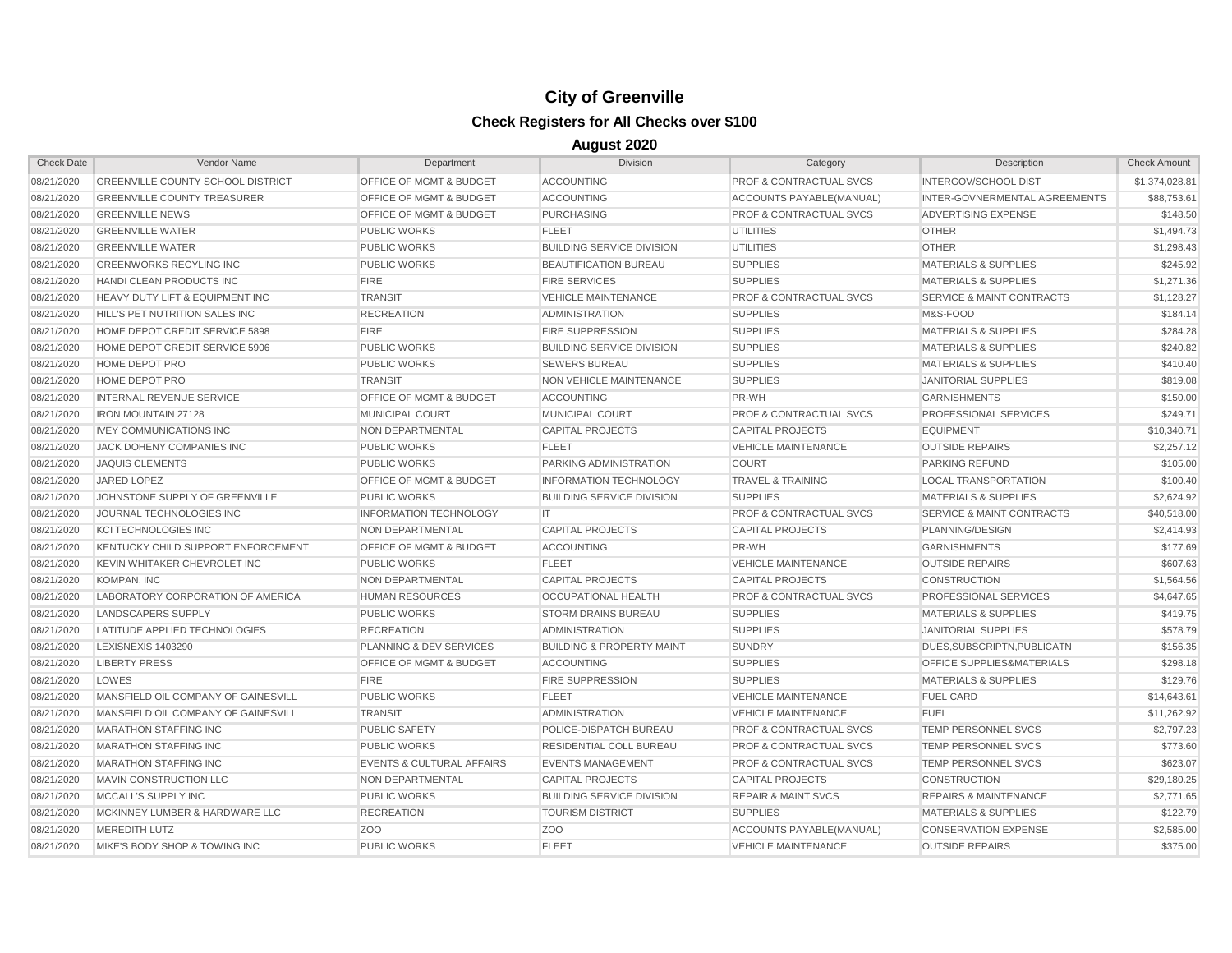| <b>Check Date</b> | Vendor Name                              | Department                           | <b>Division</b>                      | Category                           | Description                          | <b>Check Amount</b> |
|-------------------|------------------------------------------|--------------------------------------|--------------------------------------|------------------------------------|--------------------------------------|---------------------|
| 08/21/2020        | <b>GREENVILLE COUNTY SCHOOL DISTRICT</b> | OFFICE OF MGMT & BUDGET              | <b>ACCOUNTING</b>                    | PROF & CONTRACTUAL SVCS            | INTERGOV/SCHOOL DIST                 | \$1,374,028.81      |
| 08/21/2020        | <b>GREENVILLE COUNTY TREASURER</b>       | OFFICE OF MGMT & BUDGET              | <b>ACCOUNTING</b>                    | ACCOUNTS PAYABLE(MANUAL)           | INTER-GOVNERMENTAL AGREEMENTS        | \$88,753.61         |
| 08/21/2020        | <b>GREENVILLE NEWS</b>                   | OFFICE OF MGMT & BUDGET              | <b>PURCHASING</b>                    | <b>PROF &amp; CONTRACTUAL SVCS</b> | ADVERTISING EXPENSE                  | \$148.50            |
| 08/21/2020        | <b>GREENVILLE WATER</b>                  | <b>PUBLIC WORKS</b>                  | <b>FLEET</b>                         | <b>UTILITIES</b>                   | <b>OTHER</b>                         | \$1,494.73          |
| 08/21/2020        | <b>GREENVILLE WATER</b>                  | <b>PUBLIC WORKS</b>                  | <b>BUILDING SERVICE DIVISION</b>     | <b>UTILITIES</b>                   | <b>OTHER</b>                         | \$1,298.43          |
| 08/21/2020        | <b>GREENWORKS RECYLING INC</b>           | <b>PUBLIC WORKS</b>                  | <b>BEAUTIFICATION BUREAU</b>         | <b>SUPPLIES</b>                    | <b>MATERIALS &amp; SUPPLIES</b>      | \$245.92            |
| 08/21/2020        | HANDI CLEAN PRODUCTS INC                 | <b>FIRE</b>                          | <b>FIRE SERVICES</b>                 | <b>SUPPLIES</b>                    | <b>MATERIALS &amp; SUPPLIES</b>      | \$1,271.36          |
| 08/21/2020        | HEAVY DUTY LIFT & EQUIPMENT INC          | <b>TRANSIT</b>                       | <b>VEHICLE MAINTENANCE</b>           | <b>PROF &amp; CONTRACTUAL SVCS</b> | <b>SERVICE &amp; MAINT CONTRACTS</b> | \$1,128.27          |
| 08/21/2020        | HILL'S PET NUTRITION SALES INC           | <b>RECREATION</b>                    | <b>ADMINISTRATION</b>                | <b>SUPPLIES</b>                    | M&S-FOOD                             | \$184.14            |
| 08/21/2020        | HOME DEPOT CREDIT SERVICE 5898           | <b>FIRE</b>                          | <b>FIRE SUPPRESSION</b>              | <b>SUPPLIES</b>                    | <b>MATERIALS &amp; SUPPLIES</b>      | \$284.28            |
| 08/21/2020        | HOME DEPOT CREDIT SERVICE 5906           | <b>PUBLIC WORKS</b>                  | <b>BUILDING SERVICE DIVISION</b>     | <b>SUPPLIES</b>                    | <b>MATERIALS &amp; SUPPLIES</b>      | \$240.82            |
| 08/21/2020        | HOME DEPOT PRO                           | <b>PUBLIC WORKS</b>                  | <b>SEWERS BUREAU</b>                 | <b>SUPPLIES</b>                    | <b>MATERIALS &amp; SUPPLIES</b>      | \$410.40            |
| 08/21/2020        | HOME DEPOT PRO                           | <b>TRANSIT</b>                       | NON VEHICLE MAINTENANCE              | <b>SUPPLIES</b>                    | <b>JANITORIAL SUPPLIES</b>           | \$819.08            |
| 08/21/2020        | <b>INTERNAL REVENUE SERVICE</b>          | OFFICE OF MGMT & BUDGET              | <b>ACCOUNTING</b>                    | PR-WH                              | <b>GARNISHMENTS</b>                  | \$150.00            |
| 08/21/2020        | <b>IRON MOUNTAIN 27128</b>               | MUNICIPAL COURT                      | MUNICIPAL COURT                      | <b>PROF &amp; CONTRACTUAL SVCS</b> | PROFESSIONAL SERVICES                | \$249.71            |
| 08/21/2020        | <b>IVEY COMMUNICATIONS INC</b>           | NON DEPARTMENTAL                     | <b>CAPITAL PROJECTS</b>              | <b>CAPITAL PROJECTS</b>            | <b>EQUIPMENT</b>                     | \$10,340.71         |
| 08/21/2020        | JACK DOHENY COMPANIES INC                | <b>PUBLIC WORKS</b>                  | <b>FLEET</b>                         | <b>VEHICLE MAINTENANCE</b>         | <b>OUTSIDE REPAIRS</b>               | \$2,257.12          |
| 08/21/2020        | <b>JAQUIS CLEMENTS</b>                   | <b>PUBLIC WORKS</b>                  | PARKING ADMINISTRATION               | <b>COURT</b>                       | <b>PARKING REFUND</b>                | \$105.00            |
| 08/21/2020        | JARED LOPEZ                              | OFFICE OF MGMT & BUDGET              | <b>INFORMATION TECHNOLOGY</b>        | <b>TRAVEL &amp; TRAINING</b>       | <b>LOCAL TRANSPORTATION</b>          | \$100.40            |
| 08/21/2020        | JOHNSTONE SUPPLY OF GREENVILLE           | <b>PUBLIC WORKS</b>                  | <b>BUILDING SERVICE DIVISION</b>     | <b>SUPPLIES</b>                    | <b>MATERIALS &amp; SUPPLIES</b>      | \$2,624.92          |
| 08/21/2020        | JOURNAL TECHNOLOGIES INC                 | <b>INFORMATION TECHNOLOGY</b>        | IT.                                  | <b>PROF &amp; CONTRACTUAL SVCS</b> | <b>SERVICE &amp; MAINT CONTRACTS</b> | \$40,518.00         |
| 08/21/2020        | <b>KCI TECHNOLOGIES INC</b>              | <b>NON DEPARTMENTAL</b>              | <b>CAPITAL PROJECTS</b>              | <b>CAPITAL PROJECTS</b>            | PLANNING/DESIGN                      | \$2,414.93          |
| 08/21/2020        | KENTUCKY CHILD SUPPORT ENFORCEMENT       | OFFICE OF MGMT & BUDGET              | <b>ACCOUNTING</b>                    | PR-WH                              | <b>GARNISHMENTS</b>                  | \$177.69            |
| 08/21/2020        | KEVIN WHITAKER CHEVROLET INC             | <b>PUBLIC WORKS</b>                  | <b>FLEET</b>                         | <b>VEHICLE MAINTENANCE</b>         | <b>OUTSIDE REPAIRS</b>               | \$607.63            |
| 08/21/2020        | KOMPAN, INC                              | NON DEPARTMENTAL                     | <b>CAPITAL PROJECTS</b>              | <b>CAPITAL PROJECTS</b>            | <b>CONSTRUCTION</b>                  | \$1,564.56          |
| 08/21/2020        | LABORATORY CORPORATION OF AMERICA        | <b>HUMAN RESOURCES</b>               | OCCUPATIONAL HEALTH                  | <b>PROF &amp; CONTRACTUAL SVCS</b> | PROFESSIONAL SERVICES                | \$4,647.65          |
| 08/21/2020        | LANDSCAPERS SUPPLY                       | <b>PUBLIC WORKS</b>                  | <b>STORM DRAINS BUREAU</b>           | <b>SUPPLIES</b>                    | <b>MATERIALS &amp; SUPPLIES</b>      | \$419.75            |
| 08/21/2020        | LATITUDE APPLIED TECHNOLOGIES            | <b>RECREATION</b>                    | <b>ADMINISTRATION</b>                | <b>SUPPLIES</b>                    | <b>JANITORIAL SUPPLIES</b>           | \$578.79            |
| 08/21/2020        | LEXISNEXIS 1403290                       | PLANNING & DEV SERVICES              | <b>BUILDING &amp; PROPERTY MAINT</b> | <b>SUNDRY</b>                      | DUES.SUBSCRIPTN.PUBLICATN            | \$156.35            |
| 08/21/2020        | <b>LIBERTY PRESS</b>                     | <b>OFFICE OF MGMT &amp; BUDGET</b>   | <b>ACCOUNTING</b>                    | <b>SUPPLIES</b>                    | <b>OFFICE SUPPLIES&amp;MATERIALS</b> | \$298.18            |
| 08/21/2020        | LOWES                                    | <b>FIRE</b>                          | <b>FIRE SUPPRESSION</b>              | <b>SUPPLIES</b>                    | <b>MATERIALS &amp; SUPPLIES</b>      | \$129.76            |
| 08/21/2020        | MANSFIELD OIL COMPANY OF GAINESVILL      | <b>PUBLIC WORKS</b>                  | <b>FLEET</b>                         | <b>VEHICLE MAINTENANCE</b>         | <b>FUEL CARD</b>                     | \$14,643.61         |
| 08/21/2020        | MANSFIELD OIL COMPANY OF GAINESVILL      | <b>TRANSIT</b>                       | <b>ADMINISTRATION</b>                | <b>VEHICLE MAINTENANCE</b>         | <b>FUEL</b>                          | \$11,262.92         |
| 08/21/2020        | <b>MARATHON STAFFING INC</b>             | <b>PUBLIC SAFETY</b>                 | POLICE-DISPATCH BUREAU               | <b>PROF &amp; CONTRACTUAL SVCS</b> | TEMP PERSONNEL SVCS                  | \$2,797.23          |
| 08/21/2020        | <b>MARATHON STAFFING INC</b>             | <b>PUBLIC WORKS</b>                  | <b>RESIDENTIAL COLL BUREAU</b>       | <b>PROF &amp; CONTRACTUAL SVCS</b> | <b>TEMP PERSONNEL SVCS</b>           | \$773.60            |
| 08/21/2020        | <b>MARATHON STAFFING INC</b>             | <b>EVENTS &amp; CULTURAL AFFAIRS</b> | <b>EVENTS MANAGEMENT</b>             | <b>PROF &amp; CONTRACTUAL SVCS</b> | TEMP PERSONNEL SVCS                  | \$623.07            |
| 08/21/2020        | MAVIN CONSTRUCTION LLC                   | NON DEPARTMENTAL                     | <b>CAPITAL PROJECTS</b>              | <b>CAPITAL PROJECTS</b>            | <b>CONSTRUCTION</b>                  | \$29,180.25         |
| 08/21/2020        | <b>MCCALL'S SUPPLY INC</b>               | <b>PUBLIC WORKS</b>                  | <b>BUILDING SERVICE DIVISION</b>     | <b>REPAIR &amp; MAINT SVCS</b>     | <b>REPAIRS &amp; MAINTENANCE</b>     | \$2,771.65          |
| 08/21/2020        | MCKINNEY LUMBER & HARDWARE LLC           | <b>RECREATION</b>                    | <b>TOURISM DISTRICT</b>              | <b>SUPPLIES</b>                    | <b>MATERIALS &amp; SUPPLIES</b>      | \$122.79            |
| 08/21/2020        | <b>MEREDITH LUTZ</b>                     | ZOO                                  | Z <sub>OO</sub>                      | <b>ACCOUNTS PAYABLE (MANUAL)</b>   | <b>CONSERVATION EXPENSE</b>          | \$2,585.00          |
| 08/21/2020        | MIKE'S BODY SHOP & TOWING INC            | <b>PUBLIC WORKS</b>                  | <b>FLEET</b>                         | <b>VEHICLE MAINTENANCE</b>         | <b>OUTSIDE REPAIRS</b>               | \$375.00            |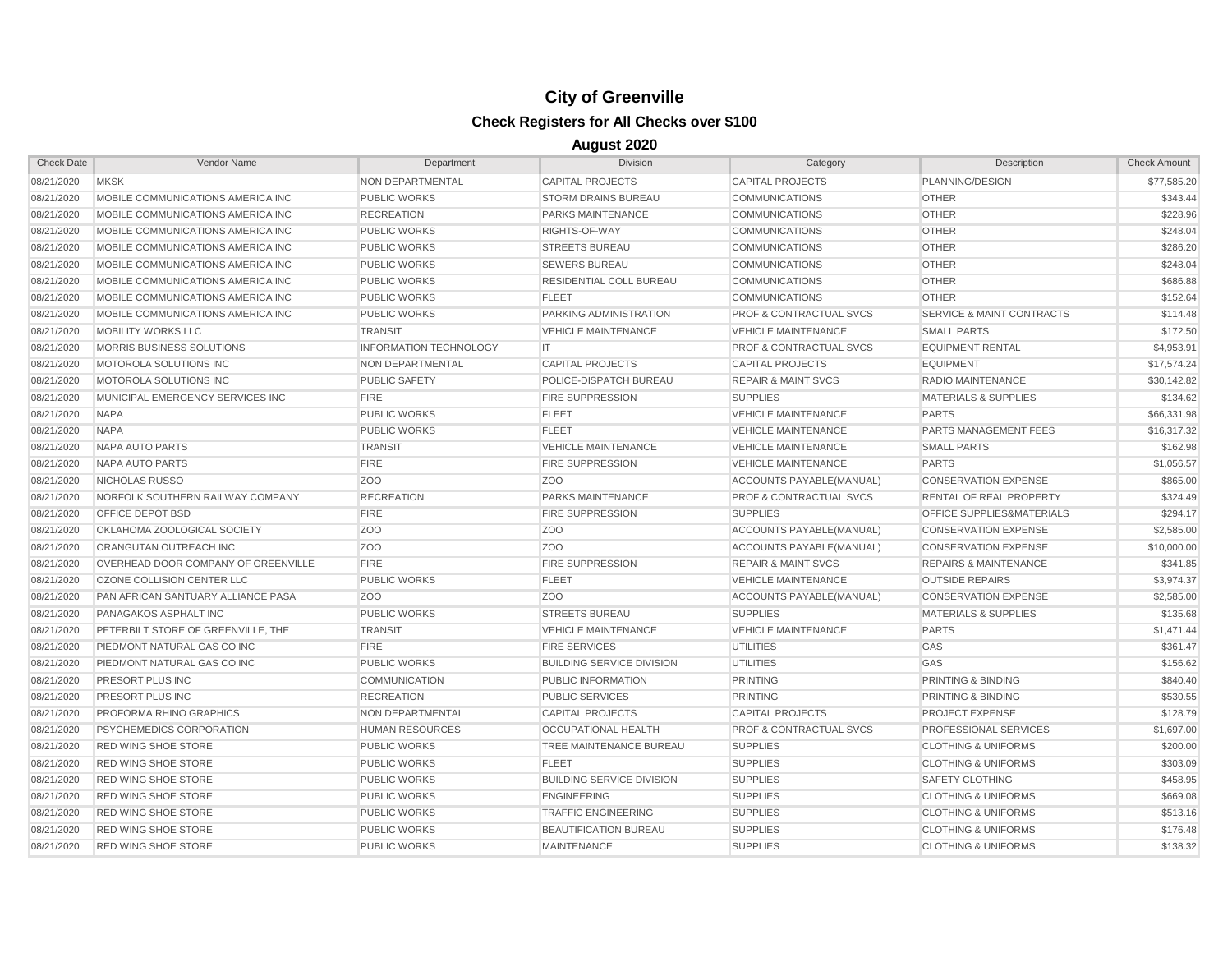| <b>Check Date</b> | Vendor Name                         | Department                    | <b>Division</b>                  | Category                           | Description                          | <b>Check Amount</b> |
|-------------------|-------------------------------------|-------------------------------|----------------------------------|------------------------------------|--------------------------------------|---------------------|
| 08/21/2020        | <b>MKSK</b>                         | NON DEPARTMENTAL              | <b>CAPITAL PROJECTS</b>          | <b>CAPITAL PROJECTS</b>            | PLANNING/DESIGN                      | \$77,585.20         |
| 08/21/2020        | MOBILE COMMUNICATIONS AMERICA INC   | <b>PUBLIC WORKS</b>           | <b>STORM DRAINS BUREAU</b>       | <b>COMMUNICATIONS</b>              | <b>OTHER</b>                         | \$343.44            |
| 08/21/2020        | MOBILE COMMUNICATIONS AMERICA INC   | <b>RECREATION</b>             | PARKS MAINTENANCE                | COMMUNICATIONS                     | <b>OTHER</b>                         | \$228.96            |
| 08/21/2020        | MOBILE COMMUNICATIONS AMERICA INC   | <b>PUBLIC WORKS</b>           | RIGHTS-OF-WAY                    | <b>COMMUNICATIONS</b>              | <b>OTHER</b>                         | \$248.04            |
| 08/21/2020        | MOBILE COMMUNICATIONS AMERICA INC   | <b>PUBLIC WORKS</b>           | <b>STREETS BUREAU</b>            | <b>COMMUNICATIONS</b>              | <b>OTHER</b>                         | \$286.20            |
| 08/21/2020        | MOBILE COMMUNICATIONS AMERICA INC   | <b>PUBLIC WORKS</b>           | <b>SEWERS BUREAU</b>             | <b>COMMUNICATIONS</b>              | <b>OTHER</b>                         | \$248.04            |
| 08/21/2020        | MOBILE COMMUNICATIONS AMERICA INC   | <b>PUBLIC WORKS</b>           | RESIDENTIAL COLL BUREAU          | <b>COMMUNICATIONS</b>              | <b>OTHER</b>                         | \$686.88            |
| 08/21/2020        | MOBILE COMMUNICATIONS AMERICA INC   | <b>PUBLIC WORKS</b>           | <b>FLEET</b>                     | <b>COMMUNICATIONS</b>              | <b>OTHER</b>                         | \$152.64            |
| 08/21/2020        | MOBILE COMMUNICATIONS AMERICA INC   | <b>PUBLIC WORKS</b>           | PARKING ADMINISTRATION           | <b>PROF &amp; CONTRACTUAL SVCS</b> | SERVICE & MAINT CONTRACTS            | \$114.48            |
| 08/21/2020        | MOBILITY WORKS LLC                  | <b>TRANSIT</b>                | <b>VEHICLE MAINTENANCE</b>       | <b>VEHICLE MAINTENANCE</b>         | <b>SMALL PARTS</b>                   | \$172.50            |
| 08/21/2020        | MORRIS BUSINESS SOLUTIONS           | <b>INFORMATION TECHNOLOGY</b> | IT                               | <b>PROF &amp; CONTRACTUAL SVCS</b> | <b>EQUIPMENT RENTAL</b>              | \$4,953.91          |
| 08/21/2020        | MOTOROLA SOLUTIONS INC              | NON DEPARTMENTAL              | <b>CAPITAL PROJECTS</b>          | <b>CAPITAL PROJECTS</b>            | <b>EQUIPMENT</b>                     | \$17,574.24         |
| 08/21/2020        | MOTOROLA SOLUTIONS INC              | <b>PUBLIC SAFETY</b>          | POLICE-DISPATCH BUREAU           | <b>REPAIR &amp; MAINT SVCS</b>     | <b>RADIO MAINTENANCE</b>             | \$30,142.82         |
| 08/21/2020        | MUNICIPAL EMERGENCY SERVICES INC    | <b>FIRE</b>                   | <b>FIRE SUPPRESSION</b>          | <b>SUPPLIES</b>                    | <b>MATERIALS &amp; SUPPLIES</b>      | \$134.62            |
| 08/21/2020        | <b>NAPA</b>                         | <b>PUBLIC WORKS</b>           | <b>FLEET</b>                     | <b>VEHICLE MAINTENANCE</b>         | <b>PARTS</b>                         | \$66,331.98         |
| 08/21/2020        | <b>NAPA</b>                         | <b>PUBLIC WORKS</b>           | <b>FLEET</b>                     | <b>VEHICLE MAINTENANCE</b>         | PARTS MANAGEMENT FEES                | \$16,317.32         |
| 08/21/2020        | NAPA AUTO PARTS                     | <b>TRANSIT</b>                | <b>VEHICLE MAINTENANCE</b>       | <b>VEHICLE MAINTENANCE</b>         | <b>SMALL PARTS</b>                   | \$162.98            |
| 08/21/2020        | <b>NAPA AUTO PARTS</b>              | <b>FIRE</b>                   | <b>FIRE SUPPRESSION</b>          | <b>VEHICLE MAINTENANCE</b>         | <b>PARTS</b>                         | \$1,056.57          |
| 08/21/2020        | NICHOLAS RUSSO                      | ZO <sub>O</sub>               | Z <sub>OO</sub>                  | ACCOUNTS PAYABLE(MANUAL)           | <b>CONSERVATION EXPENSE</b>          | \$865.00            |
| 08/21/2020        | NORFOLK SOUTHERN RAILWAY COMPANY    | <b>RECREATION</b>             | PARKS MAINTENANCE                | <b>PROF &amp; CONTRACTUAL SVCS</b> | RENTAL OF REAL PROPERTY              | \$324.49            |
| 08/21/2020        | OFFICE DEPOT BSD                    | <b>FIRE</b>                   | <b>FIRE SUPPRESSION</b>          | <b>SUPPLIES</b>                    | <b>OFFICE SUPPLIES&amp;MATERIALS</b> | \$294.17            |
| 08/21/2020        | OKLAHOMA ZOOLOGICAL SOCIETY         | ZO <sub>O</sub>               | Z <sub>O</sub> O                 | ACCOUNTS PAYABLE(MANUAL)           | <b>CONSERVATION EXPENSE</b>          | \$2,585.00          |
| 08/21/2020        | ORANGUTAN OUTREACH INC              | Z <sub>O</sub> O              | Z <sub>O</sub> O                 | ACCOUNTS PAYABLE(MANUAL)           | <b>CONSERVATION EXPENSE</b>          | \$10,000.00         |
| 08/21/2020        | OVERHEAD DOOR COMPANY OF GREENVILLE | <b>FIRE</b>                   | <b>FIRE SUPPRESSION</b>          | <b>REPAIR &amp; MAINT SVCS</b>     | <b>REPAIRS &amp; MAINTENANCE</b>     | \$341.85            |
| 08/21/2020        | OZONE COLLISION CENTER LLC          | <b>PUBLIC WORKS</b>           | <b>FLEET</b>                     | <b>VEHICLE MAINTENANCE</b>         | <b>OUTSIDE REPAIRS</b>               | \$3,974.37          |
| 08/21/2020        | PAN AFRICAN SANTUARY ALLIANCE PASA  | Z <sub>O</sub> O              | Z <sub>OO</sub>                  | ACCOUNTS PAYABLE(MANUAL)           | <b>CONSERVATION EXPENSE</b>          | \$2,585.00          |
| 08/21/2020        | PANAGAKOS ASPHALT INC               | <b>PUBLIC WORKS</b>           | <b>STREETS BUREAU</b>            | <b>SUPPLIES</b>                    | <b>MATERIALS &amp; SUPPLIES</b>      | \$135.68            |
| 08/21/2020        | PETERBILT STORE OF GREENVILLE, THE  | <b>TRANSIT</b>                | <b>VEHICLE MAINTENANCE</b>       | <b>VEHICLE MAINTENANCE</b>         | <b>PARTS</b>                         | \$1,471.44          |
| 08/21/2020        | PIEDMONT NATURAL GAS CO INC         | <b>FIRE</b>                   | <b>FIRE SERVICES</b>             | <b>UTILITIES</b>                   | GAS                                  | \$361.47            |
| 08/21/2020        | PIEDMONT NATURAL GAS CO INC         | <b>PUBLIC WORKS</b>           | <b>BUILDING SERVICE DIVISION</b> | <b>UTILITIES</b>                   | GAS                                  | \$156.62            |
| 08/21/2020        | PRESORT PLUS INC                    | <b>COMMUNICATION</b>          | PUBLIC INFORMATION               | <b>PRINTING</b>                    | PRINTING & BINDING                   | \$840.40            |
| 08/21/2020        | PRESORT PLUS INC                    | <b>RECREATION</b>             | <b>PUBLIC SERVICES</b>           | <b>PRINTING</b>                    | <b>PRINTING &amp; BINDING</b>        | \$530.55            |
| 08/21/2020        | PROFORMA RHINO GRAPHICS             | <b>NON DEPARTMENTAL</b>       | <b>CAPITAL PROJECTS</b>          | <b>CAPITAL PROJECTS</b>            | <b>PROJECT EXPENSE</b>               | \$128.79            |
| 08/21/2020        | PSYCHEMEDICS CORPORATION            | <b>HUMAN RESOURCES</b>        | <b>OCCUPATIONAL HEALTH</b>       | <b>PROF &amp; CONTRACTUAL SVCS</b> | PROFESSIONAL SERVICES                | \$1,697.00          |
| 08/21/2020        | <b>RED WING SHOE STORE</b>          | <b>PUBLIC WORKS</b>           | TREE MAINTENANCE BUREAU          | <b>SUPPLIES</b>                    | <b>CLOTHING &amp; UNIFORMS</b>       | \$200.00            |
| 08/21/2020        | <b>RED WING SHOE STORE</b>          | <b>PUBLIC WORKS</b>           | <b>FLEET</b>                     | <b>SUPPLIES</b>                    | <b>CLOTHING &amp; UNIFORMS</b>       | \$303.09            |
| 08/21/2020        | <b>RED WING SHOE STORE</b>          | <b>PUBLIC WORKS</b>           | <b>BUILDING SERVICE DIVISION</b> | <b>SUPPLIES</b>                    | <b>SAFETY CLOTHING</b>               | \$458.95            |
| 08/21/2020        | <b>RED WING SHOE STORE</b>          | <b>PUBLIC WORKS</b>           | <b>ENGINEERING</b>               | <b>SUPPLIES</b>                    | <b>CLOTHING &amp; UNIFORMS</b>       | \$669.08            |
| 08/21/2020        | <b>RED WING SHOE STORE</b>          | <b>PUBLIC WORKS</b>           | <b>TRAFFIC ENGINEERING</b>       | <b>SUPPLIES</b>                    | <b>CLOTHING &amp; UNIFORMS</b>       | \$513.16            |
| 08/21/2020        | <b>RED WING SHOE STORE</b>          | <b>PUBLIC WORKS</b>           | <b>BEAUTIFICATION BUREAU</b>     | <b>SUPPLIES</b>                    | <b>CLOTHING &amp; UNIFORMS</b>       | \$176.48            |
| 08/21/2020        | <b>RED WING SHOE STORE</b>          | <b>PUBLIC WORKS</b>           | <b>MAINTENANCE</b>               | <b>SUPPLIES</b>                    | <b>CLOTHING &amp; UNIFORMS</b>       | \$138.32            |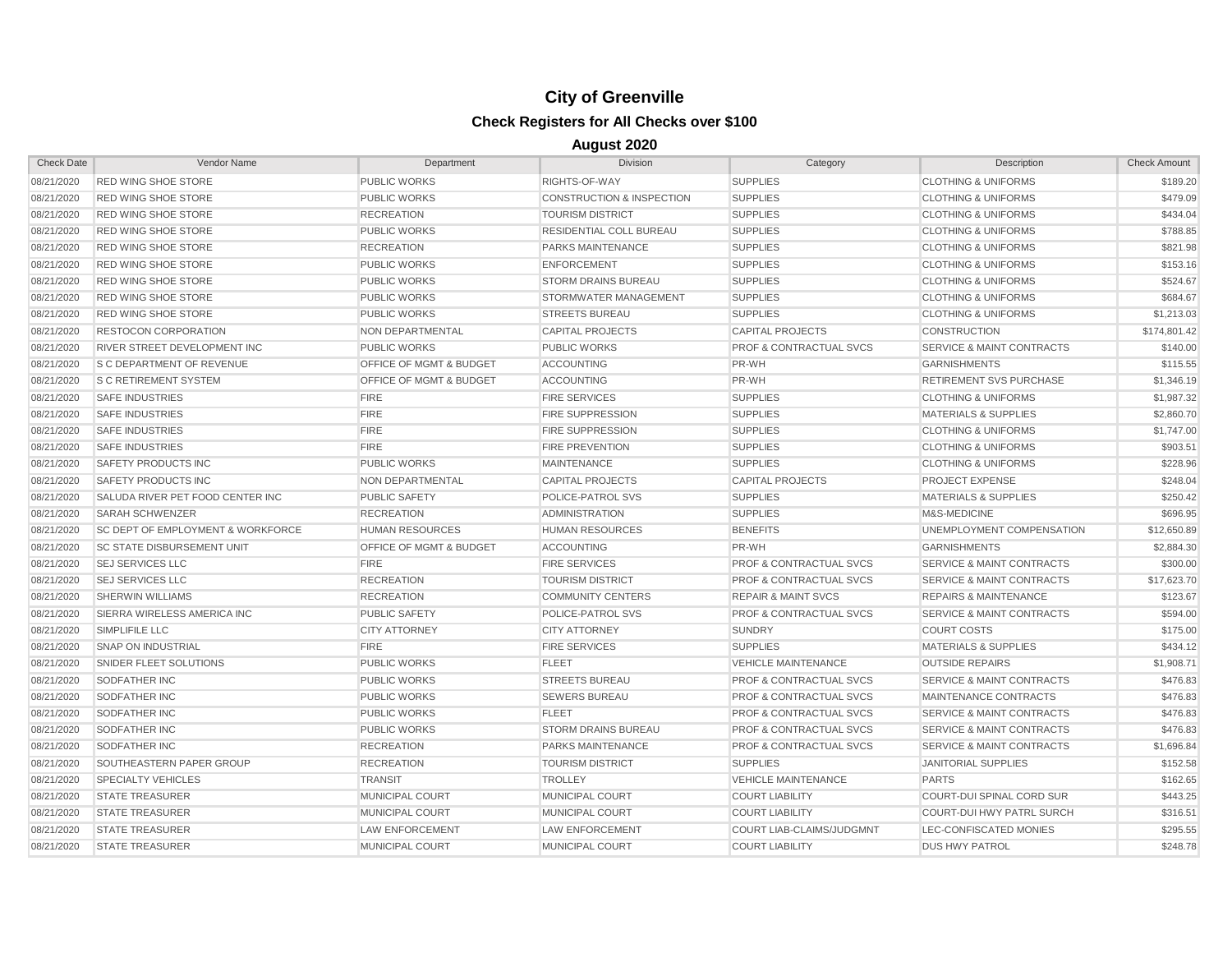| <b>Check Date</b> | Vendor Name                                  | Department                         | <b>Division</b>                      | Category                           | Description                          | <b>Check Amount</b> |
|-------------------|----------------------------------------------|------------------------------------|--------------------------------------|------------------------------------|--------------------------------------|---------------------|
| 08/21/2020        | <b>RED WING SHOE STORE</b>                   | <b>PUBLIC WORKS</b>                | RIGHTS-OF-WAY                        | <b>SUPPLIES</b>                    | <b>CLOTHING &amp; UNIFORMS</b>       | \$189.20            |
| 08/21/2020        | <b>RED WING SHOE STORE</b>                   | <b>PUBLIC WORKS</b>                | <b>CONSTRUCTION &amp; INSPECTION</b> | <b>SUPPLIES</b>                    | <b>CLOTHING &amp; UNIFORMS</b>       | \$479.09            |
| 08/21/2020        | <b>RED WING SHOE STORE</b>                   | <b>RECREATION</b>                  | <b>TOURISM DISTRICT</b>              | <b>SUPPLIES</b>                    | <b>CLOTHING &amp; UNIFORMS</b>       | \$434.04            |
| 08/21/2020        | <b>RED WING SHOE STORE</b>                   | <b>PUBLIC WORKS</b>                | RESIDENTIAL COLL BUREAU              | <b>SUPPLIES</b>                    | <b>CLOTHING &amp; UNIFORMS</b>       | \$788.85            |
| 08/21/2020        | <b>RED WING SHOE STORE</b>                   | <b>RECREATION</b>                  | PARKS MAINTENANCE                    | <b>SUPPLIES</b>                    | <b>CLOTHING &amp; UNIFORMS</b>       | \$821.98            |
| 08/21/2020        | <b>RED WING SHOE STORE</b>                   | <b>PUBLIC WORKS</b>                | <b>ENFORCEMENT</b>                   | <b>SUPPLIES</b>                    | <b>CLOTHING &amp; UNIFORMS</b>       | \$153.16            |
| 08/21/2020        | <b>RED WING SHOE STORE</b>                   | <b>PUBLIC WORKS</b>                | <b>STORM DRAINS BUREAU</b>           | <b>SUPPLIES</b>                    | <b>CLOTHING &amp; UNIFORMS</b>       | \$524.67            |
| 08/21/2020        | <b>RED WING SHOE STORE</b>                   | <b>PUBLIC WORKS</b>                | STORMWATER MANAGEMENT                | <b>SUPPLIES</b>                    | <b>CLOTHING &amp; UNIFORMS</b>       | \$684.67            |
| 08/21/2020        | <b>RED WING SHOE STORE</b>                   | <b>PUBLIC WORKS</b>                | <b>STREETS BUREAU</b>                | <b>SUPPLIES</b>                    | <b>CLOTHING &amp; UNIFORMS</b>       | \$1,213.03          |
| 08/21/2020        | <b>RESTOCON CORPORATION</b>                  | NON DEPARTMENTAL                   | <b>CAPITAL PROJECTS</b>              | <b>CAPITAL PROJECTS</b>            | <b>CONSTRUCTION</b>                  | \$174,801.42        |
| 08/21/2020        | RIVER STREET DEVELOPMENT INC                 | <b>PUBLIC WORKS</b>                | <b>PUBLIC WORKS</b>                  | <b>PROF &amp; CONTRACTUAL SVCS</b> | <b>SERVICE &amp; MAINT CONTRACTS</b> | \$140.00            |
| 08/21/2020        | <b>S C DEPARTMENT OF REVENUE</b>             | <b>OFFICE OF MGMT &amp; BUDGET</b> | <b>ACCOUNTING</b>                    | PR-WH                              | <b>GARNISHMENTS</b>                  | \$115.55            |
| 08/21/2020        | <b>S C RETIREMENT SYSTEM</b>                 | OFFICE OF MGMT & BUDGET            | <b>ACCOUNTING</b>                    | PR-WH                              | <b>RETIREMENT SVS PURCHASE</b>       | \$1,346.19          |
| 08/21/2020        | <b>SAFE INDUSTRIES</b>                       | <b>FIRE</b>                        | <b>FIRE SERVICES</b>                 | <b>SUPPLIES</b>                    | <b>CLOTHING &amp; UNIFORMS</b>       | \$1,987.32          |
| 08/21/2020        | <b>SAFE INDUSTRIES</b>                       | <b>FIRE</b>                        | <b>FIRE SUPPRESSION</b>              | <b>SUPPLIES</b>                    | <b>MATERIALS &amp; SUPPLIES</b>      | \$2,860.70          |
| 08/21/2020        | <b>SAFE INDUSTRIES</b>                       | <b>FIRE</b>                        | <b>FIRE SUPPRESSION</b>              | <b>SUPPLIES</b>                    | <b>CLOTHING &amp; UNIFORMS</b>       | \$1,747.00          |
| 08/21/2020        | <b>SAFE INDUSTRIES</b>                       | <b>FIRE</b>                        | <b>FIRE PREVENTION</b>               | <b>SUPPLIES</b>                    | <b>CLOTHING &amp; UNIFORMS</b>       | \$903.51            |
| 08/21/2020        | SAFETY PRODUCTS INC                          | <b>PUBLIC WORKS</b>                | <b>MAINTENANCE</b>                   | <b>SUPPLIES</b>                    | <b>CLOTHING &amp; UNIFORMS</b>       | \$228.96            |
| 08/21/2020        | <b>SAFETY PRODUCTS INC</b>                   | NON DEPARTMENTAL                   | <b>CAPITAL PROJECTS</b>              | <b>CAPITAL PROJECTS</b>            | <b>PROJECT EXPENSE</b>               | \$248.04            |
| 08/21/2020        | SALUDA RIVER PET FOOD CENTER INC             | <b>PUBLIC SAFETY</b>               | POLICE-PATROL SVS                    | <b>SUPPLIES</b>                    | <b>MATERIALS &amp; SUPPLIES</b>      | \$250.42            |
| 08/21/2020        | <b>SARAH SCHWENZER</b>                       | <b>RECREATION</b>                  | <b>ADMINISTRATION</b>                | <b>SUPPLIES</b>                    | M&S-MEDICINE                         | \$696.95            |
| 08/21/2020        | <b>SC DEPT OF EMPLOYMENT &amp; WORKFORCE</b> | <b>HUMAN RESOURCES</b>             | <b>HUMAN RESOURCES</b>               | <b>BENEFITS</b>                    | UNEMPLOYMENT COMPENSATION            | \$12,650.89         |
| 08/21/2020        | <b>SC STATE DISBURSEMENT UNIT</b>            | <b>OFFICE OF MGMT &amp; BUDGET</b> | <b>ACCOUNTING</b>                    | PR-WH                              | <b>GARNISHMENTS</b>                  | \$2,884.30          |
| 08/21/2020        | <b>SEJ SERVICES LLC</b>                      | <b>FIRE</b>                        | <b>FIRE SERVICES</b>                 | <b>PROF &amp; CONTRACTUAL SVCS</b> | <b>SERVICE &amp; MAINT CONTRACTS</b> | \$300.00            |
| 08/21/2020        | <b>SEJ SERVICES LLC</b>                      | <b>RECREATION</b>                  | <b>TOURISM DISTRICT</b>              | <b>PROF &amp; CONTRACTUAL SVCS</b> | <b>SERVICE &amp; MAINT CONTRACTS</b> | \$17,623.70         |
| 08/21/2020        | <b>SHERWIN WILLIAMS</b>                      | <b>RECREATION</b>                  | <b>COMMUNITY CENTERS</b>             | <b>REPAIR &amp; MAINT SVCS</b>     | <b>REPAIRS &amp; MAINTENANCE</b>     | \$123.67            |
| 08/21/2020        | SIERRA WIRELESS AMERICA INC                  | <b>PUBLIC SAFETY</b>               | POLICE-PATROL SVS                    | PROF & CONTRACTUAL SVCS            | <b>SERVICE &amp; MAINT CONTRACTS</b> | \$594.00            |
| 08/21/2020        | SIMPLIFILE LLC                               | <b>CITY ATTORNEY</b>               | <b>CITY ATTORNEY</b>                 | <b>SUNDRY</b>                      | <b>COURT COSTS</b>                   | \$175.00            |
| 08/21/2020        | <b>SNAP ON INDUSTRIAL</b>                    | <b>FIRE</b>                        | <b>FIRE SERVICES</b>                 | <b>SUPPLIES</b>                    | <b>MATERIALS &amp; SUPPLIES</b>      | \$434.12            |
| 08/21/2020        | SNIDER FLEET SOLUTIONS                       | <b>PUBLIC WORKS</b>                | <b>FLEET</b>                         | <b>VEHICLE MAINTENANCE</b>         | <b>OUTSIDE REPAIRS</b>               | \$1,908.71          |
| 08/21/2020        | SODFATHER INC                                | <b>PUBLIC WORKS</b>                | <b>STREETS BUREAU</b>                | <b>PROF &amp; CONTRACTUAL SVCS</b> | <b>SERVICE &amp; MAINT CONTRACTS</b> | \$476.83            |
| 08/21/2020        | SODFATHER INC                                | <b>PUBLIC WORKS</b>                | <b>SEWERS BUREAU</b>                 | <b>PROF &amp; CONTRACTUAL SVCS</b> | MAINTENANCE CONTRACTS                | \$476.83            |
| 08/21/2020        | SODFATHER INC                                | <b>PUBLIC WORKS</b>                | <b>FLEET</b>                         | <b>PROF &amp; CONTRACTUAL SVCS</b> | <b>SERVICE &amp; MAINT CONTRACTS</b> | \$476.83            |
| 08/21/2020        | SODFATHER INC                                | <b>PUBLIC WORKS</b>                | <b>STORM DRAINS BUREAU</b>           | <b>PROF &amp; CONTRACTUAL SVCS</b> | <b>SERVICE &amp; MAINT CONTRACTS</b> | \$476.83            |
| 08/21/2020        | SODFATHER INC                                | <b>RECREATION</b>                  | <b>PARKS MAINTENANCE</b>             | <b>PROF &amp; CONTRACTUAL SVCS</b> | <b>SERVICE &amp; MAINT CONTRACTS</b> | \$1,696.84          |
| 08/21/2020        | SOUTHEASTERN PAPER GROUP                     | <b>RECREATION</b>                  | <b>TOURISM DISTRICT</b>              | <b>SUPPLIES</b>                    | <b>JANITORIAL SUPPLIES</b>           | \$152.58            |
| 08/21/2020        | SPECIALTY VEHICLES                           | <b>TRANSIT</b>                     | <b>TROLLEY</b>                       | <b>VEHICLE MAINTENANCE</b>         | <b>PARTS</b>                         | \$162.65            |
| 08/21/2020        | <b>STATE TREASURER</b>                       | <b>MUNICIPAL COURT</b>             | MUNICIPAL COURT                      | <b>COURT LIABILITY</b>             | COURT-DUI SPINAL CORD SUR            | \$443.25            |
| 08/21/2020        | <b>STATE TREASURER</b>                       | <b>MUNICIPAL COURT</b>             | MUNICIPAL COURT                      | <b>COURT LIABILITY</b>             | COURT-DUI HWY PATRL SURCH            | \$316.51            |
| 08/21/2020        | <b>STATE TREASURER</b>                       | <b>LAW ENFORCEMENT</b>             | <b>LAW ENFORCEMENT</b>               | <b>COURT LIAB-CLAIMS/JUDGMNT</b>   | <b>LEC-CONFISCATED MONIES</b>        | \$295.55            |
| 08/21/2020        | <b>STATE TREASURER</b>                       | <b>MUNICIPAL COURT</b>             | <b>MUNICIPAL COURT</b>               | <b>COURT LIABILITY</b>             | <b>DUS HWY PATROL</b>                | \$248.78            |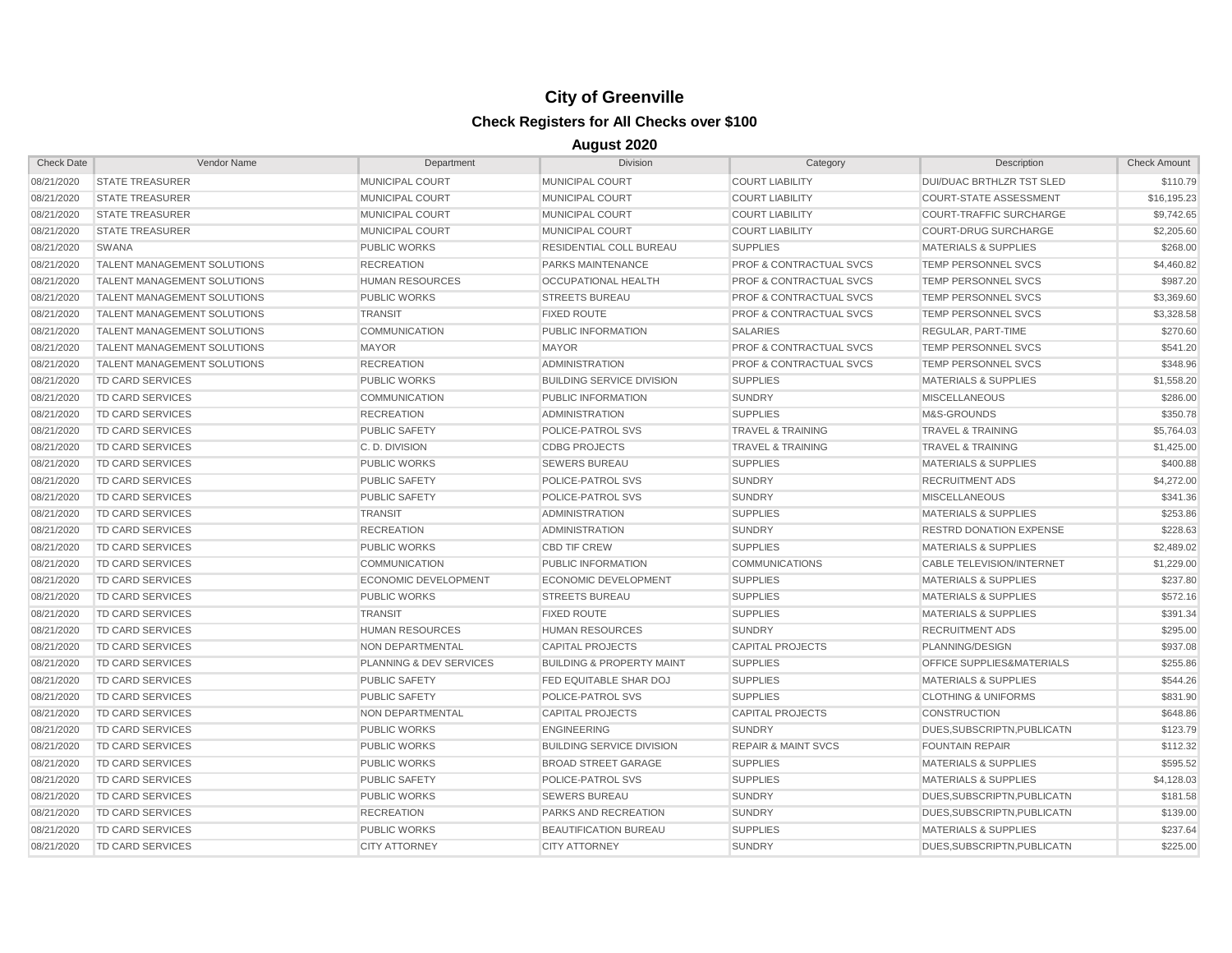| <b>Check Date</b> | Vendor Name                        | Department                  | <b>Division</b>                      | Category                           | Description                     | <b>Check Amount</b> |
|-------------------|------------------------------------|-----------------------------|--------------------------------------|------------------------------------|---------------------------------|---------------------|
| 08/21/2020        | <b>STATE TREASURER</b>             | <b>MUNICIPAL COURT</b>      | MUNICIPAL COURT                      | <b>COURT LIABILITY</b>             | DUI/DUAC BRTHLZR TST SLED       | \$110.79            |
| 08/21/2020        | <b>STATE TREASURER</b>             | MUNICIPAL COURT             | <b>MUNICIPAL COURT</b>               | <b>COURT LIABILITY</b>             | <b>COURT-STATE ASSESSMENT</b>   | \$16,195.23         |
| 08/21/2020        | <b>STATE TREASURER</b>             | <b>MUNICIPAL COURT</b>      | MUNICIPAL COURT                      | <b>COURT LIABILITY</b>             | <b>COURT-TRAFFIC SURCHARGE</b>  | \$9,742.65          |
| 08/21/2020        | <b>STATE TREASURER</b>             | <b>MUNICIPAL COURT</b>      | <b>MUNICIPAL COURT</b>               | <b>COURT LIABILITY</b>             | <b>COURT-DRUG SURCHARGE</b>     | \$2,205.60          |
| 08/21/2020        | SWANA                              | <b>PUBLIC WORKS</b>         | RESIDENTIAL COLL BUREAU              | <b>SUPPLIES</b>                    | <b>MATERIALS &amp; SUPPLIES</b> | \$268.00            |
| 08/21/2020        | TALENT MANAGEMENT SOLUTIONS        | <b>RECREATION</b>           | PARKS MAINTENANCE                    | <b>PROF &amp; CONTRACTUAL SVCS</b> | <b>TEMP PERSONNEL SVCS</b>      | \$4,460.82          |
| 08/21/2020        | <b>TALENT MANAGEMENT SOLUTIONS</b> | <b>HUMAN RESOURCES</b>      | OCCUPATIONAL HEALTH                  | <b>PROF &amp; CONTRACTUAL SVCS</b> | <b>TEMP PERSONNEL SVCS</b>      | \$987.20            |
| 08/21/2020        | TALENT MANAGEMENT SOLUTIONS        | <b>PUBLIC WORKS</b>         | <b>STREETS BUREAU</b>                | PROF & CONTRACTUAL SVCS            | <b>TEMP PERSONNEL SVCS</b>      | \$3,369.60          |
| 08/21/2020        | <b>TALENT MANAGEMENT SOLUTIONS</b> | <b>TRANSIT</b>              | <b>FIXED ROUTE</b>                   | <b>PROF &amp; CONTRACTUAL SVCS</b> | TEMP PERSONNEL SVCS             | \$3,328.58          |
| 08/21/2020        | <b>TALENT MANAGEMENT SOLUTIONS</b> | <b>COMMUNICATION</b>        | PUBLIC INFORMATION                   | <b>SALARIES</b>                    | REGULAR, PART-TIME              | \$270.60            |
| 08/21/2020        | <b>TALENT MANAGEMENT SOLUTIONS</b> | <b>MAYOR</b>                | <b>MAYOR</b>                         | <b>PROF &amp; CONTRACTUAL SVCS</b> | TEMP PERSONNEL SVCS             | \$541.20            |
| 08/21/2020        | <b>TALENT MANAGEMENT SOLUTIONS</b> | <b>RECREATION</b>           | <b>ADMINISTRATION</b>                | <b>PROF &amp; CONTRACTUAL SVCS</b> | TEMP PERSONNEL SVCS             | \$348.96            |
| 08/21/2020        | TD CARD SERVICES                   | <b>PUBLIC WORKS</b>         | <b>BUILDING SERVICE DIVISION</b>     | <b>SUPPLIES</b>                    | <b>MATERIALS &amp; SUPPLIES</b> | \$1,558.20          |
| 08/21/2020        | <b>TD CARD SERVICES</b>            | <b>COMMUNICATION</b>        | PUBLIC INFORMATION                   | <b>SUNDRY</b>                      | <b>MISCELLANEOUS</b>            | \$286.00            |
| 08/21/2020        | <b>TD CARD SERVICES</b>            | <b>RECREATION</b>           | <b>ADMINISTRATION</b>                | <b>SUPPLIES</b>                    | M&S-GROUNDS                     | \$350.78            |
| 08/21/2020        | TD CARD SERVICES                   | <b>PUBLIC SAFETY</b>        | POLICE-PATROL SVS                    | <b>TRAVEL &amp; TRAINING</b>       | <b>TRAVEL &amp; TRAINING</b>    | \$5,764.03          |
| 08/21/2020        | <b>TD CARD SERVICES</b>            | C.D. DIVISION               | <b>CDBG PROJECTS</b>                 | <b>TRAVEL &amp; TRAINING</b>       | <b>TRAVEL &amp; TRAINING</b>    | \$1,425.00          |
| 08/21/2020        | <b>TD CARD SERVICES</b>            | <b>PUBLIC WORKS</b>         | <b>SEWERS BUREAU</b>                 | <b>SUPPLIES</b>                    | <b>MATERIALS &amp; SUPPLIES</b> | \$400.88            |
| 08/21/2020        | <b>TD CARD SERVICES</b>            | <b>PUBLIC SAFETY</b>        | POLICE-PATROL SVS                    | <b>SUNDRY</b>                      | <b>RECRUITMENT ADS</b>          | \$4,272.00          |
| 08/21/2020        | <b>TD CARD SERVICES</b>            | PUBLIC SAFETY               | POLICE-PATROL SVS                    | <b>SUNDRY</b>                      | <b>MISCELLANEOUS</b>            | \$341.36            |
| 08/21/2020        | <b>TD CARD SERVICES</b>            | <b>TRANSIT</b>              | <b>ADMINISTRATION</b>                | <b>SUPPLIES</b>                    | <b>MATERIALS &amp; SUPPLIES</b> | \$253.86            |
| 08/21/2020        | <b>TD CARD SERVICES</b>            | <b>RECREATION</b>           | <b>ADMINISTRATION</b>                | <b>SUNDRY</b>                      | <b>RESTRD DONATION EXPENSE</b>  | \$228.63            |
| 08/21/2020        | <b>TD CARD SERVICES</b>            | <b>PUBLIC WORKS</b>         | <b>CBD TIF CREW</b>                  | <b>SUPPLIES</b>                    | <b>MATERIALS &amp; SUPPLIES</b> | \$2,489.02          |
| 08/21/2020        | <b>TD CARD SERVICES</b>            | <b>COMMUNICATION</b>        | PUBLIC INFORMATION                   | <b>COMMUNICATIONS</b>              | CABLE TELEVISION/INTERNET       | \$1,229.00          |
| 08/21/2020        | <b>TD CARD SERVICES</b>            | <b>ECONOMIC DEVELOPMENT</b> | <b>ECONOMIC DEVELOPMENT</b>          | <b>SUPPLIES</b>                    | <b>MATERIALS &amp; SUPPLIES</b> | \$237.80            |
| 08/21/2020        | <b>TD CARD SERVICES</b>            | PUBLIC WORKS                | <b>STREETS BUREAU</b>                | <b>SUPPLIES</b>                    | MATERIALS & SUPPLIES            | \$572.16            |
| 08/21/2020        | <b>TD CARD SERVICES</b>            | <b>TRANSIT</b>              | <b>FIXED ROUTE</b>                   | <b>SUPPLIES</b>                    | <b>MATERIALS &amp; SUPPLIES</b> | \$391.34            |
| 08/21/2020        | <b>TD CARD SERVICES</b>            | <b>HUMAN RESOURCES</b>      | <b>HUMAN RESOURCES</b>               | <b>SUNDRY</b>                      | <b>RECRUITMENT ADS</b>          | \$295.00            |
| 08/21/2020        | <b>TD CARD SERVICES</b>            | NON DEPARTMENTAL            | <b>CAPITAL PROJECTS</b>              | <b>CAPITAL PROJECTS</b>            | PLANNING/DESIGN                 | \$937.08            |
| 08/21/2020        | <b>TD CARD SERVICES</b>            | PLANNING & DEV SERVICES     | <b>BUILDING &amp; PROPERTY MAINT</b> | <b>SUPPLIES</b>                    | OFFICE SUPPLIES&MATERIALS       | \$255.86            |
| 08/21/2020        | TD CARD SERVICES                   | <b>PUBLIC SAFETY</b>        | FED EQUITABLE SHAR DOJ               | <b>SUPPLIES</b>                    | <b>MATERIALS &amp; SUPPLIES</b> | \$544.26            |
| 08/21/2020        | <b>TD CARD SERVICES</b>            | <b>PUBLIC SAFETY</b>        | POLICE-PATROL SVS                    | <b>SUPPLIES</b>                    | <b>CLOTHING &amp; UNIFORMS</b>  | \$831.90            |
| 08/21/2020        | <b>TD CARD SERVICES</b>            | NON DEPARTMENTAL            | <b>CAPITAL PROJECTS</b>              | <b>CAPITAL PROJECTS</b>            | <b>CONSTRUCTION</b>             | \$648.86            |
| 08/21/2020        | TD CARD SERVICES                   | <b>PUBLIC WORKS</b>         | <b>ENGINEERING</b>                   | <b>SUNDRY</b>                      | DUES, SUBSCRIPTN, PUBLICATN     | \$123.79            |
| 08/21/2020        | <b>TD CARD SERVICES</b>            | <b>PUBLIC WORKS</b>         | <b>BUILDING SERVICE DIVISION</b>     | <b>REPAIR &amp; MAINT SVCS</b>     | <b>FOUNTAIN REPAIR</b>          | \$112.32            |
| 08/21/2020        | <b>TD CARD SERVICES</b>            | <b>PUBLIC WORKS</b>         | <b>BROAD STREET GARAGE</b>           | <b>SUPPLIES</b>                    | <b>MATERIALS &amp; SUPPLIES</b> | \$595.52            |
| 08/21/2020        | <b>TD CARD SERVICES</b>            | <b>PUBLIC SAFETY</b>        | POLICE-PATROL SVS                    | <b>SUPPLIES</b>                    | <b>MATERIALS &amp; SUPPLIES</b> | \$4,128.03          |
| 08/21/2020        | <b>TD CARD SERVICES</b>            | <b>PUBLIC WORKS</b>         | <b>SEWERS BUREAU</b>                 | <b>SUNDRY</b>                      | DUES.SUBSCRIPTN.PUBLICATN       | \$181.58            |
| 08/21/2020        | <b>TD CARD SERVICES</b>            | <b>RECREATION</b>           | PARKS AND RECREATION                 | <b>SUNDRY</b>                      | DUES, SUBSCRIPTN, PUBLICATN     | \$139.00            |
| 08/21/2020        | <b>TD CARD SERVICES</b>            | <b>PUBLIC WORKS</b>         | <b>BEAUTIFICATION BUREAU</b>         | <b>SUPPLIES</b>                    | <b>MATERIALS &amp; SUPPLIES</b> | \$237.64            |
| 08/21/2020        | <b>TD CARD SERVICES</b>            | <b>CITY ATTORNEY</b>        | <b>CITY ATTORNEY</b>                 | <b>SUNDRY</b>                      | DUES.SUBSCRIPTN.PUBLICATN       | \$225.00            |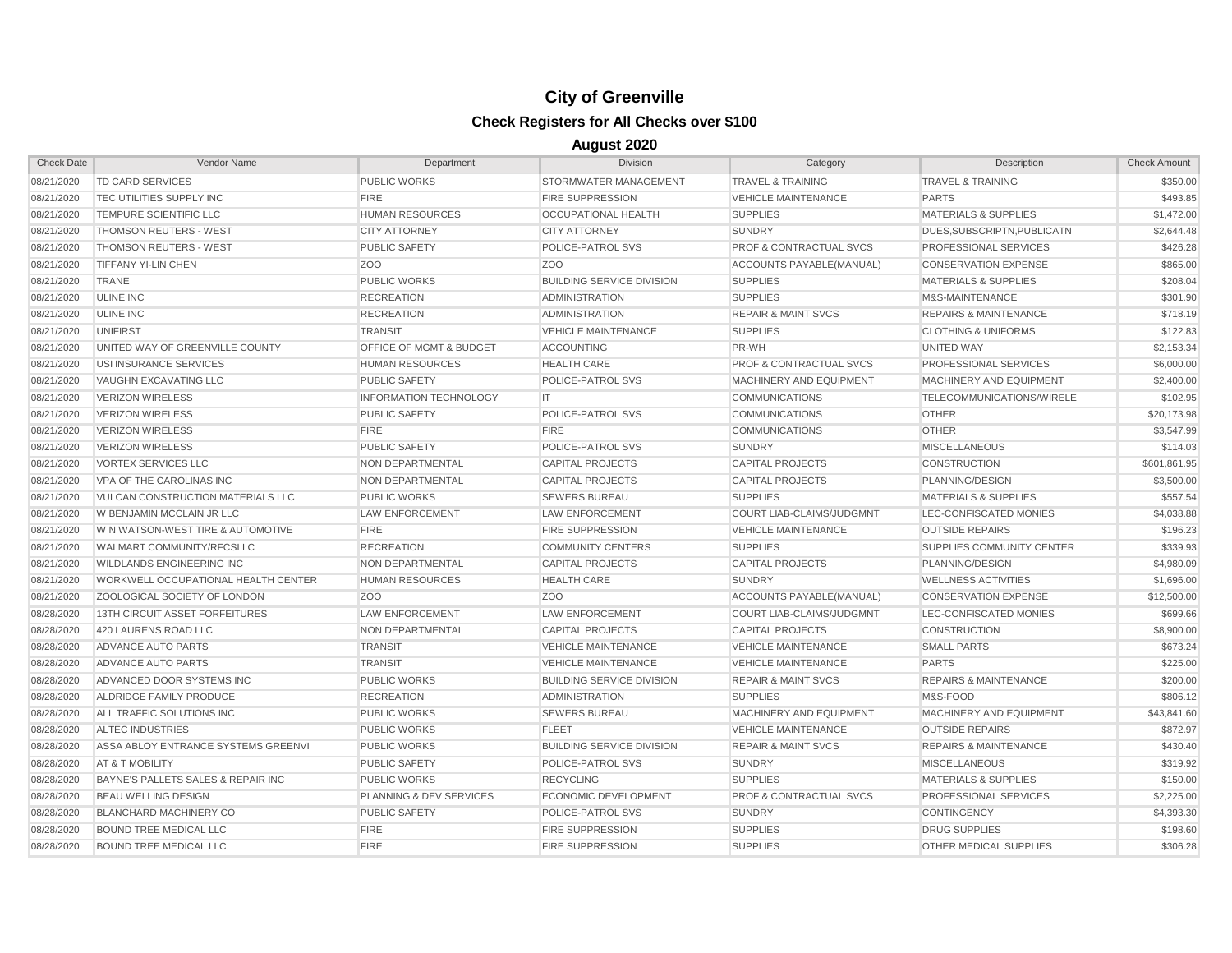| <b>Check Date</b> | Vendor Name                         | Department                    | <b>Division</b>                  | Category                           | Description                      | <b>Check Amount</b> |
|-------------------|-------------------------------------|-------------------------------|----------------------------------|------------------------------------|----------------------------------|---------------------|
| 08/21/2020        | <b>TD CARD SERVICES</b>             | <b>PUBLIC WORKS</b>           | STORMWATER MANAGEMENT            | <b>TRAVEL &amp; TRAINING</b>       | <b>TRAVEL &amp; TRAINING</b>     | \$350.00            |
| 08/21/2020        | TEC UTILITIES SUPPLY INC            | <b>FIRE</b>                   | <b>FIRE SUPPRESSION</b>          | <b>VEHICLE MAINTENANCE</b>         | <b>PARTS</b>                     | \$493.85            |
| 08/21/2020        | TEMPURE SCIENTIFIC LLC              | <b>HUMAN RESOURCES</b>        | <b>OCCUPATIONAL HEALTH</b>       | <b>SUPPLIES</b>                    | <b>MATERIALS &amp; SUPPLIES</b>  | \$1,472.00          |
| 08/21/2020        | <b>THOMSON REUTERS - WEST</b>       | <b>CITY ATTORNEY</b>          | <b>CITY ATTORNEY</b>             | <b>SUNDRY</b>                      | DUES.SUBSCRIPTN.PUBLICATN        | \$2,644.48          |
| 08/21/2020        | <b>THOMSON REUTERS - WEST</b>       | <b>PUBLIC SAFETY</b>          | POLICE-PATROL SVS                | <b>PROF &amp; CONTRACTUAL SVCS</b> | PROFESSIONAL SERVICES            | \$426.28            |
| 08/21/2020        | <b>TIFFANY YI-LIN CHEN</b>          | ZO <sub>O</sub>               | Z <sub>O</sub> O                 | ACCOUNTS PAYABLE(MANUAL)           | <b>CONSERVATION EXPENSE</b>      | \$865.00            |
| 08/21/2020        | <b>TRANE</b>                        | <b>PUBLIC WORKS</b>           | <b>BUILDING SERVICE DIVISION</b> | <b>SUPPLIES</b>                    | <b>MATERIALS &amp; SUPPLIES</b>  | \$208.04            |
| 08/21/2020        | <b>ULINE INC</b>                    | <b>RECREATION</b>             | <b>ADMINISTRATION</b>            | <b>SUPPLIES</b>                    | M&S-MAINTENANCE                  | \$301.90            |
| 08/21/2020        | <b>ULINE INC</b>                    | <b>RECREATION</b>             | <b>ADMINISTRATION</b>            | <b>REPAIR &amp; MAINT SVCS</b>     | <b>REPAIRS &amp; MAINTENANCE</b> | \$718.19            |
| 08/21/2020        | <b>UNIFIRST</b>                     | <b>TRANSIT</b>                | <b>VEHICLE MAINTENANCE</b>       | <b>SUPPLIES</b>                    | <b>CLOTHING &amp; UNIFORMS</b>   | \$122.83            |
| 08/21/2020        | UNITED WAY OF GREENVILLE COUNTY     | OFFICE OF MGMT & BUDGET       | <b>ACCOUNTING</b>                | PR-WH                              | UNITED WAY                       | \$2,153.34          |
| 08/21/2020        | USI INSURANCE SERVICES              | <b>HUMAN RESOURCES</b>        | <b>HEALTH CARE</b>               | <b>PROF &amp; CONTRACTUAL SVCS</b> | PROFESSIONAL SERVICES            | \$6,000.00          |
| 08/21/2020        | VAUGHN EXCAVATING LLC               | <b>PUBLIC SAFETY</b>          | POLICE-PATROL SVS                | MACHINERY AND EQUIPMENT            | MACHINERY AND EQUIPMENT          | \$2,400.00          |
| 08/21/2020        | <b>VERIZON WIRELESS</b>             | <b>INFORMATION TECHNOLOGY</b> | IT.                              | <b>COMMUNICATIONS</b>              | TELECOMMUNICATIONS/WIRELE        | \$102.95            |
| 08/21/2020        | <b>VERIZON WIRELESS</b>             | <b>PUBLIC SAFETY</b>          | POLICE-PATROL SVS                | <b>COMMUNICATIONS</b>              | <b>OTHER</b>                     | \$20,173.98         |
| 08/21/2020        | <b>VERIZON WIRELESS</b>             | <b>FIRE</b>                   | <b>FIRE</b>                      | <b>COMMUNICATIONS</b>              | <b>OTHER</b>                     | \$3,547.99          |
| 08/21/2020        | <b>VERIZON WIRELESS</b>             | <b>PUBLIC SAFETY</b>          | POLICE-PATROL SVS                | <b>SUNDRY</b>                      | <b>MISCELLANEOUS</b>             | \$114.03            |
| 08/21/2020        | <b>VORTEX SERVICES LLC</b>          | NON DEPARTMENTAL              | <b>CAPITAL PROJECTS</b>          | <b>CAPITAL PROJECTS</b>            | <b>CONSTRUCTION</b>              | \$601,861.95        |
| 08/21/2020        | VPA OF THE CAROLINAS INC            | NON DEPARTMENTAL              | <b>CAPITAL PROJECTS</b>          | <b>CAPITAL PROJECTS</b>            | PLANNING/DESIGN                  | \$3,500.00          |
| 08/21/2020        | VULCAN CONSTRUCTION MATERIALS LLC   | <b>PUBLIC WORKS</b>           | <b>SEWERS BUREAU</b>             | <b>SUPPLIES</b>                    | <b>MATERIALS &amp; SUPPLIES</b>  | \$557.54            |
| 08/21/2020        | W BENJAMIN MCCLAIN JR LLC           | LAW ENFORCEMENT               | <b>LAW ENFORCEMENT</b>           | COURT LIAB-CLAIMS/JUDGMNT          | LEC-CONFISCATED MONIES           | \$4,038.88          |
| 08/21/2020        | W N WATSON-WEST TIRE & AUTOMOTIVE   | <b>FIRE</b>                   | <b>FIRE SUPPRESSION</b>          | <b>VEHICLE MAINTENANCE</b>         | <b>OUTSIDE REPAIRS</b>           | \$196.23            |
| 08/21/2020        | WALMART COMMUNITY/RFCSLLC           | <b>RECREATION</b>             | <b>COMMUNITY CENTERS</b>         | <b>SUPPLIES</b>                    | <b>SUPPLIES COMMUNITY CENTER</b> | \$339.93            |
| 08/21/2020        | <b>WILDLANDS ENGINEERING INC</b>    | NON DEPARTMENTAL              | <b>CAPITAL PROJECTS</b>          | <b>CAPITAL PROJECTS</b>            | PLANNING/DESIGN                  | \$4,980.09          |
| 08/21/2020        | WORKWELL OCCUPATIONAL HEALTH CENTER | <b>HUMAN RESOURCES</b>        | <b>HEALTH CARE</b>               | <b>SUNDRY</b>                      | <b>WELLNESS ACTIVITIES</b>       | \$1,696.00          |
| 08/21/2020        | ZOOLOGICAL SOCIETY OF LONDON        | Z <sub>O</sub> O              | Z <sub>O</sub> O                 | ACCOUNTS PAYABLE(MANUAL)           | <b>CONSERVATION EXPENSE</b>      | \$12,500.00         |
| 08/28/2020        | 13TH CIRCUIT ASSET FORFEITURES      | <b>LAW ENFORCEMENT</b>        | <b>LAW ENFORCEMENT</b>           | COURT LIAB-CLAIMS/JUDGMNT          | LEC-CONFISCATED MONIES           | \$699.66            |
| 08/28/2020        | 420 LAURENS ROAD LLC                | NON DEPARTMENTAL              | <b>CAPITAL PROJECTS</b>          | <b>CAPITAL PROJECTS</b>            | <b>CONSTRUCTION</b>              | \$8,900.00          |
| 08/28/2020        | ADVANCE AUTO PARTS                  | <b>TRANSIT</b>                | <b>VEHICLE MAINTENANCE</b>       | <b>VEHICLE MAINTENANCE</b>         | <b>SMALL PARTS</b>               | \$673.24            |
| 08/28/2020        | ADVANCE AUTO PARTS                  | <b>TRANSIT</b>                | <b>VEHICLE MAINTENANCE</b>       | <b>VEHICLE MAINTENANCE</b>         | <b>PARTS</b>                     | \$225.00            |
| 08/28/2020        | ADVANCED DOOR SYSTEMS INC           | <b>PUBLIC WORKS</b>           | <b>BUILDING SERVICE DIVISION</b> | <b>REPAIR &amp; MAINT SVCS</b>     | <b>REPAIRS &amp; MAINTENANCE</b> | \$200.00            |
| 08/28/2020        | ALDRIDGE FAMILY PRODUCE             | <b>RECREATION</b>             | <b>ADMINISTRATION</b>            | <b>SUPPLIES</b>                    | M&S-FOOD                         | \$806.12            |
| 08/28/2020        | ALL TRAFFIC SOLUTIONS INC           | <b>PUBLIC WORKS</b>           | <b>SEWERS BUREAU</b>             | MACHINERY AND EQUIPMENT            | MACHINERY AND EQUIPMENT          | \$43,841.60         |
| 08/28/2020        | ALTEC INDUSTRIES                    | <b>PUBLIC WORKS</b>           | <b>FLEET</b>                     | <b>VEHICLE MAINTENANCE</b>         | <b>OUTSIDE REPAIRS</b>           | \$872.97            |
| 08/28/2020        | ASSA ABLOY ENTRANCE SYSTEMS GREENVI | <b>PUBLIC WORKS</b>           | <b>BUILDING SERVICE DIVISION</b> | <b>REPAIR &amp; MAINT SVCS</b>     | <b>REPAIRS &amp; MAINTENANCE</b> | \$430.40            |
| 08/28/2020        | <b>AT &amp; T MOBILITY</b>          | <b>PUBLIC SAFETY</b>          | POLICE-PATROL SVS                | <b>SUNDRY</b>                      | <b>MISCELLANEOUS</b>             | \$319.92            |
| 08/28/2020        | BAYNE'S PALLETS SALES & REPAIR INC  | <b>PUBLIC WORKS</b>           | <b>RECYCLING</b>                 | <b>SUPPLIES</b>                    | <b>MATERIALS &amp; SUPPLIES</b>  | \$150.00            |
| 08/28/2020        | <b>BEAU WELLING DESIGN</b>          | PLANNING & DEV SERVICES       | ECONOMIC DEVELOPMENT             | <b>PROF &amp; CONTRACTUAL SVCS</b> | <b>PROFESSIONAL SERVICES</b>     | \$2,225.00          |
| 08/28/2020        | <b>BLANCHARD MACHINERY CO</b>       | <b>PUBLIC SAFETY</b>          | POLICE-PATROL SVS                | <b>SUNDRY</b>                      | <b>CONTINGENCY</b>               | \$4,393.30          |
| 08/28/2020        | <b>BOUND TREE MEDICAL LLC</b>       | <b>FIRE</b>                   | <b>FIRE SUPPRESSION</b>          | <b>SUPPLIES</b>                    | <b>DRUG SUPPLIES</b>             | \$198.60            |
| 08/28/2020        | <b>BOUND TREE MEDICAL LLC</b>       | <b>FIRE</b>                   | <b>FIRE SUPPRESSION</b>          | <b>SUPPLIES</b>                    | OTHER MEDICAL SUPPLIES           | \$306.28            |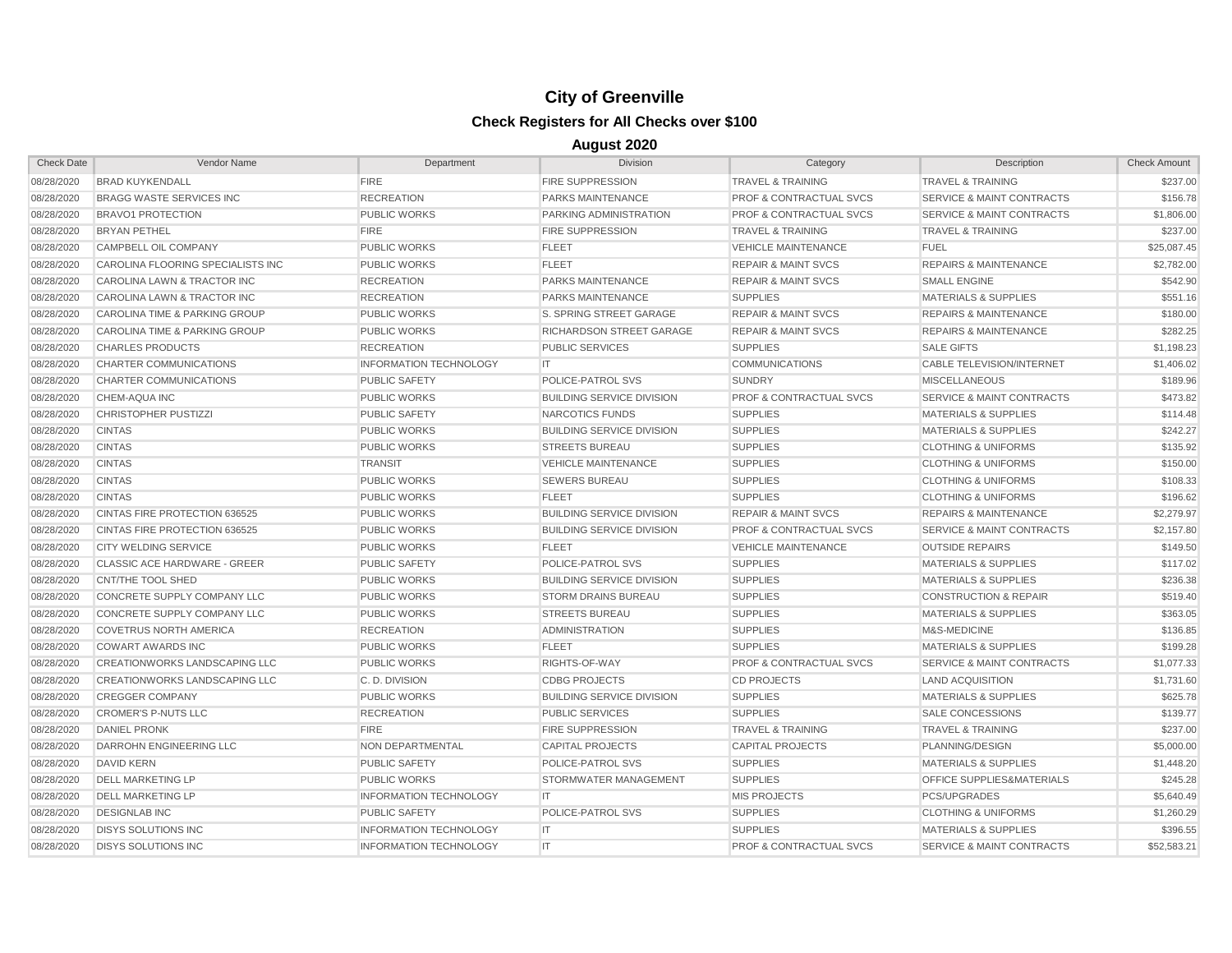| <b>Check Date</b> | Vendor Name                         | Department                    | Division                         | Category                           | Description                          | <b>Check Amount</b> |
|-------------------|-------------------------------------|-------------------------------|----------------------------------|------------------------------------|--------------------------------------|---------------------|
| 08/28/2020        | <b>BRAD KUYKENDALL</b>              | <b>FIRE</b>                   | <b>FIRE SUPPRESSION</b>          | <b>TRAVEL &amp; TRAINING</b>       | <b>TRAVEL &amp; TRAINING</b>         | \$237.00            |
| 08/28/2020        | <b>BRAGG WASTE SERVICES INC</b>     | <b>RECREATION</b>             | PARKS MAINTENANCE                | <b>PROF &amp; CONTRACTUAL SVCS</b> | <b>SERVICE &amp; MAINT CONTRACTS</b> | \$156.78            |
| 08/28/2020        | <b>BRAVO1 PROTECTION</b>            | <b>PUBLIC WORKS</b>           | <b>PARKING ADMINISTRATION</b>    | <b>PROF &amp; CONTRACTUAL SVCS</b> | <b>SERVICE &amp; MAINT CONTRACTS</b> | \$1,806.00          |
| 08/28/2020        | <b>BRYAN PETHEL</b>                 | <b>FIRE</b>                   | <b>FIRE SUPPRESSION</b>          | <b>TRAVEL &amp; TRAINING</b>       | <b>TRAVEL &amp; TRAINING</b>         | \$237.00            |
| 08/28/2020        | CAMPBELL OIL COMPANY                | <b>PUBLIC WORKS</b>           | <b>FLEET</b>                     | <b>VEHICLE MAINTENANCE</b>         | <b>FUEL</b>                          | \$25,087.45         |
| 08/28/2020        | CAROLINA FLOORING SPECIALISTS INC   | <b>PUBLIC WORKS</b>           | <b>FLEET</b>                     | <b>REPAIR &amp; MAINT SVCS</b>     | <b>REPAIRS &amp; MAINTENANCE</b>     | \$2,782.00          |
| 08/28/2020        | CAROLINA LAWN & TRACTOR INC         | <b>RECREATION</b>             | <b>PARKS MAINTENANCE</b>         | <b>REPAIR &amp; MAINT SVCS</b>     | <b>SMALL ENGINE</b>                  | \$542.90            |
| 08/28/2020        | CAROLINA LAWN & TRACTOR INC         | <b>RECREATION</b>             | PARKS MAINTENANCE                | <b>SUPPLIES</b>                    | <b>MATERIALS &amp; SUPPLIES</b>      | \$551.16            |
| 08/28/2020        | CAROLINA TIME & PARKING GROUP       | <b>PUBLIC WORKS</b>           | S. SPRING STREET GARAGE          | <b>REPAIR &amp; MAINT SVCS</b>     | <b>REPAIRS &amp; MAINTENANCE</b>     | \$180.00            |
| 08/28/2020        | CAROLINA TIME & PARKING GROUP       | <b>PUBLIC WORKS</b>           | RICHARDSON STREET GARAGE         | <b>REPAIR &amp; MAINT SVCS</b>     | <b>REPAIRS &amp; MAINTENANCE</b>     | \$282.25            |
| 08/28/2020        | <b>CHARLES PRODUCTS</b>             | <b>RECREATION</b>             | <b>PUBLIC SERVICES</b>           | <b>SUPPLIES</b>                    | <b>SALE GIFTS</b>                    | \$1,198.23          |
| 08/28/2020        | CHARTER COMMUNICATIONS              | <b>INFORMATION TECHNOLOGY</b> | IT                               | <b>COMMUNICATIONS</b>              | CABLE TELEVISION/INTERNET            | \$1,406.02          |
| 08/28/2020        | CHARTER COMMUNICATIONS              | <b>PUBLIC SAFETY</b>          | POLICE-PATROL SVS                | <b>SUNDRY</b>                      | <b>MISCELLANEOUS</b>                 | \$189.96            |
| 08/28/2020        | CHEM-AQUA INC                       | <b>PUBLIC WORKS</b>           | <b>BUILDING SERVICE DIVISION</b> | <b>PROF &amp; CONTRACTUAL SVCS</b> | <b>SERVICE &amp; MAINT CONTRACTS</b> | \$473.82            |
| 08/28/2020        | <b>CHRISTOPHER PUSTIZZI</b>         | <b>PUBLIC SAFETY</b>          | NARCOTICS FUNDS                  | <b>SUPPLIES</b>                    | <b>MATERIALS &amp; SUPPLIES</b>      | \$114.48            |
| 08/28/2020        | <b>CINTAS</b>                       | <b>PUBLIC WORKS</b>           | <b>BUILDING SERVICE DIVISION</b> | <b>SUPPLIES</b>                    | <b>MATERIALS &amp; SUPPLIES</b>      | \$242.27            |
| 08/28/2020        | <b>CINTAS</b>                       | <b>PUBLIC WORKS</b>           | <b>STREETS BUREAU</b>            | <b>SUPPLIES</b>                    | <b>CLOTHING &amp; UNIFORMS</b>       | \$135.92            |
| 08/28/2020        | <b>CINTAS</b>                       | <b>TRANSIT</b>                | <b>VEHICLE MAINTENANCE</b>       | <b>SUPPLIES</b>                    | <b>CLOTHING &amp; UNIFORMS</b>       | \$150.00            |
| 08/28/2020        | <b>CINTAS</b>                       | <b>PUBLIC WORKS</b>           | <b>SEWERS BUREAU</b>             | <b>SUPPLIES</b>                    | <b>CLOTHING &amp; UNIFORMS</b>       | \$108.33            |
| 08/28/2020        | <b>CINTAS</b>                       | <b>PUBLIC WORKS</b>           | <b>FLEET</b>                     | <b>SUPPLIES</b>                    | <b>CLOTHING &amp; UNIFORMS</b>       | \$196.62            |
| 08/28/2020        | CINTAS FIRE PROTECTION 636525       | <b>PUBLIC WORKS</b>           | <b>BUILDING SERVICE DIVISION</b> | <b>REPAIR &amp; MAINT SVCS</b>     | <b>REPAIRS &amp; MAINTENANCE</b>     | \$2,279.97          |
| 08/28/2020        | CINTAS FIRE PROTECTION 636525       | <b>PUBLIC WORKS</b>           | <b>BUILDING SERVICE DIVISION</b> | <b>PROF &amp; CONTRACTUAL SVCS</b> | <b>SERVICE &amp; MAINT CONTRACTS</b> | \$2,157.80          |
| 08/28/2020        | <b>CITY WELDING SERVICE</b>         | <b>PUBLIC WORKS</b>           | <b>FLEET</b>                     | <b>VEHICLE MAINTENANCE</b>         | <b>OUTSIDE REPAIRS</b>               | \$149.50            |
| 08/28/2020        | <b>CLASSIC ACE HARDWARE - GREER</b> | <b>PUBLIC SAFETY</b>          | POLICE-PATROL SVS                | <b>SUPPLIES</b>                    | <b>MATERIALS &amp; SUPPLIES</b>      | \$117.02            |
| 08/28/2020        | <b>CNT/THE TOOL SHED</b>            | <b>PUBLIC WORKS</b>           | <b>BUILDING SERVICE DIVISION</b> | <b>SUPPLIES</b>                    | <b>MATERIALS &amp; SUPPLIES</b>      | \$236.38            |
| 08/28/2020        | CONCRETE SUPPLY COMPANY LLC         | <b>PUBLIC WORKS</b>           | <b>STORM DRAINS BUREAU</b>       | <b>SUPPLIES</b>                    | <b>CONSTRUCTION &amp; REPAIR</b>     | \$519.40            |
| 08/28/2020        | CONCRETE SUPPLY COMPANY LLC         | <b>PUBLIC WORKS</b>           | <b>STREETS BUREAU</b>            | <b>SUPPLIES</b>                    | <b>MATERIALS &amp; SUPPLIES</b>      | \$363.05            |
| 08/28/2020        | <b>COVETRUS NORTH AMERICA</b>       | <b>RECREATION</b>             | <b>ADMINISTRATION</b>            | <b>SUPPLIES</b>                    | M&S-MEDICINE                         | \$136.85            |
| 08/28/2020        | <b>COWART AWARDS INC</b>            | <b>PUBLIC WORKS</b>           | <b>FLEET</b>                     | <b>SUPPLIES</b>                    | <b>MATERIALS &amp; SUPPLIES</b>      | \$199.28            |
| 08/28/2020        | CREATIONWORKS LANDSCAPING LLC       | <b>PUBLIC WORKS</b>           | RIGHTS-OF-WAY                    | <b>PROF &amp; CONTRACTUAL SVCS</b> | <b>SERVICE &amp; MAINT CONTRACTS</b> | \$1,077.33          |
| 08/28/2020        | CREATIONWORKS LANDSCAPING LLC       | C.D. DIVISION                 | <b>CDBG PROJECTS</b>             | <b>CD PROJECTS</b>                 | <b>LAND ACQUISITION</b>              | \$1,731.60          |
| 08/28/2020        | <b>CREGGER COMPANY</b>              | <b>PUBLIC WORKS</b>           | <b>BUILDING SERVICE DIVISION</b> | <b>SUPPLIES</b>                    | <b>MATERIALS &amp; SUPPLIES</b>      | \$625.78            |
| 08/28/2020        | <b>CROMER'S P-NUTS LLC</b>          | <b>RECREATION</b>             | <b>PUBLIC SERVICES</b>           | <b>SUPPLIES</b>                    | <b>SALE CONCESSIONS</b>              | \$139.77            |
| 08/28/2020        | <b>DANIEL PRONK</b>                 | <b>FIRE</b>                   | <b>FIRE SUPPRESSION</b>          | <b>TRAVEL &amp; TRAINING</b>       | <b>TRAVEL &amp; TRAINING</b>         | \$237.00            |
| 08/28/2020        | DARROHN ENGINEERING LLC             | <b>NON DEPARTMENTAL</b>       | <b>CAPITAL PROJECTS</b>          | <b>CAPITAL PROJECTS</b>            | PLANNING/DESIGN                      | \$5,000.00          |
| 08/28/2020        | <b>DAVID KERN</b>                   | <b>PUBLIC SAFETY</b>          | POLICE-PATROL SVS                | <b>SUPPLIES</b>                    | <b>MATERIALS &amp; SUPPLIES</b>      | \$1,448.20          |
| 08/28/2020        | <b>DELL MARKETING LP</b>            | <b>PUBLIC WORKS</b>           | STORMWATER MANAGEMENT            | <b>SUPPLIES</b>                    | <b>OFFICE SUPPLIES&amp;MATERIALS</b> | \$245.28            |
| 08/28/2020        | <b>DELL MARKETING LP</b>            | <b>INFORMATION TECHNOLOGY</b> | IT.                              | <b>MIS PROJECTS</b>                | PCS/UPGRADES                         | \$5,640.49          |
| 08/28/2020        | <b>DESIGNLAB INC</b>                | <b>PUBLIC SAFETY</b>          | POLICE-PATROL SVS                | <b>SUPPLIES</b>                    | <b>CLOTHING &amp; UNIFORMS</b>       | \$1,260.29          |
| 08/28/2020        | <b>DISYS SOLUTIONS INC</b>          | <b>INFORMATION TECHNOLOGY</b> | IT                               | <b>SUPPLIES</b>                    | <b>MATERIALS &amp; SUPPLIES</b>      | \$396.55            |
| 08/28/2020        | <b>DISYS SOLUTIONS INC</b>          | <b>INFORMATION TECHNOLOGY</b> | IT.                              | <b>PROF &amp; CONTRACTUAL SVCS</b> | <b>SERVICE &amp; MAINT CONTRACTS</b> | \$52.583.21         |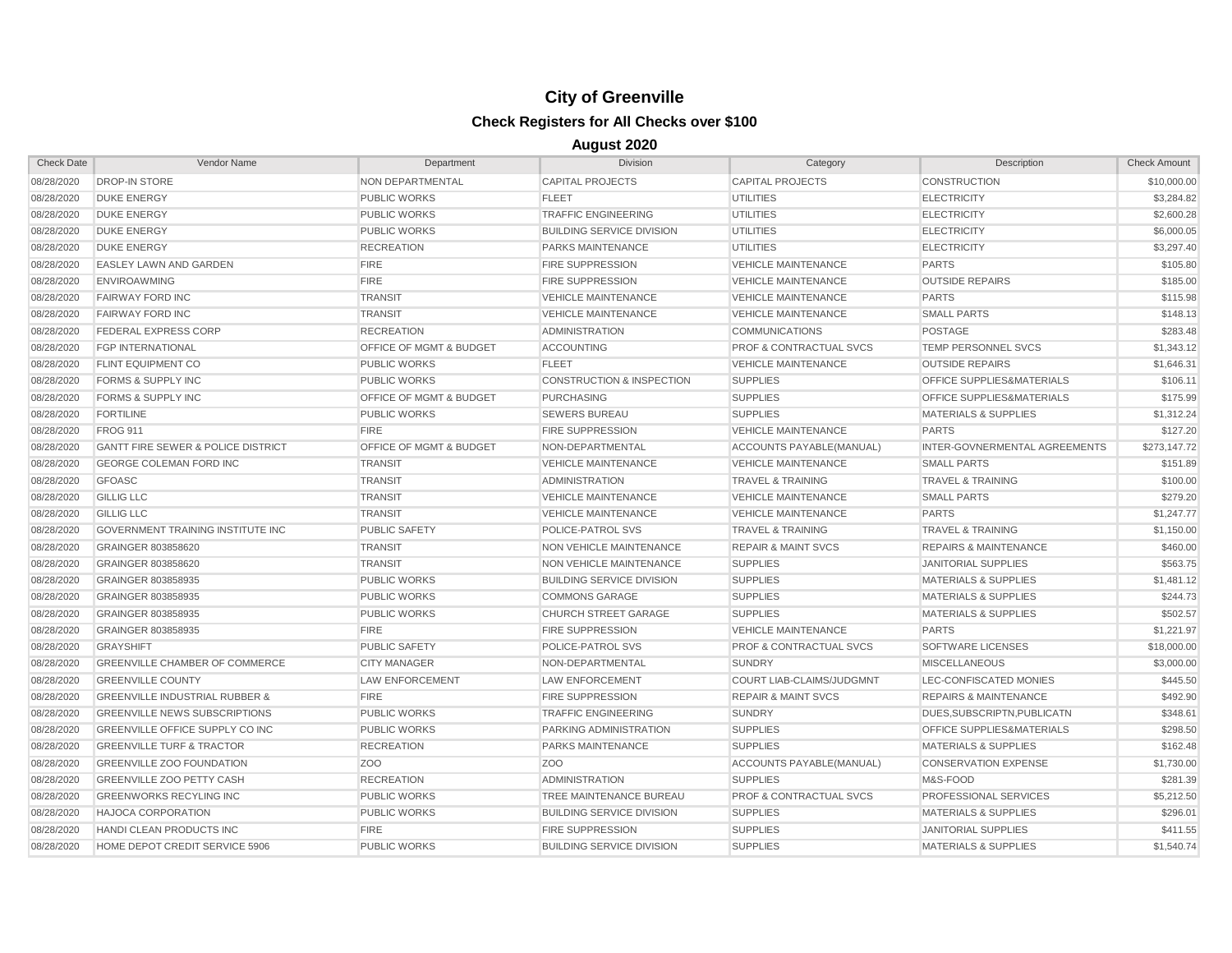| <b>Check Date</b> | Vendor Name                                   | Department              | <b>Division</b>                      | Category                           | Description                          | <b>Check Amount</b> |
|-------------------|-----------------------------------------------|-------------------------|--------------------------------------|------------------------------------|--------------------------------------|---------------------|
| 08/28/2020        | <b>DROP-IN STORE</b>                          | NON DEPARTMENTAL        | <b>CAPITAL PROJECTS</b>              | <b>CAPITAL PROJECTS</b>            | CONSTRUCTION                         | \$10,000.00         |
| 08/28/2020        | <b>DUKE ENERGY</b>                            | <b>PUBLIC WORKS</b>     | <b>FLEET</b>                         | <b>UTILITIES</b>                   | <b>ELECTRICITY</b>                   | \$3,284.82          |
| 08/28/2020        | <b>DUKE ENERGY</b>                            | <b>PUBLIC WORKS</b>     | <b>TRAFFIC ENGINEERING</b>           | UTILITIES                          | <b>ELECTRICITY</b>                   | \$2,600.28          |
| 08/28/2020        | <b>DUKE ENERGY</b>                            | <b>PUBLIC WORKS</b>     | <b>BUILDING SERVICE DIVISION</b>     | <b>UTILITIES</b>                   | <b>ELECTRICITY</b>                   | \$6,000.05          |
| 08/28/2020        | <b>DUKE ENERGY</b>                            | <b>RECREATION</b>       | PARKS MAINTENANCE                    | UTILITIES                          | <b>ELECTRICITY</b>                   | \$3,297.40          |
| 08/28/2020        | <b>EASLEY LAWN AND GARDEN</b>                 | <b>FIRE</b>             | <b>FIRE SUPPRESSION</b>              | <b>VEHICLE MAINTENANCE</b>         | <b>PARTS</b>                         | \$105.80            |
| 08/28/2020        | <b>ENVIROAWMING</b>                           | <b>FIRE</b>             | <b>FIRE SUPPRESSION</b>              | <b>VEHICLE MAINTENANCE</b>         | <b>OUTSIDE REPAIRS</b>               | \$185.00            |
| 08/28/2020        | <b>FAIRWAY FORD INC</b>                       | <b>TRANSIT</b>          | <b>VEHICLE MAINTENANCE</b>           | <b>VEHICLE MAINTENANCE</b>         | <b>PARTS</b>                         | \$115.98            |
| 08/28/2020        | <b>FAIRWAY FORD INC</b>                       | <b>TRANSIT</b>          | <b>VEHICLE MAINTENANCE</b>           | <b>VEHICLE MAINTENANCE</b>         | <b>SMALL PARTS</b>                   | \$148.13            |
| 08/28/2020        | <b>FEDERAL EXPRESS CORP</b>                   | <b>RECREATION</b>       | <b>ADMINISTRATION</b>                | <b>COMMUNICATIONS</b>              | <b>POSTAGE</b>                       | \$283.48            |
| 08/28/2020        | <b>FGP INTERNATIONAL</b>                      | OFFICE OF MGMT & BUDGET | <b>ACCOUNTING</b>                    | <b>PROF &amp; CONTRACTUAL SVCS</b> | TEMP PERSONNEL SVCS                  | \$1,343.12          |
| 08/28/2020        | <b>FLINT EQUIPMENT CO</b>                     | <b>PUBLIC WORKS</b>     | <b>FLEET</b>                         | <b>VEHICLE MAINTENANCE</b>         | <b>OUTSIDE REPAIRS</b>               | \$1,646.31          |
| 08/28/2020        | <b>FORMS &amp; SUPPLY INC</b>                 | <b>PUBLIC WORKS</b>     | <b>CONSTRUCTION &amp; INSPECTION</b> | <b>SUPPLIES</b>                    | <b>OFFICE SUPPLIES&amp;MATERIALS</b> | \$106.11            |
| 08/28/2020        | <b>FORMS &amp; SUPPLY INC</b>                 | OFFICE OF MGMT & BUDGET | <b>PURCHASING</b>                    | <b>SUPPLIES</b>                    | <b>OFFICE SUPPLIES&amp;MATERIALS</b> | \$175.99            |
| 08/28/2020        | <b>FORTILINE</b>                              | <b>PUBLIC WORKS</b>     | <b>SEWERS BUREAU</b>                 | <b>SUPPLIES</b>                    | <b>MATERIALS &amp; SUPPLIES</b>      | \$1,312.24          |
| 08/28/2020        | <b>FROG 911</b>                               | <b>FIRE</b>             | <b>FIRE SUPPRESSION</b>              | <b>VEHICLE MAINTENANCE</b>         | <b>PARTS</b>                         | \$127.20            |
| 08/28/2020        | <b>GANTT FIRE SEWER &amp; POLICE DISTRICT</b> | OFFICE OF MGMT & BUDGET | NON-DEPARTMENTAL                     | ACCOUNTS PAYABLE(MANUAL)           | INTER-GOVNERMENTAL AGREEMENTS        | \$273,147.72        |
| 08/28/2020        | <b>GEORGE COLEMAN FORD INC</b>                | <b>TRANSIT</b>          | <b>VEHICLE MAINTENANCE</b>           | <b>VEHICLE MAINTENANCE</b>         | <b>SMALL PARTS</b>                   | \$151.89            |
| 08/28/2020        | <b>GFOASC</b>                                 | <b>TRANSIT</b>          | <b>ADMINISTRATION</b>                | <b>TRAVEL &amp; TRAINING</b>       | <b>TRAVEL &amp; TRAINING</b>         | \$100.00            |
| 08/28/2020        | <b>GILLIG LLC</b>                             | <b>TRANSIT</b>          | <b>VEHICLE MAINTENANCE</b>           | <b>VEHICLE MAINTENANCE</b>         | <b>SMALL PARTS</b>                   | \$279.20            |
| 08/28/2020        | <b>GILLIG LLC</b>                             | <b>TRANSIT</b>          | <b>VEHICLE MAINTENANCE</b>           | <b>VEHICLE MAINTENANCE</b>         | <b>PARTS</b>                         | \$1,247.77          |
| 08/28/2020        | <b>GOVERNMENT TRAINING INSTITUTE INC</b>      | <b>PUBLIC SAFETY</b>    | <b>POLICE-PATROL SVS</b>             | <b>TRAVEL &amp; TRAINING</b>       | <b>TRAVEL &amp; TRAINING</b>         | \$1,150.00          |
| 08/28/2020        | GRAINGER 803858620                            | <b>TRANSIT</b>          | NON VEHICLE MAINTENANCE              | <b>REPAIR &amp; MAINT SVCS</b>     | <b>REPAIRS &amp; MAINTENANCE</b>     | \$460.00            |
| 08/28/2020        | GRAINGER 803858620                            | <b>TRANSIT</b>          | <b>NON VEHICLE MAINTENANCE</b>       | <b>SUPPLIES</b>                    | <b>JANITORIAL SUPPLIES</b>           | \$563.75            |
| 08/28/2020        | GRAINGER 803858935                            | <b>PUBLIC WORKS</b>     | <b>BUILDING SERVICE DIVISION</b>     | <b>SUPPLIES</b>                    | <b>MATERIALS &amp; SUPPLIES</b>      | \$1,481.12          |
| 08/28/2020        | GRAINGER 803858935                            | <b>PUBLIC WORKS</b>     | <b>COMMONS GARAGE</b>                | <b>SUPPLIES</b>                    | <b>MATERIALS &amp; SUPPLIES</b>      | \$244.73            |
| 08/28/2020        | GRAINGER 803858935                            | <b>PUBLIC WORKS</b>     | <b>CHURCH STREET GARAGE</b>          | <b>SUPPLIES</b>                    | <b>MATERIALS &amp; SUPPLIES</b>      | \$502.57            |
| 08/28/2020        | GRAINGER 803858935                            | <b>FIRE</b>             | <b>FIRE SUPPRESSION</b>              | <b>VEHICLE MAINTENANCE</b>         | <b>PARTS</b>                         | \$1,221.97          |
| 08/28/2020        | <b>GRAYSHIFT</b>                              | <b>PUBLIC SAFETY</b>    | POLICE-PATROL SVS                    | <b>PROF &amp; CONTRACTUAL SVCS</b> | <b>SOFTWARE LICENSES</b>             | \$18,000.00         |
| 08/28/2020        | <b>GREENVILLE CHAMBER OF COMMERCE</b>         | <b>CITY MANAGER</b>     | NON-DEPARTMENTAL                     | <b>SUNDRY</b>                      | <b>MISCELLANEOUS</b>                 | \$3,000.00          |
| 08/28/2020        | <b>GREENVILLE COUNTY</b>                      | <b>LAW ENFORCEMENT</b>  | <b>LAW ENFORCEMENT</b>               | COURT LIAB-CLAIMS/JUDGMNT          | LEC-CONFISCATED MONIES               | \$445.50            |
| 08/28/2020        | <b>GREENVILLE INDUSTRIAL RUBBER &amp;</b>     | <b>FIRE</b>             | <b>FIRE SUPPRESSION</b>              | <b>REPAIR &amp; MAINT SVCS</b>     | <b>REPAIRS &amp; MAINTENANCE</b>     | \$492.90            |
| 08/28/2020        | <b>GREENVILLE NEWS SUBSCRIPTIONS</b>          | <b>PUBLIC WORKS</b>     | <b>TRAFFIC ENGINEERING</b>           | <b>SUNDRY</b>                      | DUES.SUBSCRIPTN.PUBLICATN            | \$348.61            |
| 08/28/2020        | GREENVILLE OFFICE SUPPLY CO INC               | <b>PUBLIC WORKS</b>     | PARKING ADMINISTRATION               | <b>SUPPLIES</b>                    | OFFICE SUPPLIES&MATERIALS            | \$298.50            |
| 08/28/2020        | <b>GREENVILLE TURF &amp; TRACTOR</b>          | <b>RECREATION</b>       | PARKS MAINTENANCE                    | <b>SUPPLIES</b>                    | <b>MATERIALS &amp; SUPPLIES</b>      | \$162.48            |
| 08/28/2020        | <b>GREENVILLE ZOO FOUNDATION</b>              | ZO <sub>O</sub>         | Z <sub>OO</sub>                      | ACCOUNTS PAYABLE(MANUAL)           | <b>CONSERVATION EXPENSE</b>          | \$1,730.00          |
| 08/28/2020        | <b>GREENVILLE ZOO PETTY CASH</b>              | <b>RECREATION</b>       | <b>ADMINISTRATION</b>                | <b>SUPPLIES</b>                    | M&S-FOOD                             | \$281.39            |
| 08/28/2020        | <b>GREENWORKS RECYLING INC</b>                | <b>PUBLIC WORKS</b>     | <b>TREE MAINTENANCE BUREAU</b>       | <b>PROF &amp; CONTRACTUAL SVCS</b> | PROFESSIONAL SERVICES                | \$5,212.50          |
| 08/28/2020        | <b>HAJOCA CORPORATION</b>                     | <b>PUBLIC WORKS</b>     | <b>BUILDING SERVICE DIVISION</b>     | <b>SUPPLIES</b>                    | <b>MATERIALS &amp; SUPPLIES</b>      | \$296.01            |
| 08/28/2020        | HANDI CLEAN PRODUCTS INC                      | <b>FIRE</b>             | <b>FIRE SUPPRESSION</b>              | <b>SUPPLIES</b>                    | <b>JANITORIAL SUPPLIES</b>           | \$411.55            |
| 08/28/2020        | HOME DEPOT CREDIT SERVICE 5906                | <b>PUBLIC WORKS</b>     | <b>BUILDING SERVICE DIVISION</b>     | <b>SUPPLIES</b>                    | <b>MATERIALS &amp; SUPPLIES</b>      | \$1,540.74          |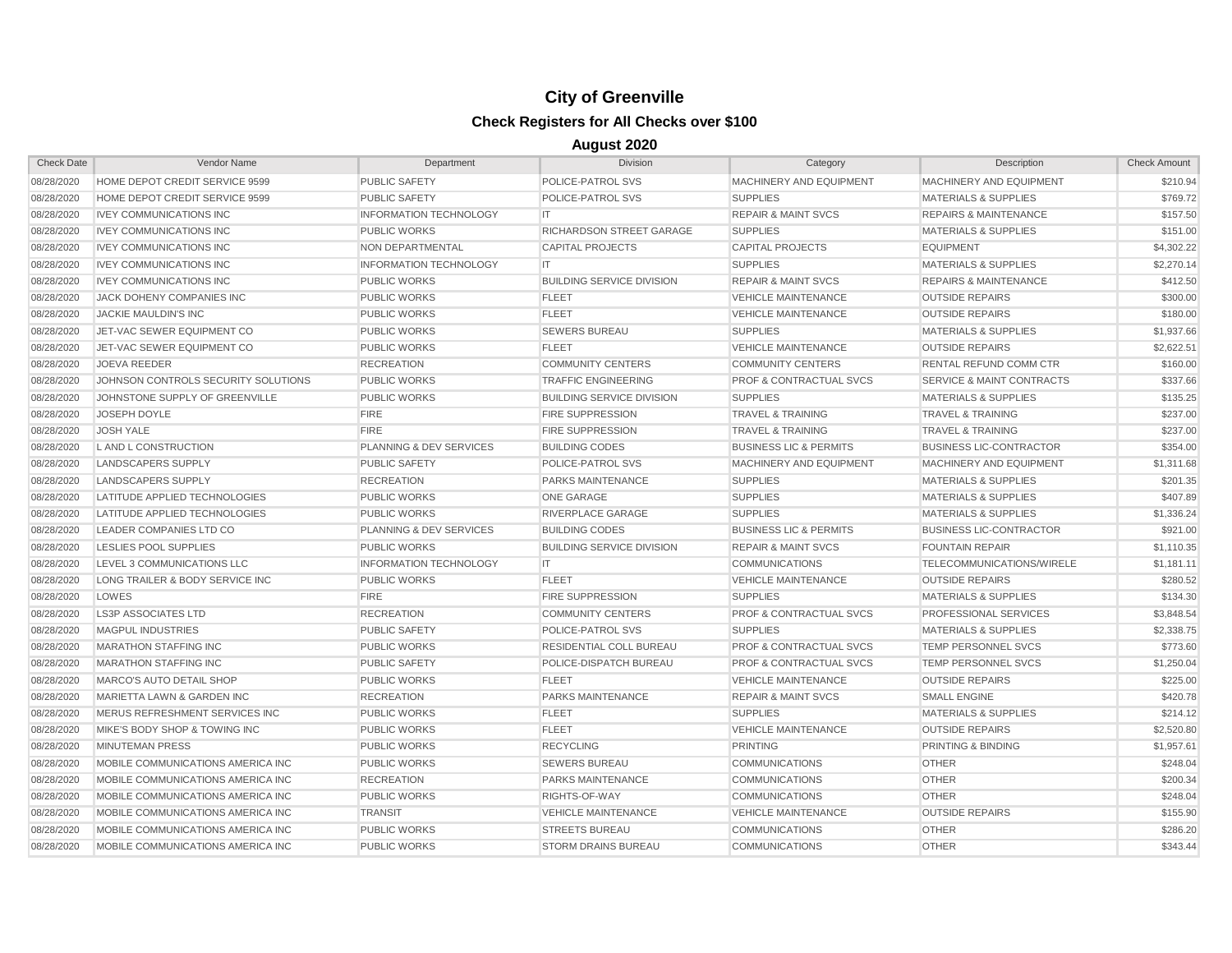| <b>Check Date</b> | Vendor Name                         | Department                         | <b>Division</b>                  | Category                           | Description                          | <b>Check Amount</b> |
|-------------------|-------------------------------------|------------------------------------|----------------------------------|------------------------------------|--------------------------------------|---------------------|
| 08/28/2020        | HOME DEPOT CREDIT SERVICE 9599      | <b>PUBLIC SAFETY</b>               | POLICE-PATROL SVS                | MACHINERY AND EQUIPMENT            | MACHINERY AND EQUIPMENT              | \$210.94            |
| 08/28/2020        | HOME DEPOT CREDIT SERVICE 9599      | <b>PUBLIC SAFETY</b>               | POLICE-PATROL SVS                | <b>SUPPLIES</b>                    | <b>MATERIALS &amp; SUPPLIES</b>      | \$769.72            |
| 08/28/2020        | <b>IVEY COMMUNICATIONS INC</b>      | <b>INFORMATION TECHNOLOGY</b>      | IT.                              | <b>REPAIR &amp; MAINT SVCS</b>     | <b>REPAIRS &amp; MAINTENANCE</b>     | \$157.50            |
| 08/28/2020        | <b>IVEY COMMUNICATIONS INC</b>      | <b>PUBLIC WORKS</b>                | <b>RICHARDSON STREET GARAGE</b>  | <b>SUPPLIES</b>                    | <b>MATERIALS &amp; SUPPLIES</b>      | \$151.00            |
| 08/28/2020        | <b>IVEY COMMUNICATIONS INC</b>      | NON DEPARTMENTAL                   | <b>CAPITAL PROJECTS</b>          | <b>CAPITAL PROJECTS</b>            | <b>EQUIPMENT</b>                     | \$4,302.22          |
| 08/28/2020        | <b>IVEY COMMUNICATIONS INC</b>      | <b>INFORMATION TECHNOLOGY</b>      | IT.                              | <b>SUPPLIES</b>                    | <b>MATERIALS &amp; SUPPLIES</b>      | \$2,270.14          |
| 08/28/2020        | <b>IVEY COMMUNICATIONS INC</b>      | <b>PUBLIC WORKS</b>                | <b>BUILDING SERVICE DIVISION</b> | <b>REPAIR &amp; MAINT SVCS</b>     | <b>REPAIRS &amp; MAINTENANCE</b>     | \$412.50            |
| 08/28/2020        | JACK DOHENY COMPANIES INC           | <b>PUBLIC WORKS</b>                | <b>FLEET</b>                     | <b>VEHICLE MAINTENANCE</b>         | <b>OUTSIDE REPAIRS</b>               | \$300.00            |
| 08/28/2020        | JACKIE MAULDIN'S INC                | <b>PUBLIC WORKS</b>                | <b>FLEET</b>                     | <b>VEHICLE MAINTENANCE</b>         | <b>OUTSIDE REPAIRS</b>               | \$180.00            |
| 08/28/2020        | JET-VAC SEWER EQUIPMENT CO          | <b>PUBLIC WORKS</b>                | <b>SEWERS BUREAU</b>             | <b>SUPPLIES</b>                    | <b>MATERIALS &amp; SUPPLIES</b>      | \$1,937.66          |
| 08/28/2020        | JET-VAC SEWER EQUIPMENT CO          | <b>PUBLIC WORKS</b>                | <b>FLEET</b>                     | <b>VEHICLE MAINTENANCE</b>         | <b>OUTSIDE REPAIRS</b>               | \$2,622.51          |
| 08/28/2020        | <b>JOEVA REEDER</b>                 | <b>RECREATION</b>                  | <b>COMMUNITY CENTERS</b>         | <b>COMMUNITY CENTERS</b>           | RENTAL REFUND COMM CTR               | \$160.00            |
| 08/28/2020        | JOHNSON CONTROLS SECURITY SOLUTIONS | <b>PUBLIC WORKS</b>                | <b>TRAFFIC ENGINEERING</b>       | <b>PROF &amp; CONTRACTUAL SVCS</b> | <b>SERVICE &amp; MAINT CONTRACTS</b> | \$337.66            |
| 08/28/2020        | JOHNSTONE SUPPLY OF GREENVILLE      | <b>PUBLIC WORKS</b>                | <b>BUILDING SERVICE DIVISION</b> | <b>SUPPLIES</b>                    | <b>MATERIALS &amp; SUPPLIES</b>      | \$135.25            |
| 08/28/2020        | <b>JOSEPH DOYLE</b>                 | <b>FIRE</b>                        | <b>FIRE SUPPRESSION</b>          | <b>TRAVEL &amp; TRAINING</b>       | <b>TRAVEL &amp; TRAINING</b>         | \$237.00            |
| 08/28/2020        | <b>JOSH YALE</b>                    | <b>FIRE</b>                        | <b>FIRE SUPPRESSION</b>          | <b>TRAVEL &amp; TRAINING</b>       | <b>TRAVEL &amp; TRAINING</b>         | \$237.00            |
| 08/28/2020        | L AND L CONSTRUCTION                | PLANNING & DEV SERVICES            | <b>BUILDING CODES</b>            | <b>BUSINESS LIC &amp; PERMITS</b>  | <b>BUSINESS LIC-CONTRACTOR</b>       | \$354.00            |
| 08/28/2020        | LANDSCAPERS SUPPLY                  | <b>PUBLIC SAFETY</b>               | POLICE-PATROL SVS                | <b>MACHINERY AND EQUIPMENT</b>     | MACHINERY AND EQUIPMENT              | \$1,311.68          |
| 08/28/2020        | LANDSCAPERS SUPPLY                  | <b>RECREATION</b>                  | <b>PARKS MAINTENANCE</b>         | <b>SUPPLIES</b>                    | <b>MATERIALS &amp; SUPPLIES</b>      | \$201.35            |
| 08/28/2020        | LATITUDE APPLIED TECHNOLOGIES       | <b>PUBLIC WORKS</b>                | <b>ONE GARAGE</b>                | <b>SUPPLIES</b>                    | <b>MATERIALS &amp; SUPPLIES</b>      | \$407.89            |
| 08/28/2020        | LATITUDE APPLIED TECHNOLOGIES       | <b>PUBLIC WORKS</b>                | RIVERPLACE GARAGE                | <b>SUPPLIES</b>                    | <b>MATERIALS &amp; SUPPLIES</b>      | \$1,336.24          |
| 08/28/2020        | LEADER COMPANIES LTD CO             | <b>PLANNING &amp; DEV SERVICES</b> | <b>BUILDING CODES</b>            | <b>BUSINESS LIC &amp; PERMITS</b>  | <b>BUSINESS LIC-CONTRACTOR</b>       | \$921.00            |
| 08/28/2020        | LESLIES POOL SUPPLIES               | <b>PUBLIC WORKS</b>                | <b>BUILDING SERVICE DIVISION</b> | <b>REPAIR &amp; MAINT SVCS</b>     | <b>FOUNTAIN REPAIR</b>               | \$1,110.35          |
| 08/28/2020        | LEVEL 3 COMMUNICATIONS LLC          | <b>INFORMATION TECHNOLOGY</b>      | IT                               | <b>COMMUNICATIONS</b>              | TELECOMMUNICATIONS/WIRELE            | \$1,181.11          |
| 08/28/2020        | LONG TRAILER & BODY SERVICE INC     | <b>PUBLIC WORKS</b>                | <b>FLEET</b>                     | <b>VEHICLE MAINTENANCE</b>         | <b>OUTSIDE REPAIRS</b>               | \$280.52            |
| 08/28/2020        | LOWES                               | <b>FIRE</b>                        | <b>FIRE SUPPRESSION</b>          | <b>SUPPLIES</b>                    | <b>MATERIALS &amp; SUPPLIES</b>      | \$134.30            |
| 08/28/2020        | <b>LS3P ASSOCIATES LTD</b>          | <b>RECREATION</b>                  | <b>COMMUNITY CENTERS</b>         | <b>PROF &amp; CONTRACTUAL SVCS</b> | PROFESSIONAL SERVICES                | \$3,848.54          |
| 08/28/2020        | <b>MAGPUL INDUSTRIES</b>            | <b>PUBLIC SAFETY</b>               | POLICE-PATROL SVS                | <b>SUPPLIES</b>                    | <b>MATERIALS &amp; SUPPLIES</b>      | \$2,338.75          |
| 08/28/2020        | <b>MARATHON STAFFING INC</b>        | <b>PUBLIC WORKS</b>                | <b>RESIDENTIAL COLL BUREAU</b>   | <b>PROF &amp; CONTRACTUAL SVCS</b> | TEMP PERSONNEL SVCS                  | \$773.60            |
| 08/28/2020        | <b>MARATHON STAFFING INC</b>        | <b>PUBLIC SAFETY</b>               | POLICE-DISPATCH BUREAU           | <b>PROF &amp; CONTRACTUAL SVCS</b> | <b>TEMP PERSONNEL SVCS</b>           | \$1,250.04          |
| 08/28/2020        | MARCO'S AUTO DETAIL SHOP            | <b>PUBLIC WORKS</b>                | <b>FLEET</b>                     | <b>VEHICLE MAINTENANCE</b>         | <b>OUTSIDE REPAIRS</b>               | \$225.00            |
| 08/28/2020        | MARIETTA LAWN & GARDEN INC          | <b>RECREATION</b>                  | PARKS MAINTENANCE                | <b>REPAIR &amp; MAINT SVCS</b>     | <b>SMALL ENGINE</b>                  | \$420.78            |
| 08/28/2020        | MERUS REFRESHMENT SERVICES INC      | <b>PUBLIC WORKS</b>                | <b>FLEET</b>                     | <b>SUPPLIES</b>                    | <b>MATERIALS &amp; SUPPLIES</b>      | \$214.12            |
| 08/28/2020        | MIKE'S BODY SHOP & TOWING INC       | <b>PUBLIC WORKS</b>                | <b>FLEET</b>                     | <b>VEHICLE MAINTENANCE</b>         | <b>OUTSIDE REPAIRS</b>               | \$2,520.80          |
| 08/28/2020        | <b>MINUTEMAN PRESS</b>              | <b>PUBLIC WORKS</b>                | <b>RECYCLING</b>                 | <b>PRINTING</b>                    | PRINTING & BINDING                   | \$1,957.61          |
| 08/28/2020        | MOBILE COMMUNICATIONS AMERICA INC   | <b>PUBLIC WORKS</b>                | <b>SEWERS BUREAU</b>             | <b>COMMUNICATIONS</b>              | <b>OTHER</b>                         | \$248.04            |
| 08/28/2020        | MOBILE COMMUNICATIONS AMERICA INC   | <b>RECREATION</b>                  | <b>PARKS MAINTENANCE</b>         | <b>COMMUNICATIONS</b>              | <b>OTHER</b>                         | \$200.34            |
| 08/28/2020        | MOBILE COMMUNICATIONS AMERICA INC   | <b>PUBLIC WORKS</b>                | RIGHTS-OF-WAY                    | <b>COMMUNICATIONS</b>              | <b>OTHER</b>                         | \$248.04            |
| 08/28/2020        | MOBILE COMMUNICATIONS AMERICA INC   | <b>TRANSIT</b>                     | <b>VEHICLE MAINTENANCE</b>       | <b>VEHICLE MAINTENANCE</b>         | <b>OUTSIDE REPAIRS</b>               | \$155.90            |
| 08/28/2020        | MOBILE COMMUNICATIONS AMERICA INC   | <b>PUBLIC WORKS</b>                | <b>STREETS BUREAU</b>            | <b>COMMUNICATIONS</b>              | <b>OTHER</b>                         | \$286.20            |
| 08/28/2020        | MOBILE COMMUNICATIONS AMERICA INC   | <b>PUBLIC WORKS</b>                | <b>STORM DRAINS BUREAU</b>       | <b>COMMUNICATIONS</b>              | <b>OTHER</b>                         | \$343.44            |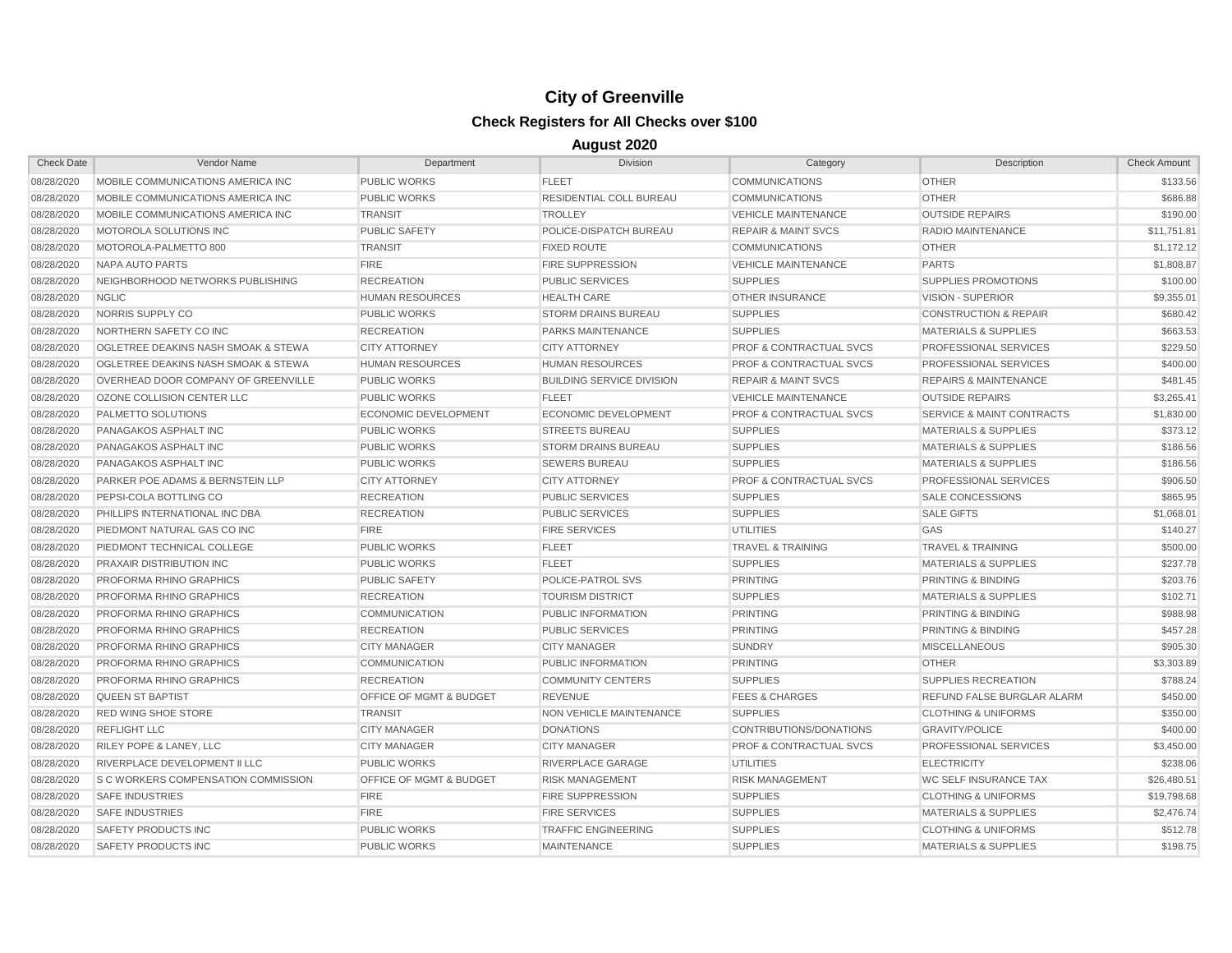| <b>Check Date</b> | Vendor Name                                    | Department                         | <b>Division</b>                  | Category                           | Description                          | <b>Check Amount</b> |
|-------------------|------------------------------------------------|------------------------------------|----------------------------------|------------------------------------|--------------------------------------|---------------------|
| 08/28/2020        | MOBILE COMMUNICATIONS AMERICA INC              | <b>PUBLIC WORKS</b>                | <b>FLEET</b>                     | <b>COMMUNICATIONS</b>              | <b>OTHER</b>                         | \$133.56            |
| 08/28/2020        | MOBILE COMMUNICATIONS AMERICA INC              | <b>PUBLIC WORKS</b>                | RESIDENTIAL COLL BUREAU          | <b>COMMUNICATIONS</b>              | <b>OTHER</b>                         | \$686.88            |
| 08/28/2020        | MOBILE COMMUNICATIONS AMERICA INC              | <b>TRANSIT</b>                     | <b>TROLLEY</b>                   | <b>VEHICLE MAINTENANCE</b>         | <b>OUTSIDE REPAIRS</b>               | \$190.00            |
| 08/28/2020        | MOTOROLA SOLUTIONS INC                         | <b>PUBLIC SAFETY</b>               | POLICE-DISPATCH BUREAU           | <b>REPAIR &amp; MAINT SVCS</b>     | RADIO MAINTENANCE                    | \$11,751.81         |
| 08/28/2020        | MOTOROLA-PALMETTO 800                          | <b>TRANSIT</b>                     | <b>FIXED ROUTE</b>               | <b>COMMUNICATIONS</b>              | <b>OTHER</b>                         | \$1,172.12          |
| 08/28/2020        | NAPA AUTO PARTS                                | <b>FIRE</b>                        | <b>FIRE SUPPRESSION</b>          | <b>VEHICLE MAINTENANCE</b>         | <b>PARTS</b>                         | \$1,808.87          |
| 08/28/2020        | NEIGHBORHOOD NETWORKS PUBLISHING               | <b>RECREATION</b>                  | <b>PUBLIC SERVICES</b>           | <b>SUPPLIES</b>                    | <b>SUPPLIES PROMOTIONS</b>           | \$100.00            |
| 08/28/2020        | <b>NGLIC</b>                                   | <b>HUMAN RESOURCES</b>             | <b>HEALTH CARE</b>               | <b>OTHER INSURANCE</b>             | VISION - SUPERIOR                    | \$9,355.01          |
| 08/28/2020        | NORRIS SUPPLY CO                               | <b>PUBLIC WORKS</b>                | <b>STORM DRAINS BUREAU</b>       | <b>SUPPLIES</b>                    | <b>CONSTRUCTION &amp; REPAIR</b>     | \$680.42            |
| 08/28/2020        | NORTHERN SAFETY CO INC                         | <b>RECREATION</b>                  | PARKS MAINTENANCE                | <b>SUPPLIES</b>                    | <b>MATERIALS &amp; SUPPLIES</b>      | \$663.53            |
| 08/28/2020        | <b>OGLETREE DEAKINS NASH SMOAK &amp; STEWA</b> | <b>CITY ATTORNEY</b>               | <b>CITY ATTORNEY</b>             | <b>PROF &amp; CONTRACTUAL SVCS</b> | <b>PROFESSIONAL SERVICES</b>         | \$229.50            |
| 08/28/2020        | <b>OGLETREE DEAKINS NASH SMOAK &amp; STEWA</b> | <b>HUMAN RESOURCES</b>             | <b>HUMAN RESOURCES</b>           | <b>PROF &amp; CONTRACTUAL SVCS</b> | <b>PROFESSIONAL SERVICES</b>         | \$400.00            |
| 08/28/2020        | OVERHEAD DOOR COMPANY OF GREENVILLE            | <b>PUBLIC WORKS</b>                | <b>BUILDING SERVICE DIVISION</b> | <b>REPAIR &amp; MAINT SVCS</b>     | <b>REPAIRS &amp; MAINTENANCE</b>     | \$481.45            |
| 08/28/2020        | OZONE COLLISION CENTER LLC                     | <b>PUBLIC WORKS</b>                | <b>FLEET</b>                     | <b>VEHICLE MAINTENANCE</b>         | <b>OUTSIDE REPAIRS</b>               | \$3,265.41          |
| 08/28/2020        | PALMETTO SOLUTIONS                             | <b>ECONOMIC DEVELOPMENT</b>        | <b>ECONOMIC DEVELOPMENT</b>      | <b>PROF &amp; CONTRACTUAL SVCS</b> | <b>SERVICE &amp; MAINT CONTRACTS</b> | \$1,830.00          |
| 08/28/2020        | PANAGAKOS ASPHALT INC                          | <b>PUBLIC WORKS</b>                | <b>STREETS BUREAU</b>            | <b>SUPPLIES</b>                    | <b>MATERIALS &amp; SUPPLIES</b>      | \$373.12            |
| 08/28/2020        | PANAGAKOS ASPHALT INC                          | <b>PUBLIC WORKS</b>                | <b>STORM DRAINS BUREAU</b>       | <b>SUPPLIES</b>                    | <b>MATERIALS &amp; SUPPLIES</b>      | \$186.56            |
| 08/28/2020        | PANAGAKOS ASPHALT INC                          | <b>PUBLIC WORKS</b>                | <b>SEWERS BUREAU</b>             | <b>SUPPLIES</b>                    | <b>MATERIALS &amp; SUPPLIES</b>      | \$186.56            |
| 08/28/2020        | PARKER POE ADAMS & BERNSTEIN LLP               | <b>CITY ATTORNEY</b>               | <b>CITY ATTORNEY</b>             | <b>PROF &amp; CONTRACTUAL SVCS</b> | <b>PROFESSIONAL SERVICES</b>         | \$906.50            |
| 08/28/2020        | PEPSI-COLA BOTTLING CO                         | <b>RECREATION</b>                  | <b>PUBLIC SERVICES</b>           | <b>SUPPLIES</b>                    | <b>SALE CONCESSIONS</b>              | \$865.95            |
| 08/28/2020        | PHILLIPS INTERNATIONAL INC DBA                 | <b>RECREATION</b>                  | <b>PUBLIC SERVICES</b>           | <b>SUPPLIES</b>                    | <b>SALE GIFTS</b>                    | \$1,068.01          |
| 08/28/2020        | PIEDMONT NATURAL GAS CO INC                    | <b>FIRE</b>                        | <b>FIRE SERVICES</b>             | <b>UTILITIES</b>                   | GAS                                  | \$140.27            |
| 08/28/2020        | PIEDMONT TECHNICAL COLLEGE                     | <b>PUBLIC WORKS</b>                | <b>FLEET</b>                     | <b>TRAVEL &amp; TRAINING</b>       | <b>TRAVEL &amp; TRAINING</b>         | \$500.00            |
| 08/28/2020        | <b>PRAXAIR DISTRIBUTION INC.</b>               | <b>PUBLIC WORKS</b>                | <b>FLEET</b>                     | <b>SUPPLIES</b>                    | <b>MATERIALS &amp; SUPPLIES</b>      | \$237.78            |
| 08/28/2020        | PROFORMA RHINO GRAPHICS                        | <b>PUBLIC SAFETY</b>               | POLICE-PATROL SVS                | <b>PRINTING</b>                    | <b>PRINTING &amp; BINDING</b>        | \$203.76            |
| 08/28/2020        | PROFORMA RHINO GRAPHICS                        | <b>RECREATION</b>                  | <b>TOURISM DISTRICT</b>          | <b>SUPPLIES</b>                    | <b>MATERIALS &amp; SUPPLIES</b>      | \$102.71            |
| 08/28/2020        | PROFORMA RHINO GRAPHICS                        | <b>COMMUNICATION</b>               | PUBLIC INFORMATION               | <b>PRINTING</b>                    | <b>PRINTING &amp; BINDING</b>        | \$988.98            |
| 08/28/2020        | <b>PROFORMA RHINO GRAPHICS</b>                 | <b>RECREATION</b>                  | <b>PUBLIC SERVICES</b>           | <b>PRINTING</b>                    | <b>PRINTING &amp; BINDING</b>        | \$457.28            |
| 08/28/2020        | <b>PROFORMA RHINO GRAPHICS</b>                 | <b>CITY MANAGER</b>                | <b>CITY MANAGER</b>              | <b>SUNDRY</b>                      | <b>MISCELLANEOUS</b>                 | \$905.30            |
| 08/28/2020        | PROFORMA RHINO GRAPHICS                        | <b>COMMUNICATION</b>               | PUBLIC INFORMATION               | <b>PRINTING</b>                    | <b>OTHER</b>                         | \$3,303.89          |
| 08/28/2020        | <b>PROFORMA RHINO GRAPHICS</b>                 | <b>RECREATION</b>                  | <b>COMMUNITY CENTERS</b>         | <b>SUPPLIES</b>                    | SUPPLIES RECREATION                  | \$788.24            |
| 08/28/2020        | <b>QUEEN ST BAPTIST</b>                        | <b>OFFICE OF MGMT &amp; BUDGET</b> | <b>REVENUE</b>                   | <b>FEES &amp; CHARGES</b>          | <b>REFUND FALSE BURGLAR ALARM</b>    | \$450.00            |
| 08/28/2020        | <b>RED WING SHOE STORE</b>                     | <b>TRANSIT</b>                     | NON VEHICLE MAINTENANCE          | <b>SUPPLIES</b>                    | <b>CLOTHING &amp; UNIFORMS</b>       | \$350.00            |
| 08/28/2020        | <b>REFLIGHT LLC</b>                            | <b>CITY MANAGER</b>                | <b>DONATIONS</b>                 | CONTRIBUTIONS/DONATIONS            | <b>GRAVITY/POLICE</b>                | \$400.00            |
| 08/28/2020        | <b>RILEY POPE &amp; LANEY, LLC</b>             | <b>CITY MANAGER</b>                | <b>CITY MANAGER</b>              | <b>PROF &amp; CONTRACTUAL SVCS</b> | <b>PROFESSIONAL SERVICES</b>         | \$3,450.00          |
| 08/28/2020        | <b>RIVERPLACE DEVELOPMENT II LLC</b>           | <b>PUBLIC WORKS</b>                | RIVERPLACE GARAGE                | <b>UTILITIES</b>                   | <b>ELECTRICITY</b>                   | \$238.06            |
| 08/28/2020        | <b>S C WORKERS COMPENSATION COMMISSION</b>     | <b>OFFICE OF MGMT &amp; BUDGET</b> | <b>RISK MANAGEMENT</b>           | <b>RISK MANAGEMENT</b>             | <b>WC SELF INSURANCE TAX</b>         | \$26,480.51         |
| 08/28/2020        | <b>SAFE INDUSTRIES</b>                         | <b>FIRE</b>                        | <b>FIRE SUPPRESSION</b>          | <b>SUPPLIES</b>                    | <b>CLOTHING &amp; UNIFORMS</b>       | \$19,798.68         |
| 08/28/2020        | <b>SAFE INDUSTRIES</b>                         | <b>FIRE</b>                        | <b>FIRE SERVICES</b>             | <b>SUPPLIES</b>                    | <b>MATERIALS &amp; SUPPLIES</b>      | \$2,476.74          |
| 08/28/2020        | <b>SAFETY PRODUCTS INC</b>                     | <b>PUBLIC WORKS</b>                | <b>TRAFFIC ENGINEERING</b>       | <b>SUPPLIES</b>                    | <b>CLOTHING &amp; UNIFORMS</b>       | \$512.78            |
| 08/28/2020        | <b>SAFETY PRODUCTS INC</b>                     | <b>PUBLIC WORKS</b>                | <b>MAINTENANCE</b>               | <b>SUPPLIES</b>                    | <b>MATERIALS &amp; SUPPLIES</b>      | \$198.75            |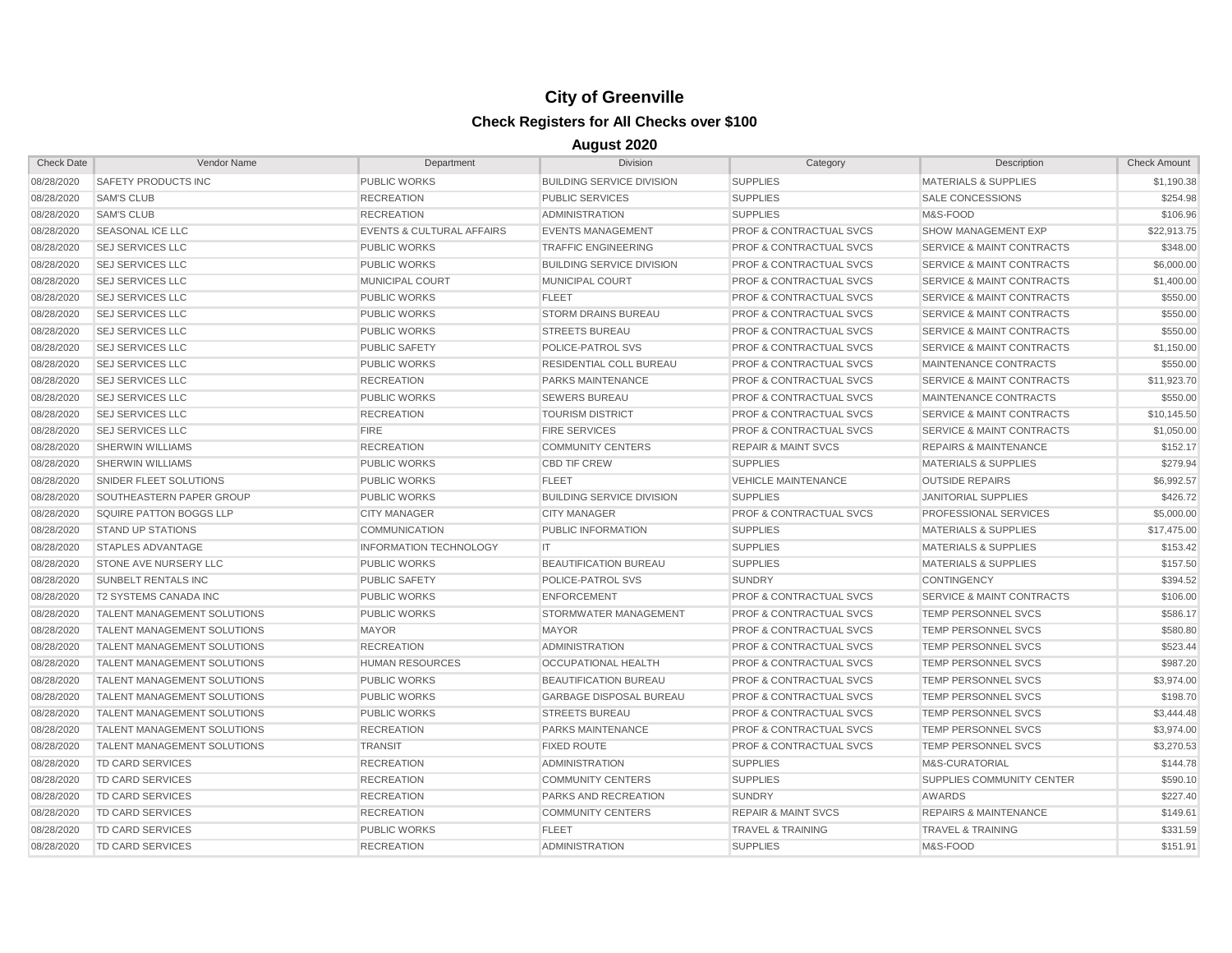| <b>Check Date</b> | Vendor Name                        | Department                           | <b>Division</b>                  | Category                           | Description                          | <b>Check Amount</b> |
|-------------------|------------------------------------|--------------------------------------|----------------------------------|------------------------------------|--------------------------------------|---------------------|
| 08/28/2020        | <b>SAFETY PRODUCTS INC</b>         | <b>PUBLIC WORKS</b>                  | <b>BUILDING SERVICE DIVISION</b> | <b>SUPPLIES</b>                    | <b>MATERIALS &amp; SUPPLIES</b>      | \$1,190.38          |
| 08/28/2020        | <b>SAM'S CLUB</b>                  | <b>RECREATION</b>                    | <b>PUBLIC SERVICES</b>           | <b>SUPPLIES</b>                    | <b>SALE CONCESSIONS</b>              | \$254.98            |
| 08/28/2020        | <b>SAM'S CLUB</b>                  | <b>RECREATION</b>                    | <b>ADMINISTRATION</b>            | <b>SUPPLIES</b>                    | M&S-FOOD                             | \$106.96            |
| 08/28/2020        | <b>SEASONAL ICE LLC</b>            | <b>EVENTS &amp; CULTURAL AFFAIRS</b> | <b>EVENTS MANAGEMENT</b>         | <b>PROF &amp; CONTRACTUAL SVCS</b> | <b>SHOW MANAGEMENT EXP</b>           | \$22,913.75         |
| 08/28/2020        | <b>SEJ SERVICES LLC</b>            | <b>PUBLIC WORKS</b>                  | <b>TRAFFIC ENGINEERING</b>       | <b>PROF &amp; CONTRACTUAL SVCS</b> | <b>SERVICE &amp; MAINT CONTRACTS</b> | \$348.00            |
| 08/28/2020        | <b>SEJ SERVICES LLC</b>            | <b>PUBLIC WORKS</b>                  | <b>BUILDING SERVICE DIVISION</b> | <b>PROF &amp; CONTRACTUAL SVCS</b> | <b>SERVICE &amp; MAINT CONTRACTS</b> | \$6,000.00          |
| 08/28/2020        | <b>SEJ SERVICES LLC</b>            | MUNICIPAL COURT                      | MUNICIPAL COURT                  | <b>PROF &amp; CONTRACTUAL SVCS</b> | <b>SERVICE &amp; MAINT CONTRACTS</b> | \$1,400.00          |
| 08/28/2020        | <b>SEJ SERVICES LLC</b>            | <b>PUBLIC WORKS</b>                  | <b>FLEET</b>                     | <b>PROF &amp; CONTRACTUAL SVCS</b> | <b>SERVICE &amp; MAINT CONTRACTS</b> | \$550.00            |
| 08/28/2020        | <b>SEJ SERVICES LLC</b>            | <b>PUBLIC WORKS</b>                  | <b>STORM DRAINS BUREAU</b>       | <b>PROF &amp; CONTRACTUAL SVCS</b> | <b>SERVICE &amp; MAINT CONTRACTS</b> | \$550.00            |
| 08/28/2020        | <b>SEJ SERVICES LLC</b>            | <b>PUBLIC WORKS</b>                  | <b>STREETS BUREAU</b>            | <b>PROF &amp; CONTRACTUAL SVCS</b> | <b>SERVICE &amp; MAINT CONTRACTS</b> | \$550.00            |
| 08/28/2020        | <b>SEJ SERVICES LLC</b>            | <b>PUBLIC SAFETY</b>                 | POLICE-PATROL SVS                | <b>PROF &amp; CONTRACTUAL SVCS</b> | <b>SERVICE &amp; MAINT CONTRACTS</b> | \$1,150.00          |
| 08/28/2020        | <b>SEJ SERVICES LLC</b>            | <b>PUBLIC WORKS</b>                  | RESIDENTIAL COLL BUREAU          | <b>PROF &amp; CONTRACTUAL SVCS</b> | MAINTENANCE CONTRACTS                | \$550.00            |
| 08/28/2020        | <b>SEJ SERVICES LLC</b>            | <b>RECREATION</b>                    | PARKS MAINTENANCE                | <b>PROF &amp; CONTRACTUAL SVCS</b> | SERVICE & MAINT CONTRACTS            | \$11,923.70         |
| 08/28/2020        | <b>SEJ SERVICES LLC</b>            | <b>PUBLIC WORKS</b>                  | <b>SEWERS BUREAU</b>             | <b>PROF &amp; CONTRACTUAL SVCS</b> | MAINTENANCE CONTRACTS                | \$550.00            |
| 08/28/2020        | <b>SEJ SERVICES LLC</b>            | <b>RECREATION</b>                    | <b>TOURISM DISTRICT</b>          | <b>PROF &amp; CONTRACTUAL SVCS</b> | <b>SERVICE &amp; MAINT CONTRACTS</b> | \$10,145.50         |
| 08/28/2020        | <b>SEJ SERVICES LLC</b>            | <b>FIRE</b>                          | <b>FIRE SERVICES</b>             | <b>PROF &amp; CONTRACTUAL SVCS</b> | SERVICE & MAINT CONTRACTS            | \$1,050.00          |
| 08/28/2020        | <b>SHERWIN WILLIAMS</b>            | <b>RECREATION</b>                    | <b>COMMUNITY CENTERS</b>         | <b>REPAIR &amp; MAINT SVCS</b>     | <b>REPAIRS &amp; MAINTENANCE</b>     | \$152.17            |
| 08/28/2020        | <b>SHERWIN WILLIAMS</b>            | <b>PUBLIC WORKS</b>                  | <b>CBD TIF CREW</b>              | <b>SUPPLIES</b>                    | <b>MATERIALS &amp; SUPPLIES</b>      | \$279.94            |
| 08/28/2020        | SNIDER FLEET SOLUTIONS             | <b>PUBLIC WORKS</b>                  | <b>FLEET</b>                     | <b>VEHICLE MAINTENANCE</b>         | <b>OUTSIDE REPAIRS</b>               | \$6,992.57          |
| 08/28/2020        | SOUTHEASTERN PAPER GROUP           | <b>PUBLIC WORKS</b>                  | <b>BUILDING SERVICE DIVISION</b> | <b>SUPPLIES</b>                    | <b>JANITORIAL SUPPLIES</b>           | \$426.72            |
| 08/28/2020        | SQUIRE PATTON BOGGS LLP            | <b>CITY MANAGER</b>                  | <b>CITY MANAGER</b>              | <b>PROF &amp; CONTRACTUAL SVCS</b> | <b>PROFESSIONAL SERVICES</b>         | \$5,000.00          |
| 08/28/2020        | <b>STAND UP STATIONS</b>           | <b>COMMUNICATION</b>                 | PUBLIC INFORMATION               | <b>SUPPLIES</b>                    | <b>MATERIALS &amp; SUPPLIES</b>      | \$17,475.00         |
| 08/28/2020        | <b>STAPLES ADVANTAGE</b>           | <b>INFORMATION TECHNOLOGY</b>        | IT.                              | <b>SUPPLIES</b>                    | <b>MATERIALS &amp; SUPPLIES</b>      | \$153.42            |
| 08/28/2020        | STONE AVE NURSERY LLC              | <b>PUBLIC WORKS</b>                  | <b>BEAUTIFICATION BUREAU</b>     | <b>SUPPLIES</b>                    | <b>MATERIALS &amp; SUPPLIES</b>      | \$157.50            |
| 08/28/2020        | <b>SUNBELT RENTALS INC</b>         | <b>PUBLIC SAFETY</b>                 | POLICE-PATROL SVS                | <b>SUNDRY</b>                      | <b>CONTINGENCY</b>                   | \$394.52            |
| 08/28/2020        | <b>T2 SYSTEMS CANADA INC</b>       | <b>PUBLIC WORKS</b>                  | <b>ENFORCEMENT</b>               | <b>PROF &amp; CONTRACTUAL SVCS</b> | <b>SERVICE &amp; MAINT CONTRACTS</b> | \$106.00            |
| 08/28/2020        | <b>TALENT MANAGEMENT SOLUTIONS</b> | <b>PUBLIC WORKS</b>                  | STORMWATER MANAGEMENT            | <b>PROF &amp; CONTRACTUAL SVCS</b> | TEMP PERSONNEL SVCS                  | \$586.17            |
| 08/28/2020        | <b>TALENT MANAGEMENT SOLUTIONS</b> | <b>MAYOR</b>                         | <b>MAYOR</b>                     | <b>PROF &amp; CONTRACTUAL SVCS</b> | <b>TEMP PERSONNEL SVCS</b>           | \$580.80            |
| 08/28/2020        | <b>TALENT MANAGEMENT SOLUTIONS</b> | <b>RECREATION</b>                    | <b>ADMINISTRATION</b>            | <b>PROF &amp; CONTRACTUAL SVCS</b> | TEMP PERSONNEL SVCS                  | \$523.44            |
| 08/28/2020        | <b>TALENT MANAGEMENT SOLUTIONS</b> | <b>HUMAN RESOURCES</b>               | <b>OCCUPATIONAL HEALTH</b>       | <b>PROF &amp; CONTRACTUAL SVCS</b> | <b>TEMP PERSONNEL SVCS</b>           | \$987.20            |
| 08/28/2020        | <b>TALENT MANAGEMENT SOLUTIONS</b> | <b>PUBLIC WORKS</b>                  | <b>BEAUTIFICATION BUREAU</b>     | <b>PROF &amp; CONTRACTUAL SVCS</b> | <b>TEMP PERSONNEL SVCS</b>           | \$3,974.00          |
| 08/28/2020        | <b>TALENT MANAGEMENT SOLUTIONS</b> | <b>PUBLIC WORKS</b>                  | <b>GARBAGE DISPOSAL BUREAU</b>   | <b>PROF &amp; CONTRACTUAL SVCS</b> | <b>TEMP PERSONNEL SVCS</b>           | \$198.70            |
| 08/28/2020        | <b>TALENT MANAGEMENT SOLUTIONS</b> | <b>PUBLIC WORKS</b>                  | <b>STREETS BUREAU</b>            | <b>PROF &amp; CONTRACTUAL SVCS</b> | TEMP PERSONNEL SVCS                  | \$3,444.48          |
| 08/28/2020        | <b>TALENT MANAGEMENT SOLUTIONS</b> | <b>RECREATION</b>                    | <b>PARKS MAINTENANCE</b>         | <b>PROF &amp; CONTRACTUAL SVCS</b> | <b>TEMP PERSONNEL SVCS</b>           | \$3,974.00          |
| 08/28/2020        | <b>TALENT MANAGEMENT SOLUTIONS</b> | <b>TRANSIT</b>                       | <b>FIXED ROUTE</b>               | <b>PROF &amp; CONTRACTUAL SVCS</b> | TEMP PERSONNEL SVCS                  | \$3,270.53          |
| 08/28/2020        | TD CARD SERVICES                   | <b>RECREATION</b>                    | <b>ADMINISTRATION</b>            | <b>SUPPLIES</b>                    | M&S-CURATORIAL                       | \$144.78            |
| 08/28/2020        | <b>TD CARD SERVICES</b>            | <b>RECREATION</b>                    | <b>COMMUNITY CENTERS</b>         | <b>SUPPLIES</b>                    | <b>SUPPLIES COMMUNITY CENTER</b>     | \$590.10            |
| 08/28/2020        | <b>TD CARD SERVICES</b>            | <b>RECREATION</b>                    | PARKS AND RECREATION             | <b>SUNDRY</b>                      | AWARDS                               | \$227.40            |
| 08/28/2020        | <b>TD CARD SERVICES</b>            | <b>RECREATION</b>                    | <b>COMMUNITY CENTERS</b>         | <b>REPAIR &amp; MAINT SVCS</b>     | <b>REPAIRS &amp; MAINTENANCE</b>     | \$149.61            |
| 08/28/2020        | <b>TD CARD SERVICES</b>            | <b>PUBLIC WORKS</b>                  | <b>FLEET</b>                     | <b>TRAVEL &amp; TRAINING</b>       | <b>TRAVEL &amp; TRAINING</b>         | \$331.59            |
| 08/28/2020        | <b>TD CARD SERVICES</b>            | <b>RECREATION</b>                    | <b>ADMINISTRATION</b>            | <b>SUPPLIES</b>                    | M&S-FOOD                             | \$151.91            |